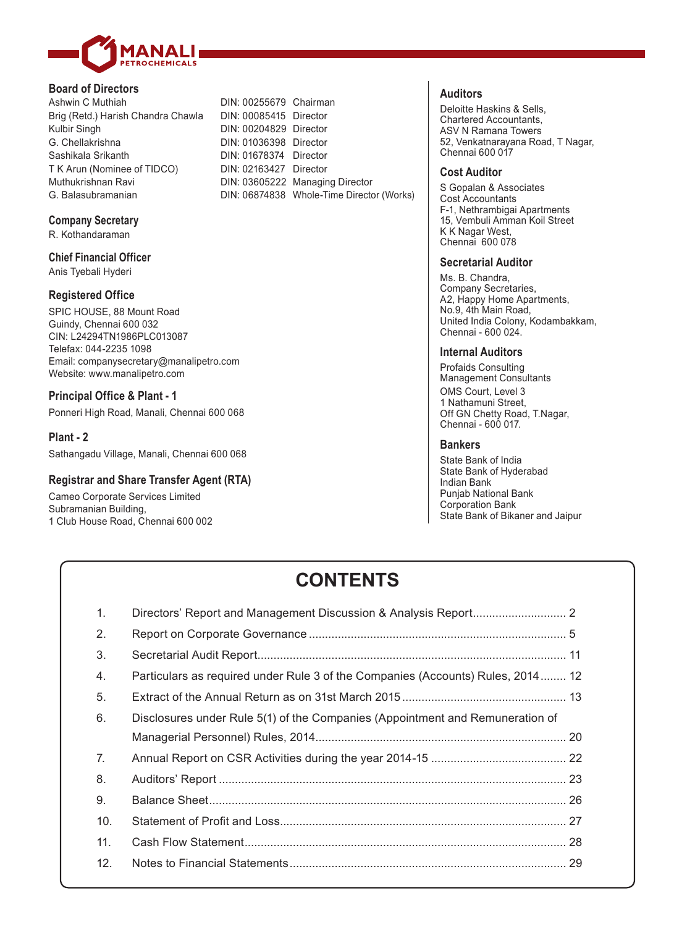

# **Board of Directors**

Brig (Retd.) Harish Chandra Chawla<br>Kulbir Singh Kulbir Singh **DIN: 00204829 Director**<br>G. Chellakrishna **DIN: 01036398 Director** Sashikala Srikanth DIN: 01678374 Director T K Arun (Nominee of TIDCO) DIN: 02163427 Director

# **Company Secretary**

R. Kothandaraman

# **Chief Financial Officer**

Anis Tyebali Hyderi

# **Registered Office**

SPIC HOUSE, 88 Mount Road Guindy, Chennai 600 032 CIN: L24294TN1986PLC013087 Telefax: 044-2235 1098 Email: companysecretary@manalipetro.com Website: www.manalipetro.com

# **Principal Office & Plant - 1**

Ponneri High Road, Manali, Chennai 600 068

# **Plant - 2**

Sathangadu Village, Manali, Chennai 600 068

# **Registrar and Share Transfer Agent (RTA)**

Cameo Corporate Services Limited Subramanian Building, 1 Club House Road, Chennai 600 002

# DIN: 00255679 Chairman<br>DIN: 00085415 Director DIN: 01036398 Director Muthukrishnan Ravi **DIN: 03605222** Managing Director G. Balasubramanian DIN: 06874838 Whole-Time Director (Works)

# **Auditors**

Deloitte Haskins & Sells, Chartered Accountants, ASV N Ramana Towers 52, Venkatnarayana Road, T Nagar, Chennai 600 017

# **Cost Auditor**

S Gopalan & Associates Cost Accountants F-1, Nethrambigai Apartments 15, Vembuli Amman Koil Street K K Nagar West, Chennai 600 078

# **Secretarial Auditor**

Ms. B. Chandra, Company Secretaries, A2, Happy Home Apartments, No.9, 4th Main Road, United India Colony, Kodambakkam, Chennai - 600 024.

# **Internal Auditors**

Profaids Consulting Management Consultants OMS Court, Level 3 1 Nathamuni Street, Off GN Chetty Road, T.Nagar, Chennai - 600 017.

# **Bankers**

State Bank of India State Bank of Hyderabad Indian Bank Punjab National Bank Corporation Bank State Bank of Bikaner and Jaipur

# **CONTENTS**

| 1.  |                                                                                 |  |
|-----|---------------------------------------------------------------------------------|--|
| 2.  |                                                                                 |  |
| 3.  |                                                                                 |  |
| 4.  | Particulars as required under Rule 3 of the Companies (Accounts) Rules, 2014 12 |  |
| 5.  |                                                                                 |  |
| 6.  | Disclosures under Rule 5(1) of the Companies (Appointment and Remuneration of   |  |
|     |                                                                                 |  |
| 7.  |                                                                                 |  |
| 8.  |                                                                                 |  |
| 9.  |                                                                                 |  |
| 10. |                                                                                 |  |
| 11. |                                                                                 |  |
| 12. |                                                                                 |  |
|     |                                                                                 |  |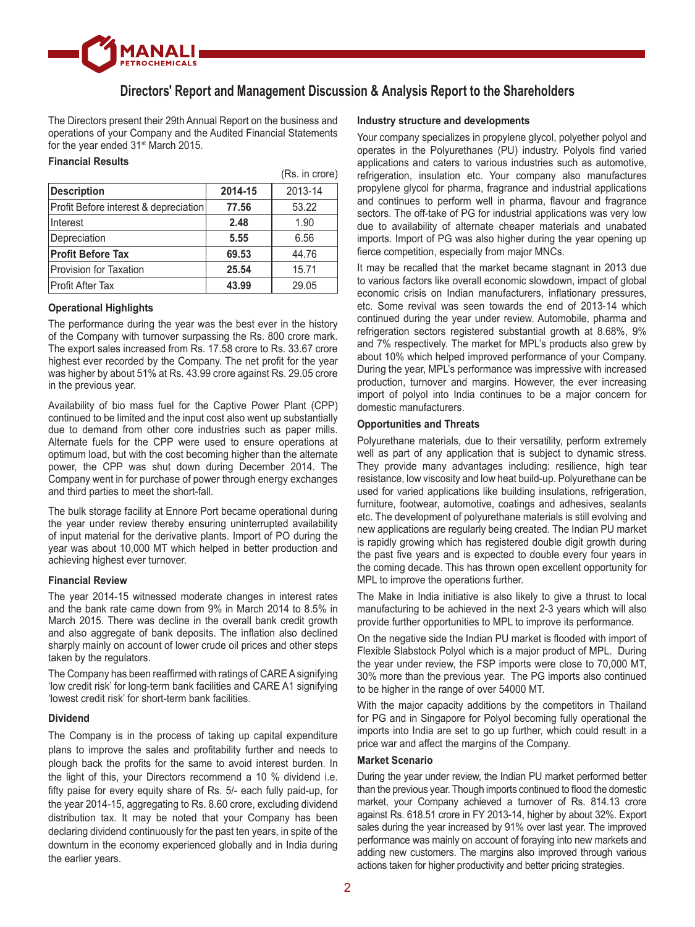

# **Directors' Report and Management Discussion & Analysis Report to the Shareholders**

The Directors present their 29th Annual Report on the business and operations of your Company and the Audited Financial Statements for the year ended 31st March 2015.

# **Financial Results**

|                                       |         | (Rs. in crore) |
|---------------------------------------|---------|----------------|
| <b>Description</b>                    | 2014-15 | 2013-14        |
| Profit Before interest & depreciation | 77.56   | 53.22          |
| Interest                              | 2.48    | 1.90           |
| Depreciation                          | 5.55    | 6.56           |
| <b>Profit Before Tax</b>              | 69.53   | 44.76          |
| Provision for Taxation                | 25.54   | 15.71          |
| <b>IProfit After Tax</b>              | 43.99   | 29.05          |

# **Operational Highlights**

The performance during the year was the best ever in the history of the Company with turnover surpassing the Rs. 800 crore mark. The export sales increased from Rs. 17.58 crore to Rs. 33.67 crore highest ever recorded by the Company. The net profit for the year was higher by about 51% at Rs. 43.99 crore against Rs. 29.05 crore in the previous year.

Availability of bio mass fuel for the Captive Power Plant (CPP) continued to be limited and the input cost also went up substantially due to demand from other core industries such as paper mills. Alternate fuels for the CPP were used to ensure operations at optimum load, but with the cost becoming higher than the alternate power, the CPP was shut down during December 2014. The Company went in for purchase of power through energy exchanges and third parties to meet the short-fall.

The bulk storage facility at Ennore Port became operational during the year under review thereby ensuring uninterrupted availability of input material for the derivative plants. Import of PO during the year was about 10,000 MT which helped in better production and achieving highest ever turnover.

# **Financial Review**

The year 2014-15 witnessed moderate changes in interest rates and the bank rate came down from 9% in March 2014 to 8.5% in March 2015. There was decline in the overall bank credit growth and also aggregate of bank deposits. The inflation also declined sharply mainly on account of lower crude oil prices and other steps taken by the regulators.

The Company has been reaffirmed with ratings of CAREAsignifying 'low credit risk' for long-term bank facilities and CARE A1 signifying 'lowest credit risk' for short-term bank facilities.

# **Dividend**

The Company is in the process of taking up capital expenditure plans to improve the sales and profitability further and needs to plough back the profits for the same to avoid interest burden. In the light of this, your Directors recommend a 10 % dividend i.e. fifty paise for every equity share of Rs. 5/- each fully paid-up, for the year 2014-15, aggregating to Rs. 8.60 crore, excluding dividend distribution tax. It may be noted that your Company has been declaring dividend continuously for the past ten years, in spite of the downturn in the economy experienced globally and in India during the earlier years.

# **Industry structure and developments**

Your company specializes in propylene glycol, polyether polyol and operates in the Polyurethanes (PU) industry. Polyols find varied applications and caters to various industries such as automotive, refrigeration, insulation etc. Your company also manufactures propylene glycol for pharma, fragrance and industrial applications and continues to perform well in pharma, flavour and fragrance sectors. The off-take of PG for industrial applications was very low due to availability of alternate cheaper materials and unabated imports. Import of PG was also higher during the year opening up fierce competition, especially from major MNCs.

It may be recalled that the market became stagnant in 2013 due to various factors like overall economic slowdown, impact of global economic crisis on Indian manufacturers, inflationary pressures, etc. Some revival was seen towards the end of 2013-14 which continued during the year under review. Automobile, pharma and refrigeration sectors registered substantial growth at 8.68%, 9% and 7% respectively. The market for MPL's products also grew by about 10% which helped improved performance of your Company. During the year, MPL's performance was impressive with increased production, turnover and margins. However, the ever increasing import of polyol into India continues to be a major concern for domestic manufacturers.

# **Opportunities and Threats**

Polyurethane materials, due to their versatility, perform extremely well as part of any application that is subject to dynamic stress. They provide many advantages including: resilience, high tear resistance, low viscosity and low heat build-up. Polyurethane can be used for varied applications like building insulations, refrigeration, furniture, footwear, automotive, coatings and adhesives, sealants etc. The development of polyurethane materials is still evolving and new applications are regularly being created. The Indian PU market is rapidly growing which has registered double digit growth during the past five years and is expected to double every four years in the coming decade. This has thrown open excellent opportunity for MPL to improve the operations further.

The Make in India initiative is also likely to give a thrust to local manufacturing to be achieved in the next 2-3 years which will also provide further opportunities to MPL to improve its performance.

On the negative side the Indian PU market is flooded with import of Flexible Slabstock Polyol which is a major product of MPL. During the year under review, the FSP imports were close to 70,000 MT, 30% more than the previous year. The PG imports also continued to be higher in the range of over 54000 MT.

With the major capacity additions by the competitors in Thailand for PG and in Singapore for Polyol becoming fully operational the imports into India are set to go up further, which could result in a price war and affect the margins of the Company.

# **Market Scenario**

During the year under review, the Indian PU market performed better than the previous year. Though imports continued to flood the domestic market, your Company achieved a turnover of Rs. 814.13 crore against Rs. 618.51 crore in FY 2013-14, higher by about 32%. Export sales during the year increased by 91% over last year. The improved performance was mainly on account of foraying into new markets and adding new customers. The margins also improved through various actions taken for higher productivity and better pricing strategies.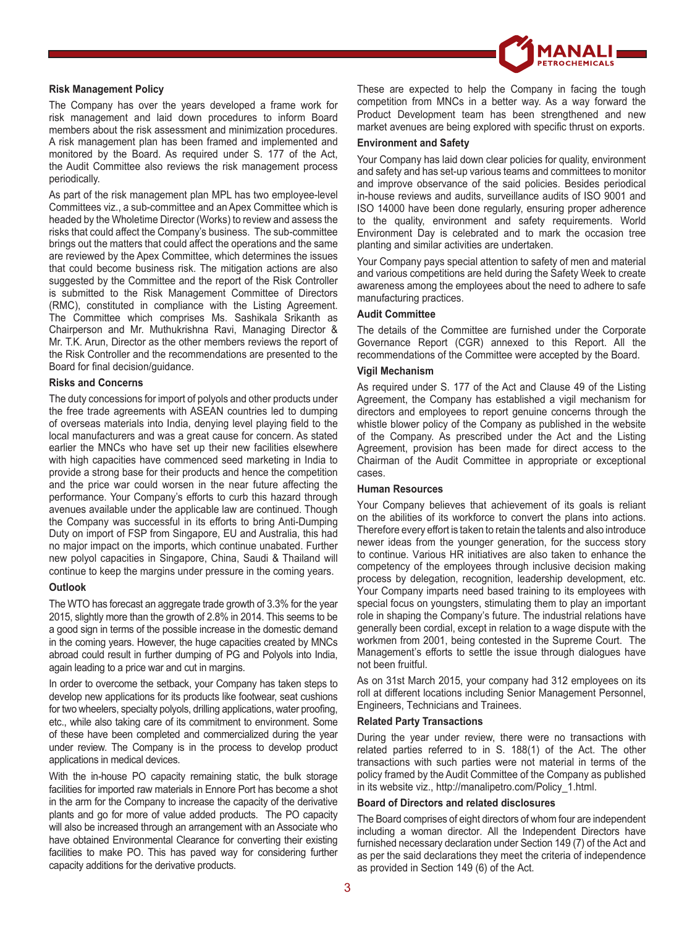

# **Risk Management Policy**

The Company has over the years developed a frame work for risk management and laid down procedures to inform Board members about the risk assessment and minimization procedures. A risk management plan has been framed and implemented and monitored by the Board. As required under S. 177 of the Act, the Audit Committee also reviews the risk management process periodically.

As part of the risk management plan MPL has two employee-level Committees viz., a sub-committee and an Apex Committee which is headed by the Wholetime Director (Works) to review and assess the risks that could affect the Company's business. The sub-committee brings out the matters that could affect the operations and the same are reviewed by the Apex Committee, which determines the issues that could become business risk. The mitigation actions are also suggested by the Committee and the report of the Risk Controller is submitted to the Risk Management Committee of Directors (RMC), constituted in compliance with the Listing Agreement. The Committee which comprises Ms. Sashikala Srikanth as Chairperson and Mr. Muthukrishna Ravi, Managing Director & Mr. T.K. Arun, Director as the other members reviews the report of the Risk Controller and the recommendations are presented to the Board for final decision/guidance.

#### **Risks and Concerns**

The duty concessions for import of polyols and other products under the free trade agreements with ASEAN countries led to dumping of overseas materials into India, denying level playing field to the local manufacturers and was a great cause for concern. As stated earlier the MNCs who have set up their new facilities elsewhere with high capacities have commenced seed marketing in India to provide a strong base for their products and hence the competition and the price war could worsen in the near future affecting the performance. Your Company's efforts to curb this hazard through avenues available under the applicable law are continued. Though the Company was successful in its efforts to bring Anti-Dumping Duty on import of FSP from Singapore, EU and Australia, this had no major impact on the imports, which continue unabated. Further new polyol capacities in Singapore, China, Saudi & Thailand will continue to keep the margins under pressure in the coming years.

#### **Outlook**

The WTO has forecast an aggregate trade growth of 3.3% for the year 2015, slightly more than the growth of 2.8% in 2014. This seems to be a good sign in terms of the possible increase in the domestic demand in the coming years. However, the huge capacities created by MNCs abroad could result in further dumping of PG and Polyols into India, again leading to a price war and cut in margins.

In order to overcome the setback, your Company has taken steps to develop new applications for its products like footwear, seat cushions for two wheelers, specialty polyols, drilling applications, water proofing, etc., while also taking care of its commitment to environment. Some of these have been completed and commercialized during the year under review. The Company is in the process to develop product applications in medical devices.

With the in-house PO capacity remaining static, the bulk storage facilities for imported raw materials in Ennore Port has become a shot in the arm for the Company to increase the capacity of the derivative plants and go for more of value added products. The PO capacity will also be increased through an arrangement with an Associate who have obtained Environmental Clearance for converting their existing facilities to make PO. This has paved way for considering further capacity additions for the derivative products.

These are expected to help the Company in facing the tough competition from MNCs in a better way. As a way forward the Product Development team has been strengthened and new market avenues are being explored with specific thrust on exports.

#### **Environment and Safety**

Your Company has laid down clear policies for quality, environment and safety and has set-up various teams and committees to monitor and improve observance of the said policies. Besides periodical in-house reviews and audits, surveillance audits of ISO 9001 and ISO 14000 have been done regularly, ensuring proper adherence to the quality, environment and safety requirements. World Environment Day is celebrated and to mark the occasion tree planting and similar activities are undertaken.

Your Company pays special attention to safety of men and material and various competitions are held during the Safety Week to create awareness among the employees about the need to adhere to safe manufacturing practices.

#### **Audit Committee**

The details of the Committee are furnished under the Corporate Governance Report (CGR) annexed to this Report. All the recommendations of the Committee were accepted by the Board.

#### **Vigil Mechanism**

As required under S. 177 of the Act and Clause 49 of the Listing Agreement, the Company has established a vigil mechanism for directors and employees to report genuine concerns through the whistle blower policy of the Company as published in the website of the Company. As prescribed under the Act and the Listing Agreement, provision has been made for direct access to the Chairman of the Audit Committee in appropriate or exceptional cases.

#### **Human Resources**

Your Company believes that achievement of its goals is reliant on the abilities of its workforce to convert the plans into actions. Therefore every effort is taken to retain the talents and also introduce newer ideas from the younger generation, for the success story to continue. Various HR initiatives are also taken to enhance the competency of the employees through inclusive decision making process by delegation, recognition, leadership development, etc. Your Company imparts need based training to its employees with special focus on youngsters, stimulating them to play an important role in shaping the Company's future. The industrial relations have generally been cordial, except in relation to a wage dispute with the workmen from 2001, being contested in the Supreme Court. The Management's efforts to settle the issue through dialogues have not been fruitful.

As on 31st March 2015, your company had 312 employees on its roll at different locations including Senior Management Personnel, Engineers, Technicians and Trainees.

# **Related Party Transactions**

During the year under review, there were no transactions with related parties referred to in S. 188(1) of the Act. The other transactions with such parties were not material in terms of the policy framed by the Audit Committee of the Company as published in its website viz., http://manalipetro.com/Policy\_1.html.

#### **Board of Directors and related disclosures**

The Board comprises of eight directors of whom four are independent including a woman director. All the Independent Directors have furnished necessary declaration under Section 149 (7) of the Act and as per the said declarations they meet the criteria of independence as provided in Section 149 (6) of the Act.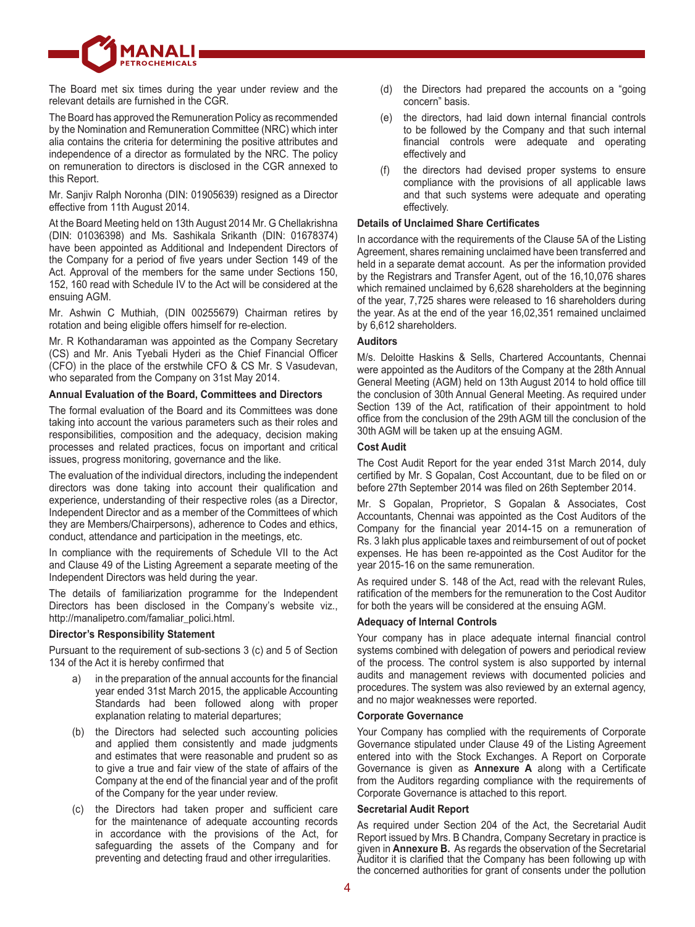

The Board met six times during the year under review and the relevant details are furnished in the CGR.

The Board has approved the Remuneration Policy as recommended by the Nomination and Remuneration Committee (NRC) which inter alia contains the criteria for determining the positive attributes and independence of a director as formulated by the NRC. The policy on remuneration to directors is disclosed in the CGR annexed to this Report.

Mr. Sanjiv Ralph Noronha (DIN: 01905639) resigned as a Director effective from 11th August 2014.

At the Board Meeting held on 13th August 2014 Mr. G Chellakrishna (DIN: 01036398) and Ms. Sashikala Srikanth (DIN: 01678374) have been appointed as Additional and Independent Directors of the Company for a period of five years under Section 149 of the Act. Approval of the members for the same under Sections 150. 152, 160 read with Schedule IV to the Act will be considered at the ensuing AGM.

Mr. Ashwin C Muthiah, (DIN 00255679) Chairman retires by rotation and being eligible offers himself for re-election.

Mr. R Kothandaraman was appointed as the Company Secretary (CS) and Mr. Anis Tyebali Hyderi as the Chief Financial Officer (CFO) in the place of the erstwhile CFO & CS Mr. S Vasudevan, who separated from the Company on 31st May 2014.

#### **Annual Evaluation of the Board, Committees and Directors**

The formal evaluation of the Board and its Committees was done taking into account the various parameters such as their roles and responsibilities, composition and the adequacy, decision making processes and related practices, focus on important and critical issues, progress monitoring, governance and the like.

The evaluation of the individual directors, including the independent directors was done taking into account their qualification and experience, understanding of their respective roles (as a Director, Independent Director and as a member of the Committees of which they are Members/Chairpersons), adherence to Codes and ethics, conduct, attendance and participation in the meetings, etc.

In compliance with the requirements of Schedule VII to the Act and Clause 49 of the Listing Agreement a separate meeting of the Independent Directors was held during the year.

The details of familiarization programme for the Independent Directors has been disclosed in the Company's website viz., http://manalipetro.com/famaliar\_polici.html.

#### **Director's Responsibility Statement**

Pursuant to the requirement of sub-sections 3 (c) and 5 of Section 134 of the Act it is hereby confirmed that

- in the preparation of the annual accounts for the financial year ended 31st March 2015, the applicable Accounting Standards had been followed along with proper explanation relating to material departures;
- (b) the Directors had selected such accounting policies and applied them consistently and made judgments and estimates that were reasonable and prudent so as to give a true and fair view of the state of affairs of the Company at the end of the financial year and of the profit of the Company for the year under review.
- (c) the Directors had taken proper and sufficient care for the maintenance of adequate accounting records in accordance with the provisions of the Act, for safeguarding the assets of the Company and for preventing and detecting fraud and other irregularities.
- (d) the Directors had prepared the accounts on a "going concern" basis.
- (e) the directors, had laid down internal financial controls to be followed by the Company and that such internal financial controls were adequate and operating effectively and
- (f) the directors had devised proper systems to ensure compliance with the provisions of all applicable laws and that such systems were adequate and operating effectively.

#### **Details of Unclaimed Share Certificates**

In accordance with the requirements of the Clause 5A of the Listing Agreement, shares remaining unclaimed have been transferred and held in a separate demat account. As per the information provided by the Registrars and Transfer Agent, out of the 16,10,076 shares which remained unclaimed by 6,628 shareholders at the beginning of the year, 7,725 shares were released to 16 shareholders during the year. As at the end of the year 16,02,351 remained unclaimed by 6,612 shareholders.

#### **Auditors**

M/s. Deloitte Haskins & Sells, Chartered Accountants, Chennai were appointed as the Auditors of the Company at the 28th Annual General Meeting (AGM) held on 13th August 2014 to hold office till the conclusion of 30th Annual General Meeting. As required under Section 139 of the Act, ratification of their appointment to hold office from the conclusion of the 29th AGM till the conclusion of the 30th AGM will be taken up at the ensuing AGM.

#### **Cost Audit**

The Cost Audit Report for the year ended 31st March 2014, duly certified by Mr. S Gopalan, Cost Accountant, due to be filed on or before 27th September 2014 was filed on 26th September 2014.

Mr. S Gopalan, Proprietor, S Gopalan & Associates, Cost Accountants, Chennai was appointed as the Cost Auditors of the Company for the financial year 2014-15 on a remuneration of Rs. 3 lakh plus applicable taxes and reimbursement of out of pocket expenses. He has been re-appointed as the Cost Auditor for the year 2015-16 on the same remuneration.

As required under S, 148 of the Act, read with the relevant Rules, ratification of the members for the remuneration to the Cost Auditor for both the years will be considered at the ensuing AGM.

# **Adequacy of Internal Controls**

Your company has in place adequate internal financial control systems combined with delegation of powers and periodical review of the process. The control system is also supported by internal audits and management reviews with documented policies and procedures. The system was also reviewed by an external agency, and no major weaknesses were reported.

#### **Corporate Governance**

Your Company has complied with the requirements of Corporate Governance stipulated under Clause 49 of the Listing Agreement entered into with the Stock Exchanges. A Report on Corporate Governance is given as **Annexure A** along with a Certificate from the Auditors regarding compliance with the requirements of Corporate Governance is attached to this report.

#### **Secretarial Audit Report**

As required under Section 204 of the Act, the Secretarial Audit Report issued by Mrs. B Chandra, Company Secretary in practice is given in **Annexure B.** As regards the observation of the Secretarial Auditor it is clarified that the Company has been following up with the concerned authorities for grant of consents under the pollution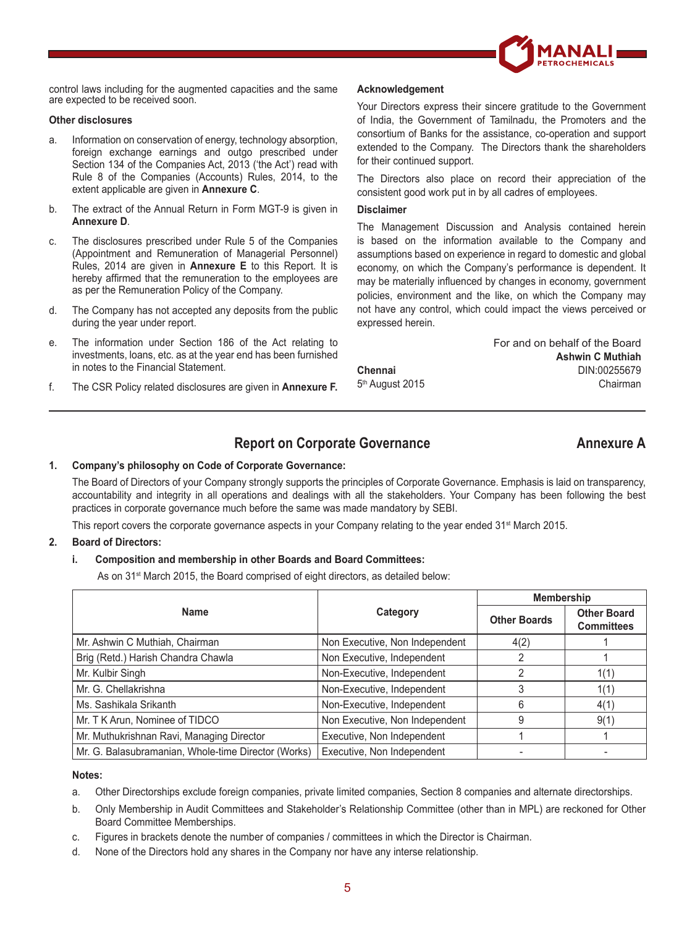

control laws including for the augmented capacities and the same are expected to be received soon.

# **Other disclosures**

- a. Information on conservation of energy, technology absorption, foreign exchange earnings and outgo prescribed under Section 134 of the Companies Act, 2013 ('the Act') read with Rule 8 of the Companies (Accounts) Rules, 2014, to the extent applicable are given in **Annexure C**.
- b. The extract of the Annual Return in Form MGT-9 is given in **Annexure D**.
- c. The disclosures prescribed under Rule 5 of the Companies (Appointment and Remuneration of Managerial Personnel) Rules, 2014 are given in **Annexure E** to this Report. It is hereby affirmed that the remuneration to the employees are as per the Remuneration Policy of the Company.
- d. The Company has not accepted any deposits from the public during the year under report.
- e. The information under Section 186 of the Act relating to investments, loans, etc. as at the year end has been furnished in notes to the Financial Statement.
- f. The CSR Policy related disclosures are given in **Annexure F.**

#### **Acknowledgement**

Your Directors express their sincere gratitude to the Government of India, the Government of Tamilnadu, the Promoters and the consortium of Banks for the assistance, co-operation and support extended to the Company. The Directors thank the shareholders for their continued support.

The Directors also place on record their appreciation of the consistent good work put in by all cadres of employees.

# **Disclaimer**

The Management Discussion and Analysis contained herein is based on the information available to the Company and assumptions based on experience in regard to domestic and global economy, on which the Company's performance is dependent. It may be materially influenced by changes in economy, government policies, environment and the like, on which the Company may not have any control, which could impact the views perceived or expressed herein.

| For and on behalf of the Board |
|--------------------------------|
| <b>Ashwin C Muthiah</b>        |
| DIN:00255679                   |
| Chairman                       |
|                                |

# **Report on Corporate Governance Annexure A**

# **1. Company's philosophy on Code of Corporate Governance:**

 The Board of Directors of your Company strongly supports the principles of Corporate Governance. Emphasis is laid on transparency, accountability and integrity in all operations and dealings with all the stakeholders. Your Company has been following the best practices in corporate governance much before the same was made mandatory by SEBI.

This report covers the corporate governance aspects in your Company relating to the year ended 31<sup>st</sup> March 2015.

# **2. Board of Directors:**

# **i. Composition and membership in other Boards and Board Committees:**

As on 31<sup>st</sup> March 2015, the Board comprised of eight directors, as detailed below:

|                                                     |                                | Membership          |                                         |  |
|-----------------------------------------------------|--------------------------------|---------------------|-----------------------------------------|--|
| Name                                                | Category                       | <b>Other Boards</b> | <b>Other Board</b><br><b>Committees</b> |  |
| Mr. Ashwin C Muthiah, Chairman                      | Non Executive, Non Independent | 4(2)                |                                         |  |
| Brig (Retd.) Harish Chandra Chawla                  | Non Executive, Independent     |                     |                                         |  |
| Mr. Kulbir Singh                                    | Non-Executive, Independent     | 2                   | 1(1)                                    |  |
| Mr. G. Chellakrishna                                | Non-Executive, Independent     |                     | 1(1)                                    |  |
| Ms. Sashikala Srikanth                              | Non-Executive, Independent     | 6                   | 4(1)                                    |  |
| Mr. T K Arun, Nominee of TIDCO                      | Non Executive, Non Independent | 9                   | 9(1)                                    |  |
| Mr. Muthukrishnan Ravi, Managing Director           | Executive, Non Independent     |                     |                                         |  |
| Mr. G. Balasubramanian, Whole-time Director (Works) | Executive, Non Independent     |                     |                                         |  |

#### **Notes:**

- a. Other Directorships exclude foreign companies, private limited companies, Section 8 companies and alternate directorships.
- b. Only Membership in Audit Committees and Stakeholder's Relationship Committee (other than in MPL) are reckoned for Other Board Committee Memberships.
- c. Figures in brackets denote the number of companies / committees in which the Director is Chairman.
- d. None of the Directors hold any shares in the Company nor have any interse relationship.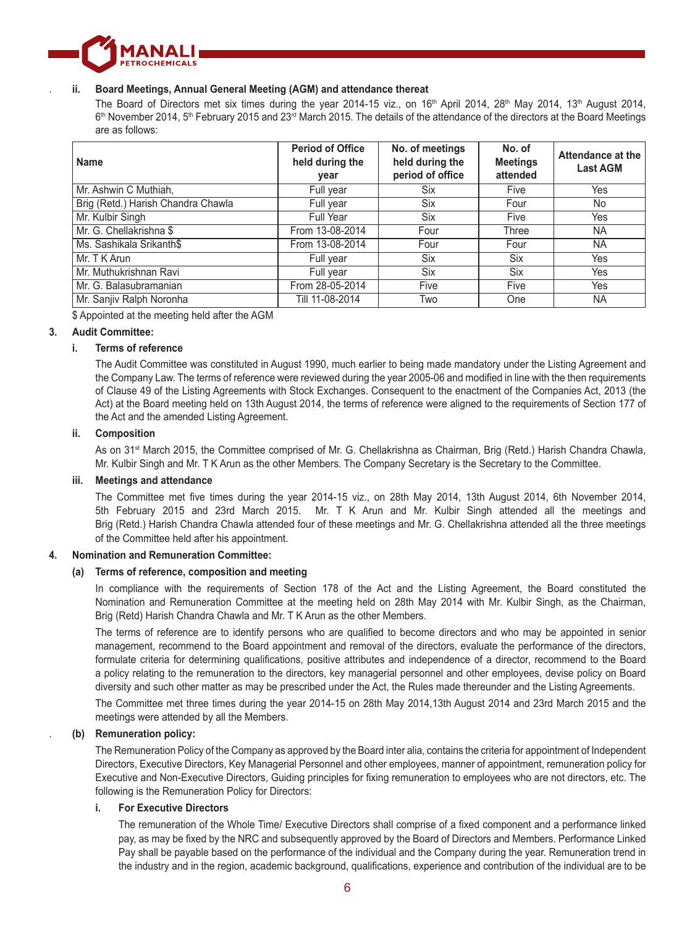

# . **ii. Board Meetings, Annual General Meeting (AGM) and attendance thereat**

The Board of Directors met six times during the year 2014-15 viz., on 16<sup>th</sup> April 2014, 28<sup>th</sup> May 2014, 13<sup>th</sup> August 2014, 6<sup>th</sup> November 2014, 5<sup>th</sup> February 2015 and 23<sup>rd</sup> March 2015. The details of the attendance of the directors at the Board Meetings are as follows:

| Name                               | <b>Period of Office</b><br>held during the<br>year | No. of meetings<br>held during the<br>period of office | No. of<br><b>Meetings</b><br>attended | Attendance at the<br><b>Last AGM</b> |
|------------------------------------|----------------------------------------------------|--------------------------------------------------------|---------------------------------------|--------------------------------------|
| Mr. Ashwin C Muthiah,              | Full year                                          | <b>Six</b>                                             | <b>Five</b>                           | <b>Yes</b>                           |
| Brig (Retd.) Harish Chandra Chawla | Full year                                          | <b>Six</b>                                             | Four                                  | <b>No</b>                            |
| Mr. Kulbir Singh                   | Full Year                                          | <b>Six</b>                                             | <b>Five</b>                           | Yes                                  |
| Mr. G. Chellakrishna \$            | From 13-08-2014                                    | Four                                                   | Three                                 | <b>NA</b>                            |
| Ms. Sashikala Srikanth\$           | From 13-08-2014                                    | Four                                                   | Four                                  | NA.                                  |
| Mr. T K Arun                       | Full year                                          | <b>Six</b>                                             | Six                                   | Yes                                  |
| Mr. Muthukrishnan Ravi             | Full year                                          | <b>Six</b>                                             | Six                                   | Yes                                  |
| Mr. G. Balasubramanian             | From 28-05-2014                                    | Five                                                   | Five                                  | Yes                                  |
| Mr. Sanjiv Ralph Noronha           | Till 11-08-2014                                    | Two                                                    | One                                   | <b>NA</b>                            |

\$ Appointed at the meeting held after the AGM

# **3. Audit Committee:**

# **i. Terms of reference**

 The Audit Committee was constituted in August 1990, much earlier to being made mandatory under the Listing Agreement and the Company Law. The terms of reference were reviewed during the year 2005-06 and modified in line with the then requirements of Clause 49 of the Listing Agreements with Stock Exchanges. Consequent to the enactment of the Companies Act, 2013 (the Act) at the Board meeting held on 13th August 2014, the terms of reference were aligned to the requirements of Section 177 of the Act and the amended Listing Agreement.

# **ii. Composition**

 As on 31st March 2015, the Committee comprised of Mr. G. Chellakrishna as Chairman, Brig (Retd.) Harish Chandra Chawla, Mr. Kulbir Singh and Mr. T K Arun as the other Members. The Company Secretary is the Secretary to the Committee.

# **iii. Meetings and attendance**

 The Committee met five times during the year 2014-15 viz., on 28th May 2014, 13th August 2014, 6th November 2014, 5th February 2015 and 23rd March 2015. Mr. T K Arun and Mr. Kulbir Singh attended all the meetings and Brig (Retd.) Harish Chandra Chawla attended four of these meetings and Mr. G. Chellakrishna attended all the three meetings of the Committee held after his appointment.

# **4. Nomination and Remuneration Committee:**

# **(a) Terms of reference, composition and meeting**

In compliance with the requirements of Section 178 of the Act and the Listing Agreement, the Board constituted the Nomination and Remuneration Committee at the meeting held on 28th May 2014 with Mr. Kulbir Singh, as the Chairman, Brig (Retd) Harish Chandra Chawla and Mr. T K Arun as the other Members.

 The terms of reference are to identify persons who are qualified to become directors and who may be appointed in senior management, recommend to the Board appointment and removal of the directors, evaluate the performance of the directors, formulate criteria for determining qualifications, positive attributes and independence of a director, recommend to the Board a policy relating to the remuneration to the directors, key managerial personnel and other employees, devise policy on Board diversity and such other matter as may be prescribed under the Act, the Rules made thereunder and the Listing Agreements.

 The Committee met three times during the year 2014-15 on 28th May 2014,13th August 2014 and 23rd March 2015 and the meetings were attended by all the Members.

# . **(b) Remuneration policy:**

 The Remuneration Policy of the Company as approved by the Board inter alia, contains the criteria for appointment of Independent Directors, Executive Directors, Key Managerial Personnel and other employees, manner of appointment, remuneration policy for Executive and Non-Executive Directors, Guiding principles for fixing remuneration to employees who are not directors, etc. The following is the Remuneration Policy for Directors:

# **i. For Executive Directors**

 The remuneration of the Whole Time/ Executive Directors shall comprise of a fixed component and a performance linked pay, as may be fixed by the NRC and subsequently approved by the Board of Directors and Members. Performance Linked Pay shall be payable based on the performance of the individual and the Company during the year. Remuneration trend in the industry and in the region, academic background, qualifications, experience and contribution of the individual are to be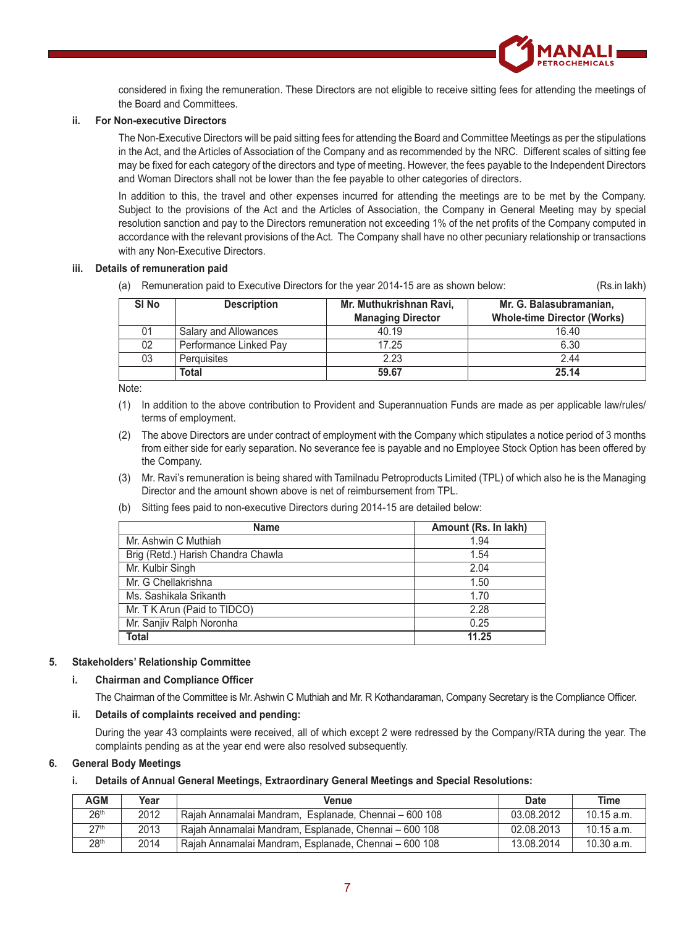

considered in fixing the remuneration. These Directors are not eligible to receive sitting fees for attending the meetings of the Board and Committees.

# **ii. For Non-executive Directors**

 The Non-Executive Directors will be paid sitting fees for attending the Board and Committee Meetings as per the stipulations in the Act, and the Articles of Association of the Company and as recommended by the NRC. Different scales of sitting fee may be fixed for each category of the directors and type of meeting. However, the fees payable to the Independent Directors and Woman Directors shall not be lower than the fee payable to other categories of directors.

 In addition to this, the travel and other expenses incurred for attending the meetings are to be met by the Company. Subject to the provisions of the Act and the Articles of Association, the Company in General Meeting may by special resolution sanction and pay to the Directors remuneration not exceeding 1% of the net profits of the Company computed in accordance with the relevant provisions of the Act. The Company shall have no other pecuniary relationship or transactions with any Non-Executive Directors.

#### **iii. Details of remuneration paid**

(a) Remuneration paid to Executive Directors for the year 2014-15 are as shown below: (Rs.in lakh)

| SI No | <b>Description</b>     | Mr. Muthukrishnan Ravi,<br><b>Managing Director</b> | Mr. G. Balasubramanian,<br><b>Whole-time Director (Works)</b> |
|-------|------------------------|-----------------------------------------------------|---------------------------------------------------------------|
| 01    | Salary and Allowances  | 40 19                                               | 16.40                                                         |
| 02    | Performance Linked Pay | 17.25                                               | 6.30                                                          |
| 03    | Perguisites            | 2.23                                                | 2.44                                                          |
|       | Total                  | 59.67                                               | 25.14                                                         |

Note:

- (1) In addition to the above contribution to Provident and Superannuation Funds are made as per applicable law/rules/ terms of employment.
- (2) The above Directors are under contract of employment with the Company which stipulates a notice period of 3 months from either side for early separation. No severance fee is payable and no Employee Stock Option has been offered by the Company.
- (3) Mr. Ravi's remuneration is being shared with Tamilnadu Petroproducts Limited (TPL) of which also he is the Managing Director and the amount shown above is net of reimbursement from TPL.
- (b) Sitting fees paid to non-executive Directors during 2014-15 are detailed below:

| Name                               | Amount (Rs. In lakh) |
|------------------------------------|----------------------|
| Mr. Ashwin C Muthiah               | 1.94                 |
| Brig (Retd.) Harish Chandra Chawla | 1.54                 |
| Mr. Kulbir Singh                   | 2.04                 |
| Mr. G Chellakrishna                | 1.50                 |
| Ms. Sashikala Srikanth             | 1.70                 |
| Mr. T K Arun (Paid to TIDCO)       | 2.28                 |
| Mr. Sanjiv Ralph Noronha           | 0.25                 |
| <b>Total</b>                       | 11.25                |

# **5. Stakeholders' Relationship Committee**

# **i. Chairman and Compliance Officer**

 The Chairman of the Committee is Mr. Ashwin C Muthiah and Mr. R Kothandaraman, Company Secretary is the Compliance Officer.

# **ii. Details of complaints received and pending:**

 During the year 43 complaints were received, all of which except 2 were redressed by the Company/RTA during the year. The complaints pending as at the year end were also resolved subsequently.

# **6. General Body Meetings**

**i. Details of Annual General Meetings, Extraordinary General Meetings and Special Resolutions:**

| <b>AGM</b>       | Year | Venue                                                 | Date       | Time         |
|------------------|------|-------------------------------------------------------|------------|--------------|
| 26 <sup>th</sup> | 2012 | Raiah Annamalai Mandram. Esplanade. Chennai – 600 108 | 03.08.2012 | $10.15$ a.m. |
| 27 <sup>th</sup> | 2013 | Rajah Annamalai Mandram, Esplanade, Chennai – 600 108 | 02.08.2013 | $10.15$ a.m. |
| 28 <sup>th</sup> | 2014 | Rajah Annamalai Mandram, Esplanade, Chennai – 600 108 | 13.08.2014 | 10.30 a.m.   |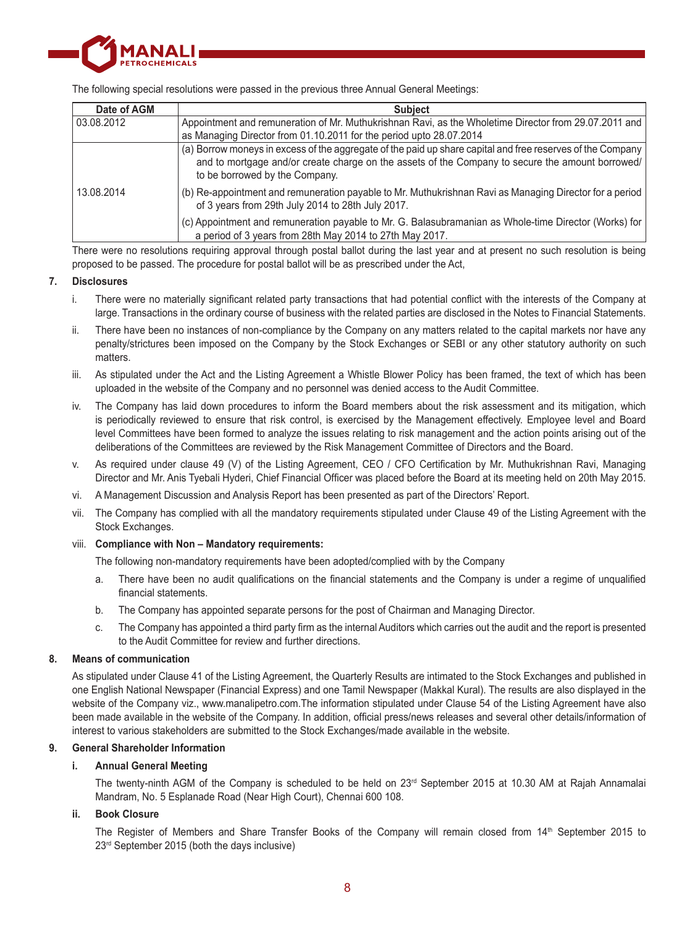

The following special resolutions were passed in the previous three Annual General Meetings:

| Date of AGM | <b>Subject</b>                                                                                                                                                                                                                                   |
|-------------|--------------------------------------------------------------------------------------------------------------------------------------------------------------------------------------------------------------------------------------------------|
| 03.08.2012  | Appointment and remuneration of Mr. Muthukrishnan Ravi, as the Wholetime Director from 29.07.2011 and                                                                                                                                            |
|             | as Managing Director from 01.10.2011 for the period upto 28.07.2014                                                                                                                                                                              |
|             | (a) Borrow moneys in excess of the aggregate of the paid up share capital and free reserves of the Company<br>and to mortgage and/or create charge on the assets of the Company to secure the amount borrowed/<br>to be borrowed by the Company. |
| 13.08.2014  | (b) Re-appointment and remuneration payable to Mr. Muthukrishnan Ravi as Managing Director for a period  <br>of 3 years from 29th July 2014 to 28th July 2017.                                                                                   |
|             | (c) Appointment and remuneration payable to Mr. G. Balasubramanian as Whole-time Director (Works) for<br>a period of 3 years from 28th May 2014 to 27th May 2017.                                                                                |

There were no resolutions requiring approval through postal ballot during the last year and at present no such resolution is being proposed to be passed. The procedure for postal ballot will be as prescribed under the Act,

# **7. Disclosures**

- i. There were no materially significant related party transactions that had potential conflict with the interests of the Company at large. Transactions in the ordinary course of business with the related parties are disclosed in the Notes to Financial Statements.
- ii. There have been no instances of non-compliance by the Company on any matters related to the capital markets nor have any penalty/strictures been imposed on the Company by the Stock Exchanges or SEBI or any other statutory authority on such matters.
- iii. As stipulated under the Act and the Listing Agreement a Whistle Blower Policy has been framed, the text of which has been uploaded in the website of the Company and no personnel was denied access to the Audit Committee.
- iv. The Company has laid down procedures to inform the Board members about the risk assessment and its mitigation, which is periodically reviewed to ensure that risk control, is exercised by the Management effectively. Employee level and Board level Committees have been formed to analyze the issues relating to risk management and the action points arising out of the deliberations of the Committees are reviewed by the Risk Management Committee of Directors and the Board.
- v. As required under clause 49 (V) of the Listing Agreement, CEO / CFO Certification by Mr. Muthukrishnan Ravi, Managing Director and Mr. Anis Tyebali Hyderi, Chief Financial Officer was placed before the Board at its meeting held on 20th May 2015.
- vi. A Management Discussion and Analysis Report has been presented as part of the Directors' Report.
- vii. The Company has complied with all the mandatory requirements stipulated under Clause 49 of the Listing Agreement with the Stock Exchanges.

# viii. **Compliance with Non – Mandatory requirements:**

 The following non-mandatory requirements have been adopted/complied with by the Company

- a. There have been no audit qualifications on the financial statements and the Company is under a regime of unqualified financial statements.
- b. The Company has appointed separate persons for the post of Chairman and Managing Director.
- c. The Company has appointed a third party firm as the internal Auditors which carries out the audit and the report is presented to the Audit Committee for review and further directions.

# **8. Means of communication**

As stipulated under Clause 41 of the Listing Agreement, the Quarterly Results are intimated to the Stock Exchanges and published in one English National Newspaper (Financial Express) and one Tamil Newspaper (Makkal Kural). The results are also displayed in the website of the Company viz., www.manalipetro.com.The information stipulated under Clause 54 of the Listing Agreement have also been made available in the website of the Company. In addition, official press/news releases and several other details/information of interest to various stakeholders are submitted to the Stock Exchanges/made available in the website.

# **9. General Shareholder Information**

# **i. Annual General Meeting**

The twenty-ninth AGM of the Company is scheduled to be held on 23<sup>rd</sup> September 2015 at 10.30 AM at Rajah Annamalai Mandram, No. 5 Esplanade Road (Near High Court), Chennai 600 108.

# **ii. Book Closure**

The Register of Members and Share Transfer Books of the Company will remain closed from 14<sup>th</sup> September 2015 to 23rd September 2015 (both the days inclusive)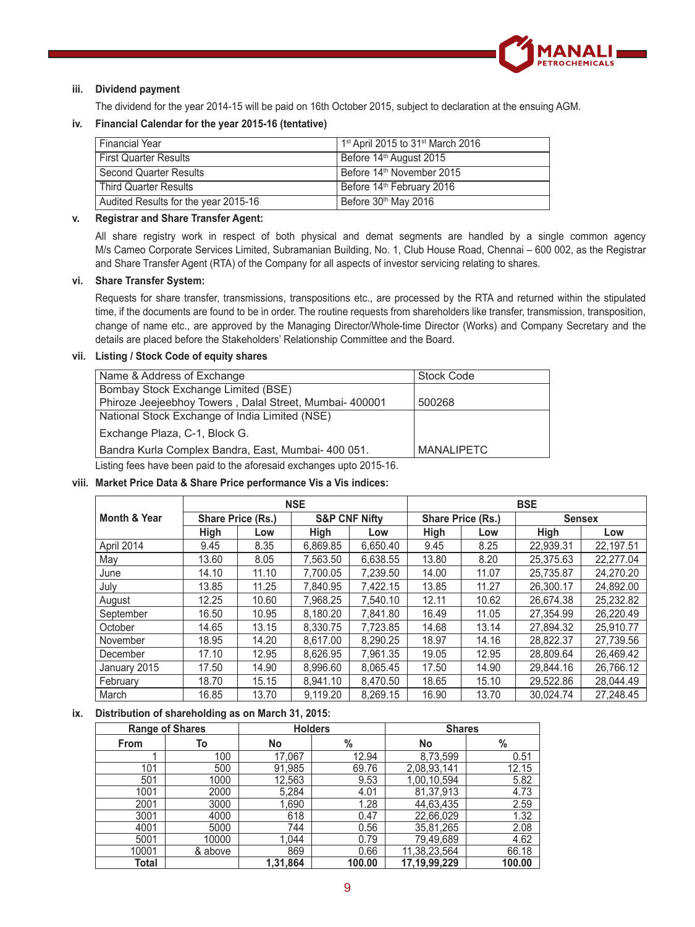

# **iii. Dividend payment**

The dividend for the year 2014-15 will be paid on 16th October 2015, subject to declaration at the ensuing AGM.

# **iv. Financial Calendar for the year 2015-16 (tentative)**

| Financial Year                       | $1st$ April 2015 to 31 <sup>st</sup> March 2016 |
|--------------------------------------|-------------------------------------------------|
|                                      |                                                 |
| <b>First Quarter Results</b>         | Before 14 <sup>th</sup> August 2015             |
| Second Quarter Results               | Before 14 <sup>th</sup> November 2015           |
|                                      |                                                 |
| Third Quarter Results                | Before 14 <sup>th</sup> February 2016           |
|                                      |                                                 |
| Audited Results for the year 2015-16 | Before 30th May 2016                            |
|                                      |                                                 |

#### **v. Registrar and Share Transfer Agent:**

 All share registry work in respect of both physical and demat segments are handled by a single common agency M/s Cameo Corporate Services Limited, Subramanian Building, No. 1, Club House Road, Chennai – 600 002, as the Registrar and Share Transfer Agent (RTA) of the Company for all aspects of investor servicing relating to shares.

#### **vi. Share Transfer System:**

 Requests for share transfer, transmissions, transpositions etc., are processed by the RTA and returned within the stipulated time, if the documents are found to be in order. The routine requests from shareholders like transfer, transmission, transposition, change of name etc., are approved by the Managing Director/Whole-time Director (Works) and Company Secretary and the details are placed before the Stakeholders' Relationship Committee and the Board.

# **vii. Listing / Stock Code of equity shares**

| Name & Address of Exchange                                                                                                                                                                                                                                                                                                                                                                                                                                  | Stock Code        |
|-------------------------------------------------------------------------------------------------------------------------------------------------------------------------------------------------------------------------------------------------------------------------------------------------------------------------------------------------------------------------------------------------------------------------------------------------------------|-------------------|
| Bombay Stock Exchange Limited (BSE)                                                                                                                                                                                                                                                                                                                                                                                                                         |                   |
| Phiroze Jeejeebhoy Towers, Dalal Street, Mumbai- 400001                                                                                                                                                                                                                                                                                                                                                                                                     | 500268            |
| National Stock Exchange of India Limited (NSE)                                                                                                                                                                                                                                                                                                                                                                                                              |                   |
| Exchange Plaza, C-1, Block G.                                                                                                                                                                                                                                                                                                                                                                                                                               |                   |
| Bandra Kurla Complex Bandra, East, Mumbai-400 051.                                                                                                                                                                                                                                                                                                                                                                                                          | <b>MANALIPETC</b> |
| $\mathcal{L}(\mathcal{L}(\mathcal{L}(\mathcal{L}(\mathcal{L}(\mathcal{L}(\mathcal{L}(\mathcal{L}(\mathcal{L}(\mathcal{L}(\mathcal{L}(\mathcal{L}(\mathcal{L}(\mathcal{L}(\mathcal{L}(\mathcal{L}(\mathcal{L}(\mathcal{L}(\mathcal{L}(\mathcal{L}(\mathcal{L}(\mathcal{L}(\mathcal{L}(\mathcal{L}(\mathcal{L}(\mathcal{L}(\mathcal{L}(\mathcal{L}(\mathcal{L}(\mathcal{L}(\mathcal{L}(\mathcal{L}(\mathcal{L}(\mathcal{L}(\mathcal{L}(\mathcal{L}(\mathcal{$ |                   |

 Listing fees have been paid to the aforesaid exchanges upto 2015-16.

# **viii. Market Price Data & Share Price performance Vis a Vis indices:**

|                         | <b>NSE</b>        |       |                          |          | <b>BSE</b>        |       |               |           |
|-------------------------|-------------------|-------|--------------------------|----------|-------------------|-------|---------------|-----------|
| <b>Month &amp; Year</b> | Share Price (Rs.) |       | <b>S&amp;P CNF Nifty</b> |          | Share Price (Rs.) |       | <b>Sensex</b> |           |
|                         | High              | Low   | High                     | Low      | High              | Low   | High          | Low       |
| April 2014              | 9.45              | 8.35  | 6.869.85                 | 6.650.40 | 9.45              | 8.25  | 22.939.31     | 22.197.51 |
| May                     | 13.60             | 8.05  | 7.563.50                 | 6.638.55 | 13.80             | 8.20  | 25.375.63     | 22.277.04 |
| June                    | 14.10             | 11.10 | 7.700.05                 | 7.239.50 | 14.00             | 11.07 | 25.735.87     | 24.270.20 |
| July                    | 13.85             | 11.25 | 7.840.95                 | 7.422.15 | 13.85             | 11.27 | 26.300.17     | 24.892.00 |
| August                  | 12.25             | 10.60 | 7.968.25                 | 7.540.10 | 12.11             | 10.62 | 26.674.38     | 25.232.82 |
| September               | 16.50             | 10.95 | 8.180.20                 | 7.841.80 | 16.49             | 11.05 | 27.354.99     | 26.220.49 |
| October                 | 14.65             | 13.15 | 8.330.75                 | 7,723.85 | 14.68             | 13.14 | 27.894.32     | 25.910.77 |
| November                | 18.95             | 14.20 | 8.617.00                 | 8.290.25 | 18.97             | 14.16 | 28.822.37     | 27,739.56 |
| December                | 17.10             | 12.95 | 8.626.95                 | 7.961.35 | 19.05             | 12.95 | 28.809.64     | 26,469.42 |
| January 2015            | 17.50             | 14.90 | 8.996.60                 | 8.065.45 | 17.50             | 14.90 | 29.844.16     | 26.766.12 |
| February                | 18.70             | 15.15 | 8.941.10                 | 8.470.50 | 18.65             | 15.10 | 29.522.86     | 28.044.49 |
| March                   | 16.85             | 13.70 | 9.119.20                 | 8.269.15 | 16.90             | 13.70 | 30.024.74     | 27,248.45 |

#### **ix. Distribution of shareholding as on March 31, 2015:**

| <b>Range of Shares</b> |         | <b>Holders</b> |        | <b>Shares</b> |        |  |
|------------------------|---------|----------------|--------|---------------|--------|--|
| From                   | To      | No             | $\%$   | No            | $\%$   |  |
|                        | 100     | 17,067         | 12.94  | 8,73,599      | 0.51   |  |
| 101                    | 500     | 91,985         | 69.76  | 2,08,93,141   | 12.15  |  |
| 501                    | 1000    | 12,563         | 9.53   | 1,00,10,594   | 5.82   |  |
| 1001                   | 2000    | 5,284          | 4.01   | 81,37,913     | 4.73   |  |
| 2001                   | 3000    | 1,690          | 1.28   | 44,63,435     | 2.59   |  |
| 3001                   | 4000    | 618            | 0.47   | 22,66,029     | 1.32   |  |
| 4001                   | 5000    | 744            | 0.56   | 35,81,265     | 2.08   |  |
| 5001                   | 10000   | 1.044          | 0.79   | 79,49,689     | 4.62   |  |
| 10001                  | & above | 869            | 0.66   | 11,38,23,564  | 66.18  |  |
| Total                  |         | 1,31,864       | 100.00 | 17,19,99,229  | 100.00 |  |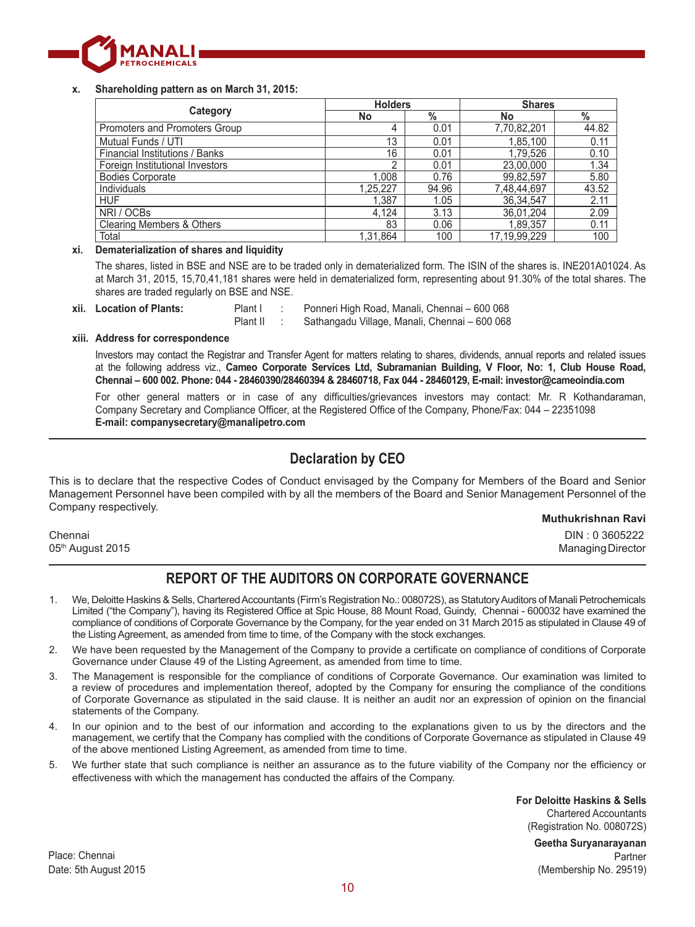

# **x. Shareholding pattern as on March 31, 2015:**

|                                       | <b>Holders</b> |       | <b>Shares</b> |       |  |
|---------------------------------------|----------------|-------|---------------|-------|--|
| Category                              | No             | $\%$  | No            | %     |  |
| Promoters and Promoters Group         | 4              | 0.01  | 7,70,82,201   | 44.82 |  |
| Mutual Funds / UTI                    | 13             | 0.01  | 1.85.100      | 0.11  |  |
| <b>Financial Institutions / Banks</b> | 16             | 0.01  | 1,79,526      | 0.10  |  |
| Foreign Institutional Investors       | ◠              | 0.01  | 23,00,000     | 1.34  |  |
| <b>Bodies Corporate</b>               | 1,008          | 0.76  | 99,82,597     | 5.80  |  |
| Individuals                           | 1,25,227       | 94.96 | 7,48,44,697   | 43.52 |  |
| HUF                                   | 1.387          | 1.05  | 36, 34, 547   | 2.11  |  |
| NRI / OCBs                            | 4.124          | 3.13  | 36,01,204     | 2.09  |  |
| Clearing Members & Others             | 83             | 0.06  | 1.89.357      | 0.11  |  |
| Total                                 | 1.31.864       | 100   | 17.19.99.229  | 100   |  |

# **xi. Dematerialization of shares and liquidity**

 The shares, listed in BSE and NSE are to be traded only in dematerialized form. The ISIN of the shares is. INE201A01024. As at March 31, 2015, 15,70,41,181 shares were held in dematerialized form, representing about 91.30% of the total shares. The shares are traded regularly on BSE and NSE.

**xii. Location of Plants:** Plant I : Ponneri High Road, Manali, Chennai – 600 068 Sathangadu Village, Manali, Chennai – 600 068

# **xiii. Address for correspondence**

 Investors may contact the Registrar and Transfer Agent for matters relating to shares, dividends, annual reports and related issues at the following address viz., **Cameo Corporate Services Ltd, Subramanian Building, V Floor, No: 1, Club House Road, Chennai – 600 002. Phone: 044 - 28460390/28460394 & 28460718, Fax 044 - 28460129, E-mail: investor@cameoindia.com**

For other general matters or in case of any difficulties/grievances investors may contact: Mr. R Kothandaraman, Company Secretary and Compliance Officer, at the Registered Office of the Company, Phone/Fax: 044 – 22351098 **E-mail: companysecretary@manalipetro.com**

# **Declaration by CEO**

This is to declare that the respective Codes of Conduct envisaged by the Company for Members of the Board and Senior Management Personnel have been compiled with by all the members of the Board and Senior Management Personnel of the Company respectively.

# **Muthukrishnan Ravi**

Chennai DIN : 0 3605222 05th August 2015 Managing Director Control of the United States of the United States of the United States of the United States of the United States of the United States of the United States of the United States of the Unit

# **REPORT OF THE AUDITORS ON CORPORATE GOVERNANCE**

- 1. We, Deloitte Haskins & Sells, Chartered Accountants (Firm's Registration No.: 008072S), as Statutory Auditors of Manali Petrochemicals Limited ("the Company"), having its Registered Office at Spic House, 88 Mount Road, Guindy, Chennai - 600032 have examined the compliance of conditions of Corporate Governance by the Company, for the year ended on 31 March 2015 as stipulated in Clause 49 of the Listing Agreement, as amended from time to time, of the Company with the stock exchanges.
- 2. We have been requested by the Management of the Company to provide a certificate on compliance of conditions of Corporate Governance under Clause 49 of the Listing Agreement, as amended from time to time.
- 3. The Management is responsible for the compliance of conditions of Corporate Governance. Our examination was limited to a review of procedures and implementation thereof, adopted by the Company for ensuring the compliance of the conditions of Corporate Governance as stipulated in the said clause. It is neither an audit nor an expression of opinion on the financial statements of the Company.
- 4. In our opinion and to the best of our information and according to the explanations given to us by the directors and the management, we certify that the Company has complied with the conditions of Corporate Governance as stipulated in Clause 49 of the above mentioned Listing Agreement, as amended from time to time.
- 5. We further state that such compliance is neither an assurance as to the future viability of the Company nor the efficiency or effectiveness with which the management has conducted the affairs of the Company.

**For Deloitte Haskins & Sells** Chartered Accountants (Registration No. 008072S)

> **Geetha Suryanarayanan** Partner (Membership No. 29519)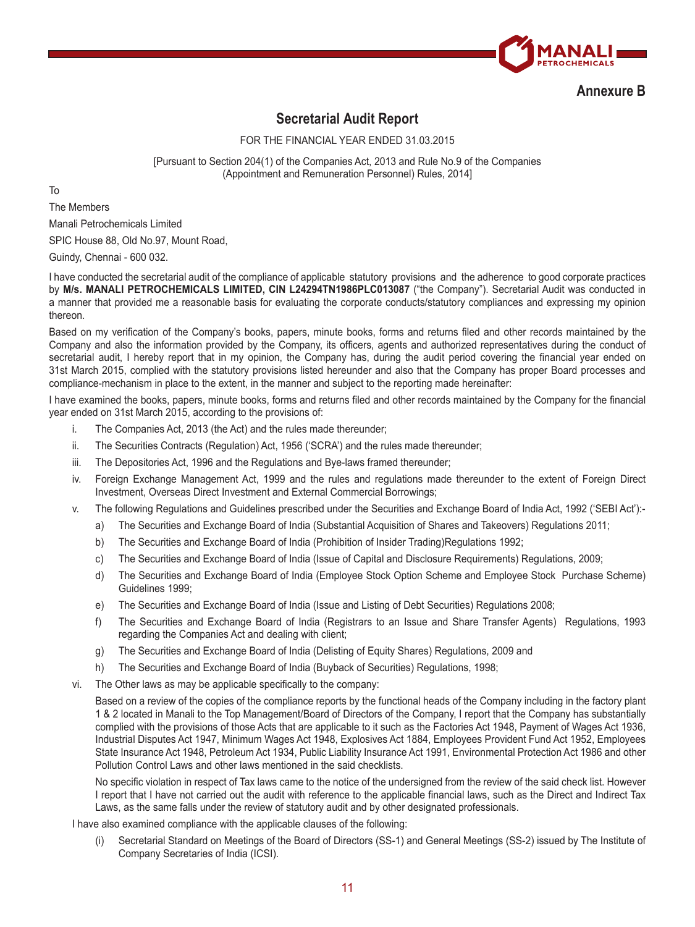

**Annexure B**

# **Secretarial Audit Report**

FOR THE FINANCIAL YEAR ENDED 31.03.2015

[Pursuant to Section 204(1) of the Companies Act, 2013 and Rule No.9 of the Companies (Appointment and Remuneration Personnel) Rules, 2014]

The Members Manali Petrochemicals Limited

To

SPIC House 88, Old No.97, Mount Road,

Guindy, Chennai - 600 032.

I have conducted the secretarial audit of the compliance of applicable statutory provisions and the adherence to good corporate practices by **M/s. MANALI PETROCHEMICALS LIMITED, CIN L24294TN1986PLC013087** ("the Company"). Secretarial Audit was conducted in a manner that provided me a reasonable basis for evaluating the corporate conducts/statutory compliances and expressing my opinion thereon.

Based on my verification of the Company's books, papers, minute books, forms and returns filed and other records maintained by the Company and also the information provided by the Company, its officers, agents and authorized representatives during the conduct of secretarial audit, I hereby report that in my opinion, the Company has, during the audit period covering the financial year ended on 31st March 2015, complied with the statutory provisions listed hereunder and also that the Company has proper Board processes and compliance-mechanism in place to the extent, in the manner and subject to the reporting made hereinafter:

I have examined the books, papers, minute books, forms and returns filed and other records maintained by the Company for the financial year ended on 31st March 2015, according to the provisions of:

- i. The Companies Act, 2013 (the Act) and the rules made thereunder;
- ii. The Securities Contracts (Regulation) Act, 1956 ('SCRA') and the rules made thereunder;
- iii. The Depositories Act, 1996 and the Regulations and Bye-laws framed thereunder;
- iv. Foreign Exchange Management Act, 1999 and the rules and regulations made thereunder to the extent of Foreign Direct Investment, Overseas Direct Investment and External Commercial Borrowings;
- v. The following Regulations and Guidelines prescribed under the Securities and Exchange Board of India Act, 1992 ('SEBI Act'):
	- a) The Securities and Exchange Board of India (Substantial Acquisition of Shares and Takeovers) Regulations 2011;
	- b) The Securities and Exchange Board of India (Prohibition of Insider Trading)Regulations 1992;
	- c) The Securities and Exchange Board of India (Issue of Capital and Disclosure Requirements) Regulations, 2009;
	- d) The Securities and Exchange Board of India (Employee Stock Option Scheme and Employee Stock Purchase Scheme) Guidelines 1999;
	- e) The Securities and Exchange Board of India (Issue and Listing of Debt Securities) Regulations 2008;
	- f) The Securities and Exchange Board of India (Registrars to an Issue and Share Transfer Agents) Regulations, 1993 regarding the Companies Act and dealing with client;
	- g) The Securities and Exchange Board of India (Delisting of Equity Shares) Regulations, 2009 and
	- h) The Securities and Exchange Board of India (Buyback of Securities) Regulations, 1998;
- vi. The Other laws as may be applicable specifically to the company:

 Based on a review of the copies of the compliance reports by the functional heads of the Company including in the factory plant 1 & 2 located in Manali to the Top Management/Board of Directors of the Company, I report that the Company has substantially complied with the provisions of those Acts that are applicable to it such as the Factories Act 1948, Payment of Wages Act 1936, Industrial Disputes Act 1947, Minimum Wages Act 1948, Explosives Act 1884, Employees Provident Fund Act 1952, Employees State Insurance Act 1948, Petroleum Act 1934, Public Liability Insurance Act 1991, Environmental Protection Act 1986 and other Pollution Control Laws and other laws mentioned in the said checklists.

 No specific violation in respect of Tax laws came to the notice of the undersigned from the review of the said check list. However I report that I have not carried out the audit with reference to the applicable financial laws, such as the Direct and Indirect Tax Laws, as the same falls under the review of statutory audit and by other designated professionals.

I have also examined compliance with the applicable clauses of the following:

Secretarial Standard on Meetings of the Board of Directors (SS-1) and General Meetings (SS-2) issued by The Institute of Company Secretaries of India (ICSI).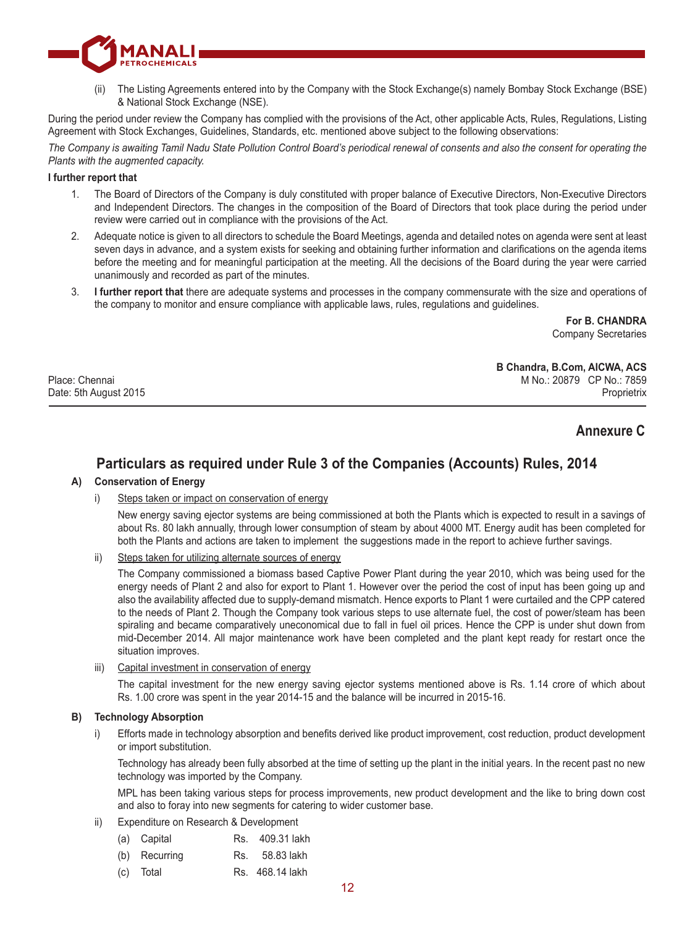

(ii) The Listing Agreements entered into by the Company with the Stock Exchange(s) namely Bombay Stock Exchange (BSE) & National Stock Exchange (NSE).

During the period under review the Company has complied with the provisions of the Act, other applicable Acts, Rules, Regulations, Listing Agreement with Stock Exchanges, Guidelines, Standards, etc. mentioned above subject to the following observations:

*The Company is awaiting Tamil Nadu State Pollution Control Board's periodical renewal of consents and also the consent for operating the Plants with the augmented capacity.*

#### **I further report that**

- 1. The Board of Directors of the Company is duly constituted with proper balance of Executive Directors, Non-Executive Directors and Independent Directors. The changes in the composition of the Board of Directors that took place during the period under review were carried out in compliance with the provisions of the Act.
- 2. Adequate notice is given to all directors to schedule the Board Meetings, agenda and detailed notes on agenda were sent at least seven days in advance, and a system exists for seeking and obtaining further information and clarifications on the agenda items before the meeting and for meaningful participation at the meeting. All the decisions of the Board during the year were carried unanimously and recorded as part of the minutes.
- 3. **I further report that** there are adequate systems and processes in the company commensurate with the size and operations of the company to monitor and ensure compliance with applicable laws, rules, regulations and guidelines.

**For B. CHANDRA** Company Secretaries

**B Chandra, B.Com, AICWA, ACS** Place: Chennai M No.: 20879 CP No.: 7859 Date: 5th August 2015 Proprietrix

# **Annexure C**

# **Particulars as required under Rule 3 of the Companies (Accounts) Rules, 2014**

# **A) Conservation of Energy**

i) Steps taken or impact on conservation of energy

 New energy saving ejector systems are being commissioned at both the Plants which is expected to result in a savings of about Rs. 80 lakh annually, through lower consumption of steam by about 4000 MT. Energy audit has been completed for both the Plants and actions are taken to implement the suggestions made in the report to achieve further savings.

ii) Steps taken for utilizing alternate sources of energy

 The Company commissioned a biomass based Captive Power Plant during the year 2010, which was being used for the energy needs of Plant 2 and also for export to Plant 1. However over the period the cost of input has been going up and also the availability affected due to supply-demand mismatch. Hence exports to Plant 1 were curtailed and the CPP catered to the needs of Plant 2. Though the Company took various steps to use alternate fuel, the cost of power/steam has been spiraling and became comparatively uneconomical due to fall in fuel oil prices. Hence the CPP is under shut down from mid-December 2014. All major maintenance work have been completed and the plant kept ready for restart once the situation improves.

iii) Capital investment in conservation of energy

 The capital investment for the new energy saving ejector systems mentioned above is Rs. 1.14 crore of which about Rs. 1.00 crore was spent in the year 2014-15 and the balance will be incurred in 2015-16.

# **B) Technology Absorption**

i) Efforts made in technology absorption and benefits derived like product improvement, cost reduction, product development or import substitution.

 Technology has already been fully absorbed at the time of setting up the plant in the initial years. In the recent past no new technology was imported by the Company.

 MPL has been taking various steps for process improvements, new product development and the like to bring down cost and also to foray into new segments for catering to wider customer base.

- ii) Expenditure on Research & Development
	- (a) Capital Rs. 409.31 lakh
	- (b) Recurring Rs. 58.83 lakh
	- (c) Total Rs. 468.14 lakh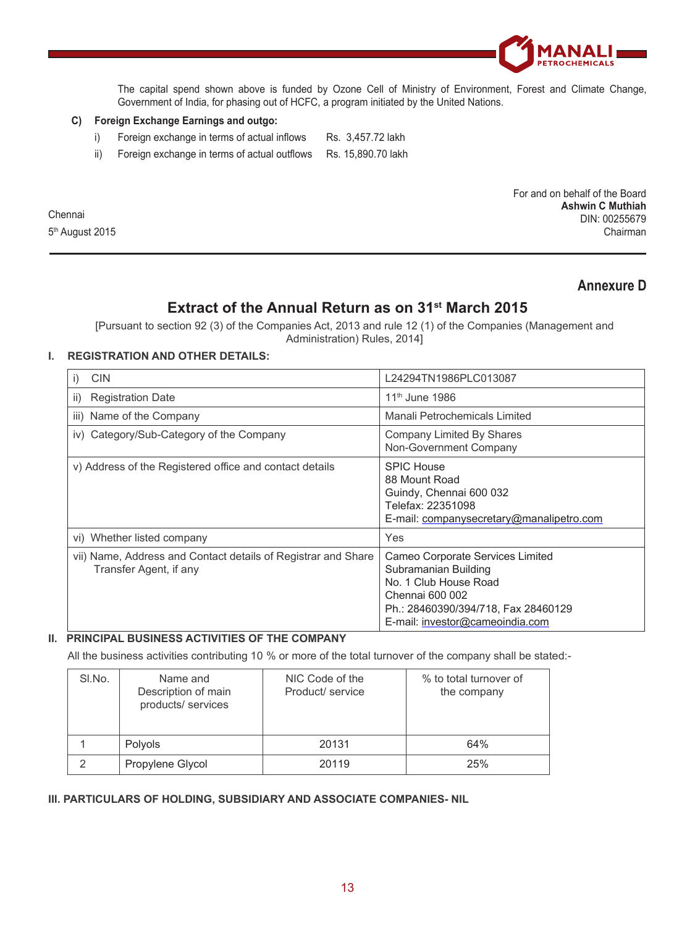

 The capital spend shown above is funded by Ozone Cell of Ministry of Environment, Forest and Climate Change, Government of India, for phasing out of HCFC, a program initiated by the United Nations.

# **C) Foreign Exchange Earnings and outgo:**

- i) Foreign exchange in terms of actual inflows Rs. 3,457.72 lakh
- ii) Foreign exchange in terms of actual outflows Rs. 15,890.70 lakh

For and on behalf of the Board **Ashwin C Muthiah** DIN: 00255679 Chairman

# **Annexure D**

# **Extract of the Annual Return as on 31st March 2015**

[Pursuant to section 92 (3) of the Companies Act, 2013 and rule 12 (1) of the Companies (Management and Administration) Rules, 2014]

# **I. REGISTRATION AND OTHER DETAILS:**

Chennai 5<sup>th</sup> August 2015

| <b>CIN</b>                                                                              | L24294TN1986PLC013087                                                                                                                                                          |
|-----------------------------------------------------------------------------------------|--------------------------------------------------------------------------------------------------------------------------------------------------------------------------------|
| <b>Registration Date</b><br>ii)                                                         | 11 <sup>th</sup> June 1986                                                                                                                                                     |
| iii) Name of the Company                                                                | Manali Petrochemicals Limited                                                                                                                                                  |
| iv) Category/Sub-Category of the Company                                                | Company Limited By Shares<br>Non-Government Company                                                                                                                            |
| v) Address of the Registered office and contact details                                 | <b>SPIC House</b><br>88 Mount Road<br>Guindy, Chennai 600 032<br>Telefax: 22351098<br>E-mail: companysecretary@manalipetro.com                                                 |
| vi) Whether listed company                                                              | Yes                                                                                                                                                                            |
| vii) Name, Address and Contact details of Registrar and Share<br>Transfer Agent, if any | Cameo Corporate Services Limited<br>Subramanian Building<br>No. 1 Club House Road<br>Chennai 600 002<br>Ph.: 28460390/394/718, Fax 28460129<br>E-mail: investor@cameoindia.com |

# **II. PRINCIPAL BUSINESS ACTIVITIES OF THE COMPANY**

All the business activities contributing 10 % or more of the total turnover of the company shall be stated:-

| SI.No. | Name and<br>Description of main<br>products/ services | NIC Code of the<br>Product/ service | % to total turnover of<br>the company |
|--------|-------------------------------------------------------|-------------------------------------|---------------------------------------|
|        | <b>Polyols</b>                                        | 20131                               | 64%                                   |
|        | Propylene Glycol                                      | 20119                               | 25%                                   |

# **III. PARTICULARS OF HOLDING, SUBSIDIARY AND ASSOCIATE COMPANIES- NIL**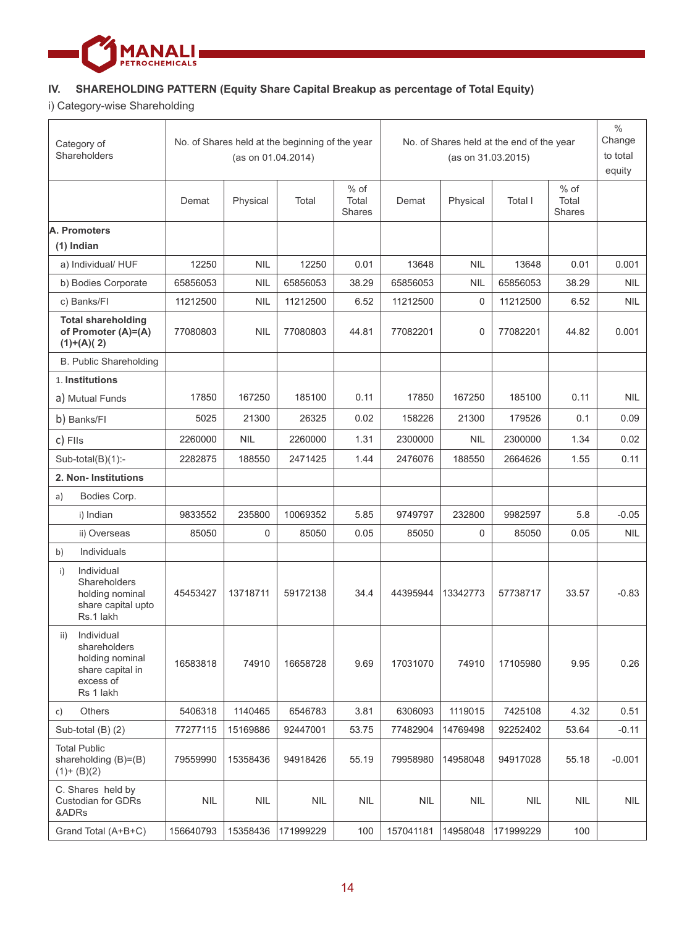

# **IV. SHAREHOLDING PATTERN (Equity Share Capital Breakup as percentage of Total Equity)**

i) Category-wise Shareholding

| Category of<br>Shareholders                                                                        |            | (as on 01.04.2014) | No. of Shares held at the beginning of the year |                                          | No. of Shares held at the end of the year<br>(as on 31.03.2015) |            |            |                                  | $\%$<br>Change<br>to total<br>equity |
|----------------------------------------------------------------------------------------------------|------------|--------------------|-------------------------------------------------|------------------------------------------|-----------------------------------------------------------------|------------|------------|----------------------------------|--------------------------------------|
|                                                                                                    | Demat      | Physical           | Total                                           | $%$ of<br>Total<br><b>Shares</b>         | Demat                                                           | Physical   | Total I    | $%$ of<br>Total<br><b>Shares</b> |                                      |
| A. Promoters                                                                                       |            |                    |                                                 |                                          |                                                                 |            |            |                                  |                                      |
| $(1)$ Indian                                                                                       |            |                    |                                                 |                                          |                                                                 |            |            |                                  |                                      |
| a) Individual/HUF                                                                                  | 12250      | <b>NIL</b>         | 12250                                           | 0.01                                     | 13648                                                           | <b>NIL</b> | 13648      | 0.01                             | 0.001                                |
| b) Bodies Corporate                                                                                | 65856053   | <b>NIL</b>         | 65856053                                        | 38.29                                    | 65856053                                                        | <b>NIL</b> | 65856053   | 38.29                            | <b>NIL</b>                           |
| c) Banks/FI                                                                                        | 11212500   | <b>NIL</b>         | 11212500                                        | 6.52                                     | 11212500                                                        | 0          | 11212500   | 6.52                             | <b>NIL</b>                           |
| <b>Total shareholding</b><br>of Promoter (A)=(A)<br>$(1)+(A)(2)$                                   | 77080803   | <b>NIL</b>         | 77080803                                        | 44.81                                    | 77082201                                                        | 0          | 77082201   | 44.82                            | 0.001                                |
| <b>B. Public Shareholding</b>                                                                      |            |                    |                                                 |                                          |                                                                 |            |            |                                  |                                      |
| 1. Institutions                                                                                    |            |                    |                                                 |                                          |                                                                 |            |            |                                  |                                      |
| a) Mutual Funds                                                                                    | 17850      | 167250             | 185100                                          | 0.11                                     | 17850                                                           | 167250     | 185100     | 0.11                             | <b>NIL</b>                           |
| b) Banks/FI                                                                                        | 5025       | 21300              | 26325                                           | 0.02                                     | 158226                                                          | 21300      | 179526     | 0.1                              | 0.09                                 |
| c) Fils                                                                                            | 2260000    | <b>NIL</b>         | 2260000                                         | 1.31<br>2300000<br><b>NIL</b><br>2300000 |                                                                 | 1.34       | 0.02       |                                  |                                      |
| $Sub-total(B)(1)$ :-                                                                               | 2282875    | 188550             | 2471425                                         | 1.44                                     | 2476076                                                         | 188550     | 2664626    | 1.55                             | 0.11                                 |
| 2. Non-Institutions                                                                                |            |                    |                                                 |                                          |                                                                 |            |            |                                  |                                      |
| Bodies Corp.<br>a)                                                                                 |            |                    |                                                 |                                          |                                                                 |            |            |                                  |                                      |
| i) Indian                                                                                          | 9833552    | 235800             | 10069352                                        | 5.85                                     | 9749797                                                         | 232800     | 9982597    | 5.8                              | $-0.05$                              |
| ii) Overseas                                                                                       | 85050      | 0                  | 85050                                           | 0.05                                     | 85050                                                           | 0          | 85050      | 0.05                             | <b>NIL</b>                           |
| Individuals<br>b)                                                                                  |            |                    |                                                 |                                          |                                                                 |            |            |                                  |                                      |
| Individual<br>i)<br>Shareholders<br>holding nominal<br>share capital upto<br>Rs.1 lakh             | 45453427   | 13718711           | 59172138                                        | 34.4                                     | 44395944                                                        | 13342773   | 57738717   | 33.57                            | $-0.83$                              |
| Individual<br>ii)<br>shareholders<br>holding nominal<br>share capital in<br>excess of<br>Rs 1 lakh | 16583818   | 74910              | 16658728                                        | 9.69                                     | 17031070                                                        | 74910      | 17105980   | 9.95                             | 0.26                                 |
| <b>Others</b><br>c)                                                                                | 5406318    | 1140465            | 6546783                                         | 3.81                                     | 6306093                                                         | 1119015    | 7425108    | 4.32                             | 0.51                                 |
| Sub-total (B) (2)                                                                                  | 77277115   | 15169886           | 92447001                                        | 53.75                                    | 77482904                                                        | 14769498   | 92252402   | 53.64                            | -0.11                                |
| <b>Total Public</b><br>shareholding $(B)= (B)$<br>$(1)+(B)(2)$                                     | 79559990   | 15358436           | 94918426                                        | 55.19                                    | 79958980                                                        | 14958048   | 94917028   | 55.18                            | $-0.001$                             |
| C. Shares held by<br><b>Custodian for GDRs</b><br>&ADRs                                            | <b>NIL</b> | <b>NIL</b>         | NIL                                             | NIL                                      | NIL                                                             | NIL        | <b>NIL</b> | NIL                              | NIL                                  |
| Grand Total (A+B+C)                                                                                | 156640793  | 15358436           | 171999229                                       | 100                                      | 157041181                                                       | 14958048   | 171999229  | 100                              |                                      |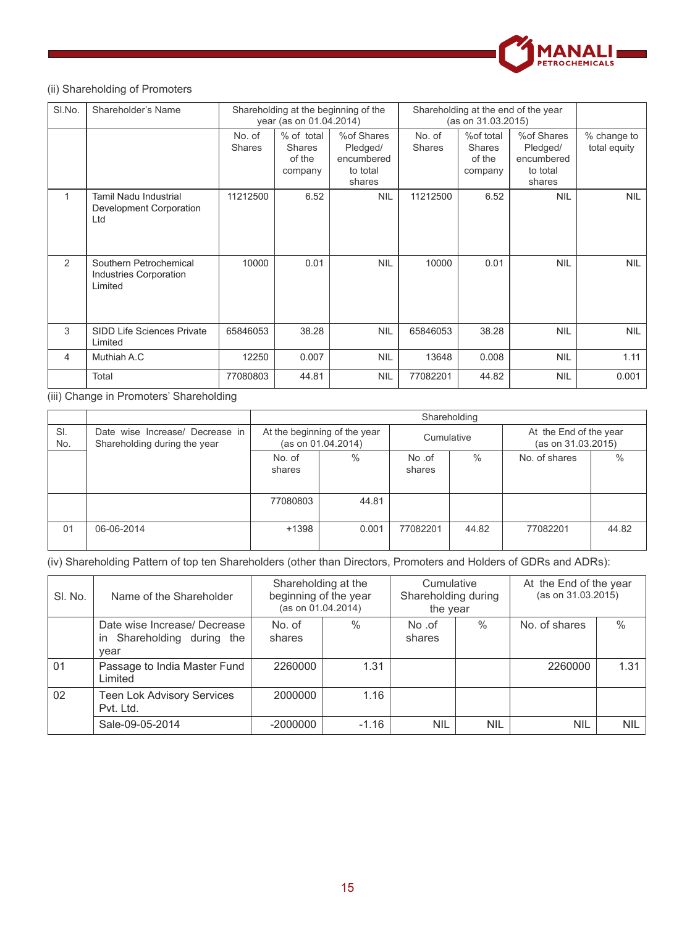

# (ii) Shareholding of Promoters

| SI.No.       | Shareholder's Name                                          |                         | year (as on 01.04.2014)                          | Shareholding at the beginning of the                       | Shareholding at the end of the year<br>(as on 31.03.2015) |                                          |                                                            |                             |
|--------------|-------------------------------------------------------------|-------------------------|--------------------------------------------------|------------------------------------------------------------|-----------------------------------------------------------|------------------------------------------|------------------------------------------------------------|-----------------------------|
|              |                                                             | No. of<br><b>Shares</b> | % of total<br><b>Shares</b><br>of the<br>company | %of Shares<br>Pledged/<br>encumbered<br>to total<br>shares | No. of<br><b>Shares</b>                                   | %of total<br>Shares<br>of the<br>company | %of Shares<br>Pledged/<br>encumbered<br>to total<br>shares | % change to<br>total equity |
| $\mathbf{1}$ | Tamil Nadu Industrial<br>Development Corporation<br>Ltd     | 11212500                | 6.52                                             | <b>NIL</b>                                                 | 11212500                                                  | 6.52                                     | <b>NIL</b>                                                 | <b>NIL</b>                  |
| 2            | Southern Petrochemical<br>Industries Corporation<br>Limited | 10000                   | 0.01                                             | <b>NIL</b>                                                 | 10000                                                     | 0.01                                     | <b>NIL</b>                                                 | <b>NIL</b>                  |
| 3            | <b>SIDD Life Sciences Private</b><br>Limited                | 65846053                | 38.28                                            | <b>NIL</b>                                                 | 65846053                                                  | 38.28                                    | <b>NIL</b>                                                 | <b>NIL</b>                  |
| 4            | Muthiah A.C                                                 | 12250                   | 0.007                                            | <b>NIL</b>                                                 | 13648                                                     | 0.008                                    | <b>NIL</b>                                                 | 1.11                        |
|              | Total                                                       | 77080803                | 44.81                                            | <b>NIL</b>                                                 | 77082201                                                  | 44.82                                    | <b>NIL</b>                                                 | 0.001                       |

(iii) Change in Promoters' Shareholding

|            |                                                                 | Shareholding                                       |               |                 |               |                                              |               |
|------------|-----------------------------------------------------------------|----------------------------------------------------|---------------|-----------------|---------------|----------------------------------------------|---------------|
| SI.<br>No. | Date wise Increase/ Decrease in<br>Shareholding during the year | At the beginning of the year<br>(as on 01.04.2014) |               | Cumulative      |               | At the End of the year<br>(as on 31.03.2015) |               |
|            |                                                                 | No. of<br>shares                                   | $\frac{0}{0}$ | No of<br>shares | $\frac{0}{0}$ | No. of shares                                | $\frac{0}{0}$ |
|            |                                                                 | 77080803                                           | 44.81         |                 |               |                                              |               |
| 01         | 06-06-2014                                                      | +1398                                              | 0.001         | 77082201        | 44.82         | 77082201                                     | 44.82         |

(iv) Shareholding Pattern of top ten Shareholders (other than Directors, Promoters and Holders of GDRs and ADRs):

| SI. No. | Name of the Shareholder                                                         | Shareholding at the<br>beginning of the year<br>(as on 01.04.2014) |               | Cumulative<br>Shareholding during<br>the year |            | At the End of the year<br>(as on 31.03.2015) |               |
|---------|---------------------------------------------------------------------------------|--------------------------------------------------------------------|---------------|-----------------------------------------------|------------|----------------------------------------------|---------------|
|         | Date wise Increase/ Decrease<br>Shareholding during the<br>$\mathsf{I}$<br>year | No. of<br>shares                                                   | $\frac{0}{0}$ | No of<br>shares                               | $\%$       | No. of shares                                | $\frac{0}{0}$ |
| 01      | Passage to India Master Fund<br>Limited                                         | 2260000                                                            | 1.31          |                                               |            | 2260000                                      | 1.31          |
| 02      | Teen Lok Advisory Services<br>Pvt. Ltd.                                         | 2000000                                                            | 1.16          |                                               |            |                                              |               |
|         | Sale-09-05-2014                                                                 | $-2000000$                                                         | $-1.16$       | <b>NIL</b>                                    | <b>NIL</b> | <b>NIL</b>                                   | <b>NIL</b>    |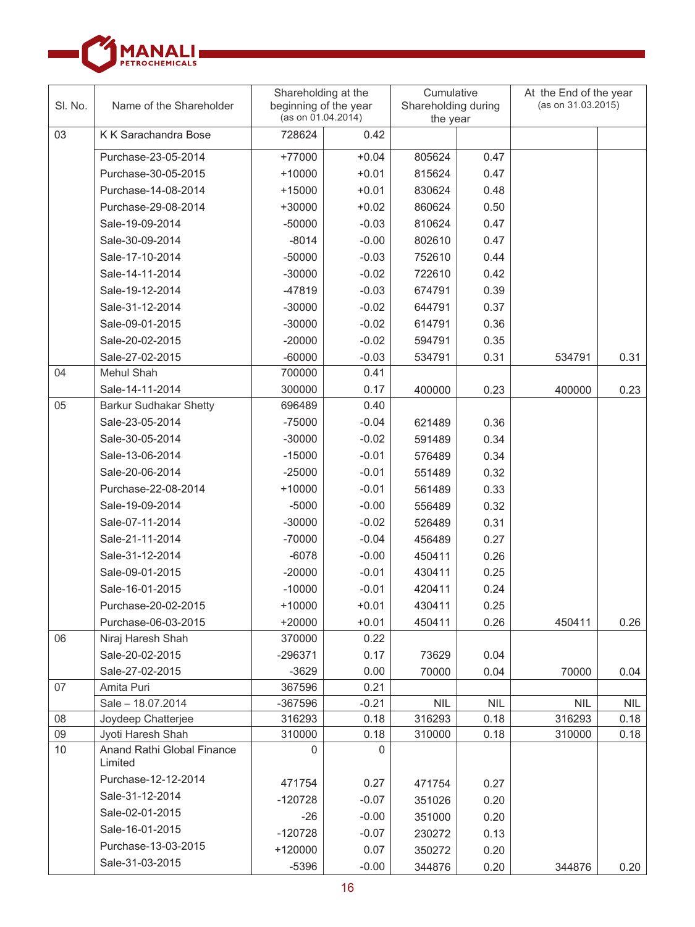

| SI. No. | Name of the Shareholder               | Shareholding at the<br>beginning of the year<br>(as on 01.04.2014) |         | Cumulative<br>Shareholding during<br>the year |            | At the End of the year<br>(as on 31.03.2015) |      |
|---------|---------------------------------------|--------------------------------------------------------------------|---------|-----------------------------------------------|------------|----------------------------------------------|------|
| 03      | K K Sarachandra Bose                  | 728624                                                             | 0.42    |                                               |            |                                              |      |
|         | Purchase-23-05-2014                   | +77000                                                             | $+0.04$ | 805624                                        | 0.47       |                                              |      |
|         | Purchase-30-05-2015                   | +10000                                                             | $+0.01$ | 815624                                        | 0.47       |                                              |      |
|         | Purchase-14-08-2014                   | +15000                                                             | $+0.01$ | 830624                                        | 0.48       |                                              |      |
|         | Purchase-29-08-2014                   | +30000                                                             | $+0.02$ | 860624                                        | 0.50       |                                              |      |
|         | Sale-19-09-2014                       | $-50000$                                                           | $-0.03$ | 810624                                        | 0.47       |                                              |      |
|         | Sale-30-09-2014                       | $-8014$                                                            | $-0.00$ | 802610                                        | 0.47       |                                              |      |
|         | Sale-17-10-2014                       | $-50000$                                                           | $-0.03$ | 752610                                        | 0.44       |                                              |      |
|         | Sale-14-11-2014                       | $-30000$                                                           | $-0.02$ | 722610                                        | 0.42       |                                              |      |
|         | Sale-19-12-2014                       | -47819                                                             | $-0.03$ | 674791                                        | 0.39       |                                              |      |
|         | Sale-31-12-2014                       | $-30000$                                                           | $-0.02$ | 644791                                        | 0.37       |                                              |      |
|         | Sale-09-01-2015                       | $-30000$                                                           | $-0.02$ | 614791                                        | 0.36       |                                              |      |
|         | Sale-20-02-2015                       | $-20000$                                                           | $-0.02$ | 594791                                        | 0.35       |                                              |      |
|         | Sale-27-02-2015                       | $-60000$                                                           | $-0.03$ | 534791                                        | 0.31       | 534791                                       | 0.31 |
| 04      | Mehul Shah                            | 700000                                                             | 0.41    |                                               |            |                                              |      |
|         | Sale-14-11-2014                       | 300000                                                             | 0.17    | 400000                                        | 0.23       | 400000                                       | 0.23 |
| 05      | <b>Barkur Sudhakar Shetty</b>         | 696489                                                             | 0.40    |                                               |            |                                              |      |
|         | Sale-23-05-2014                       | $-75000$                                                           | $-0.04$ | 621489                                        | 0.36       |                                              |      |
|         | Sale-30-05-2014                       | $-30000$                                                           | $-0.02$ | 591489                                        | 0.34       |                                              |      |
|         | Sale-13-06-2014                       | $-15000$                                                           | $-0.01$ | 576489                                        | 0.34       |                                              |      |
|         | Sale-20-06-2014                       | $-25000$                                                           | $-0.01$ | 551489                                        | 0.32       |                                              |      |
|         | Purchase-22-08-2014                   | +10000                                                             | $-0.01$ | 561489                                        | 0.33       |                                              |      |
|         | Sale-19-09-2014                       | $-5000$                                                            | $-0.00$ | 556489                                        | 0.32       |                                              |      |
|         | Sale-07-11-2014                       | $-30000$                                                           | $-0.02$ | 526489                                        | 0.31       |                                              |      |
|         | Sale-21-11-2014                       | $-70000$                                                           | $-0.04$ | 456489                                        | 0.27       |                                              |      |
|         | Sale-31-12-2014                       | $-6078$                                                            | $-0.00$ | 450411                                        | 0.26       |                                              |      |
|         | Sale-09-01-2015                       | $-20000$                                                           | $-0.01$ | 430411                                        | 0.25       |                                              |      |
|         | Sale-16-01-2015                       | $-10000$                                                           | $-0.01$ | 420411                                        | 0.24       |                                              |      |
|         | Purchase-20-02-2015                   | +10000                                                             | $+0.01$ | 430411                                        | 0.25       |                                              |      |
|         | Purchase-06-03-2015                   | $+20000$                                                           | $+0.01$ | 450411                                        | 0.26       | 450411                                       | 0.26 |
| 06      | Niraj Haresh Shah                     | 370000                                                             | 0.22    |                                               |            |                                              |      |
|         | Sale-20-02-2015                       | -296371                                                            | 0.17    | 73629                                         | 0.04       |                                              |      |
|         | Sale-27-02-2015                       | $-3629$                                                            | 0.00    | 70000                                         | 0.04       | 70000                                        | 0.04 |
| 07      | Amita Puri                            | 367596                                                             | 0.21    |                                               |            |                                              |      |
|         | Sale - 18.07.2014                     | -367596                                                            | $-0.21$ | <b>NIL</b>                                    | <b>NIL</b> | <b>NIL</b>                                   | NIL  |
| 08      | Joydeep Chatterjee                    | 316293                                                             | 0.18    | 316293                                        | 0.18       | 316293                                       | 0.18 |
| 09      | Jyoti Haresh Shah                     | 310000                                                             | 0.18    | 310000                                        | 0.18       | 310000                                       | 0.18 |
| 10      | Anand Rathi Global Finance<br>Limited | 0                                                                  | 0       |                                               |            |                                              |      |
|         | Purchase-12-12-2014                   | 471754                                                             | 0.27    | 471754                                        | 0.27       |                                              |      |
|         | Sale-31-12-2014                       | $-120728$                                                          | $-0.07$ | 351026                                        | 0.20       |                                              |      |
|         | Sale-02-01-2015                       | -26                                                                | $-0.00$ | 351000                                        | 0.20       |                                              |      |
|         | Sale-16-01-2015                       | $-120728$                                                          | $-0.07$ | 230272                                        | 0.13       |                                              |      |
|         | Purchase-13-03-2015                   | +120000                                                            | 0.07    | 350272                                        | 0.20       |                                              |      |
|         | Sale-31-03-2015                       | $-5396$                                                            | $-0.00$ | 344876                                        | 0.20       | 344876                                       | 0.20 |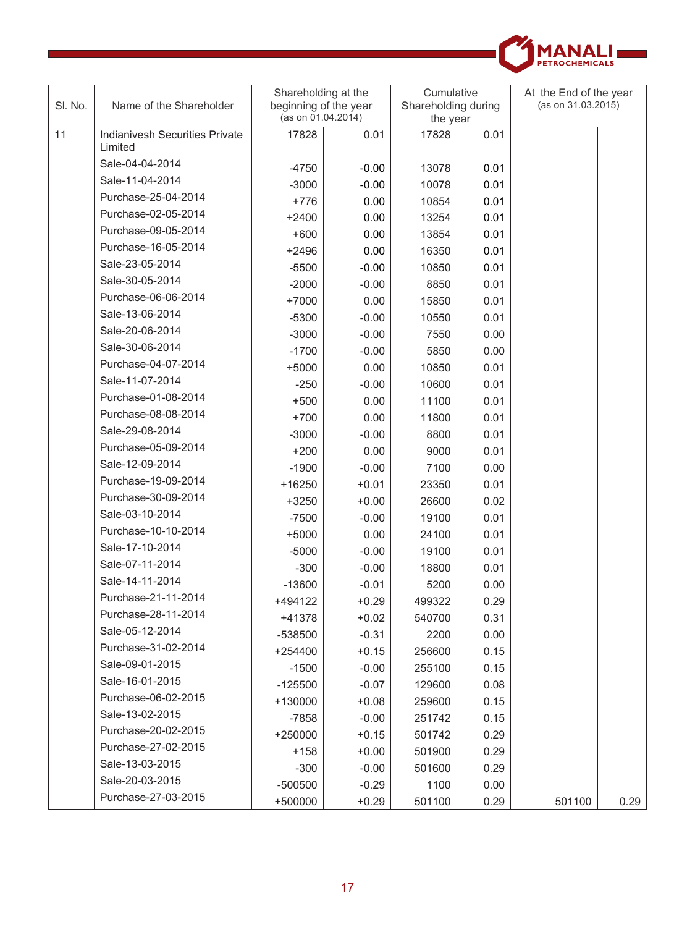

| SI. No. | Name of the Shareholder                          | Shareholding at the<br>beginning of the year<br>(as on 01.04.2014) |         | Cumulative<br>Shareholding during<br>the year |      | At the End of the year<br>(as on 31.03.2015) |      |
|---------|--------------------------------------------------|--------------------------------------------------------------------|---------|-----------------------------------------------|------|----------------------------------------------|------|
| 11      | <b>Indianivesh Securities Private</b><br>Limited | 17828                                                              | 0.01    | 17828                                         | 0.01 |                                              |      |
|         | Sale-04-04-2014                                  | -4750                                                              | $-0.00$ | 13078                                         | 0.01 |                                              |      |
|         | Sale-11-04-2014                                  | $-3000$                                                            | $-0.00$ | 10078                                         | 0.01 |                                              |      |
|         | Purchase-25-04-2014                              | $+776$                                                             | 0.00    | 10854                                         | 0.01 |                                              |      |
|         | Purchase-02-05-2014                              | +2400                                                              | 0.00    | 13254                                         | 0.01 |                                              |      |
|         | Purchase-09-05-2014                              | $+600$                                                             | 0.00    | 13854                                         | 0.01 |                                              |      |
|         | Purchase-16-05-2014                              | $+2496$                                                            | 0.00    | 16350                                         | 0.01 |                                              |      |
|         | Sale-23-05-2014                                  | $-5500$                                                            | $-0.00$ | 10850                                         | 0.01 |                                              |      |
|         | Sale-30-05-2014                                  | $-2000$                                                            | $-0.00$ | 8850                                          | 0.01 |                                              |      |
|         | Purchase-06-06-2014                              | $+7000$                                                            | 0.00    | 15850                                         | 0.01 |                                              |      |
|         | Sale-13-06-2014                                  | $-5300$                                                            | $-0.00$ | 10550                                         | 0.01 |                                              |      |
|         | Sale-20-06-2014                                  | $-3000$                                                            | $-0.00$ | 7550                                          | 0.00 |                                              |      |
|         | Sale-30-06-2014                                  | $-1700$                                                            | $-0.00$ | 5850                                          | 0.00 |                                              |      |
|         | Purchase-04-07-2014                              | +5000                                                              | 0.00    | 10850                                         | 0.01 |                                              |      |
|         | Sale-11-07-2014                                  | $-250$                                                             | $-0.00$ | 10600                                         | 0.01 |                                              |      |
|         | Purchase-01-08-2014                              | $+500$                                                             | 0.00    | 11100                                         | 0.01 |                                              |      |
|         | Purchase-08-08-2014                              | $+700$                                                             | 0.00    | 11800                                         | 0.01 |                                              |      |
|         | Sale-29-08-2014                                  | $-3000$                                                            | $-0.00$ | 8800                                          | 0.01 |                                              |      |
|         | Purchase-05-09-2014                              | $+200$                                                             | 0.00    | 9000                                          | 0.01 |                                              |      |
|         | Sale-12-09-2014                                  | $-1900$                                                            | $-0.00$ | 7100                                          | 0.00 |                                              |      |
|         | Purchase-19-09-2014                              | +16250                                                             | $+0.01$ | 23350                                         | 0.01 |                                              |      |
|         | Purchase-30-09-2014                              | +3250                                                              | $+0.00$ | 26600                                         | 0.02 |                                              |      |
|         | Sale-03-10-2014                                  | $-7500$                                                            | $-0.00$ | 19100                                         | 0.01 |                                              |      |
|         | Purchase-10-10-2014                              | $+5000$                                                            | 0.00    | 24100                                         | 0.01 |                                              |      |
|         | Sale-17-10-2014                                  | $-5000$                                                            | $-0.00$ | 19100                                         | 0.01 |                                              |      |
|         | Sale-07-11-2014                                  | $-300$                                                             | $-0.00$ | 18800                                         | 0.01 |                                              |      |
|         | Sale-14-11-2014                                  | -13600                                                             | $-0.01$ | 5200                                          | 0.00 |                                              |      |
|         | Purchase-21-11-2014                              | +494122                                                            | $+0.29$ | 499322                                        | 0.29 |                                              |      |
|         | Purchase-28-11-2014                              | +41378                                                             | $+0.02$ | 540700                                        | 0.31 |                                              |      |
|         | Sale-05-12-2014                                  | -538500                                                            | $-0.31$ | 2200                                          | 0.00 |                                              |      |
|         | Purchase-31-02-2014                              | +254400                                                            | $+0.15$ | 256600                                        | 0.15 |                                              |      |
|         | Sale-09-01-2015                                  | $-1500$                                                            | $-0.00$ | 255100                                        | 0.15 |                                              |      |
|         | Sale-16-01-2015                                  | $-125500$                                                          | $-0.07$ | 129600                                        | 0.08 |                                              |      |
|         | Purchase-06-02-2015                              | +130000                                                            | $+0.08$ | 259600                                        | 0.15 |                                              |      |
|         | Sale-13-02-2015                                  | $-7858$                                                            | $-0.00$ | 251742                                        | 0.15 |                                              |      |
|         | Purchase-20-02-2015                              | +250000                                                            | $+0.15$ | 501742                                        | 0.29 |                                              |      |
|         | Purchase-27-02-2015                              | $+158$                                                             | $+0.00$ | 501900                                        | 0.29 |                                              |      |
|         | Sale-13-03-2015                                  | $-300$                                                             | $-0.00$ | 501600                                        | 0.29 |                                              |      |
|         | Sale-20-03-2015                                  | -500500                                                            | $-0.29$ | 1100                                          | 0.00 |                                              |      |
|         | Purchase-27-03-2015                              | +500000                                                            | $+0.29$ | 501100                                        | 0.29 | 501100                                       | 0.29 |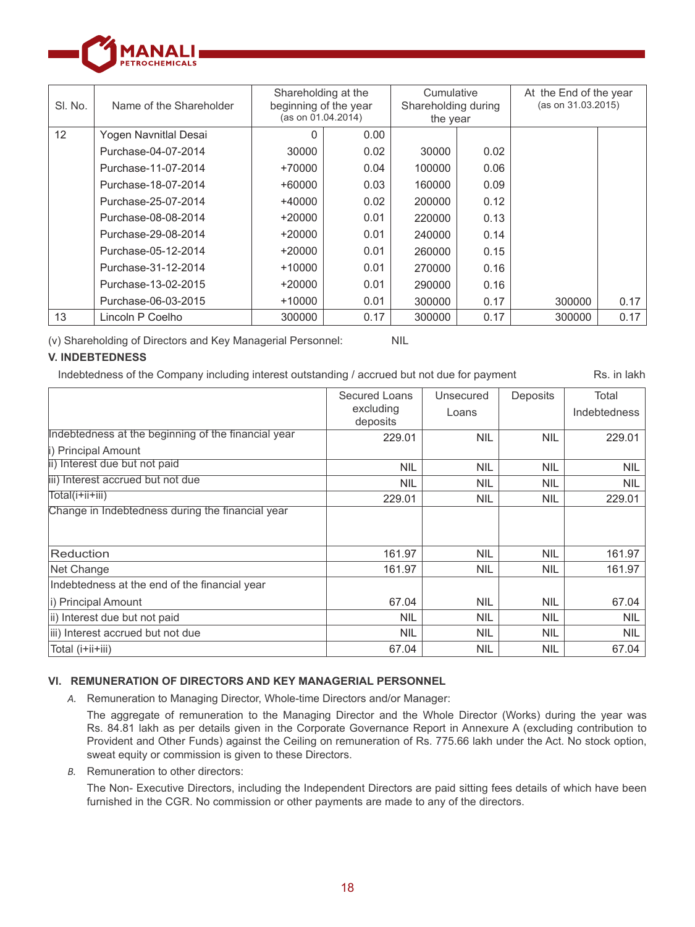

| SI. No. | Name of the Shareholder | Shareholding at the<br>beginning of the year<br>(as on 01.04.2014) |      | Cumulative<br>Shareholding during<br>the year |      | At the End of the year<br>(as on 31.03.2015) |      |
|---------|-------------------------|--------------------------------------------------------------------|------|-----------------------------------------------|------|----------------------------------------------|------|
| 12      | Yogen Navnitlal Desai   | ი                                                                  | 0.00 |                                               |      |                                              |      |
|         | Purchase-04-07-2014     | 30000                                                              | 0.02 | 30000                                         | 0.02 |                                              |      |
|         | Purchase-11-07-2014     | +70000                                                             | 0.04 | 100000                                        | 0.06 |                                              |      |
|         | Purchase-18-07-2014     | $+60000$                                                           | 0.03 | 160000                                        | 0.09 |                                              |      |
|         | Purchase-25-07-2014     | +40000                                                             | 0.02 | 200000                                        | 0.12 |                                              |      |
|         | Purchase-08-08-2014     | $+20000$                                                           | 0.01 | 220000                                        | 0.13 |                                              |      |
|         | Purchase-29-08-2014     | $+20000$                                                           | 0.01 | 240000                                        | 0.14 |                                              |      |
|         | Purchase-05-12-2014     | $+20000$                                                           | 0.01 | 260000                                        | 0.15 |                                              |      |
|         | Purchase-31-12-2014     | $+10000$                                                           | 0.01 | 270000                                        | 0.16 |                                              |      |
|         | Purchase-13-02-2015     | +20000                                                             | 0.01 | 290000                                        | 0.16 |                                              |      |
|         | Purchase-06-03-2015     | $+10000$                                                           | 0.01 | 300000                                        | 0.17 | 300000                                       | 0.17 |
| 13      | Lincoln P Coelho        | 300000                                                             | 0.17 | 300000                                        | 0.17 | 300000                                       | 0.17 |

(v) Shareholding of Directors and Key Managerial Personnel: NIL

# **V. INDEBTEDNESS**

Indebtedness of the Company including interest outstanding / accrued but not due for payment Rs. in lakh

|                                                     | Secured Loans         | Unsecured  | Deposits   | Total        |
|-----------------------------------------------------|-----------------------|------------|------------|--------------|
|                                                     | excluding<br>deposits | Loans      |            | Indebtedness |
| Indebtedness at the beginning of the financial year | 229.01                | <b>NIL</b> | <b>NIL</b> | 229.01       |
| i) Principal Amount                                 |                       |            |            |              |
| ii) Interest due but not paid                       | <b>NIL</b>            | <b>NIL</b> | <b>NIL</b> | <b>NIL</b>   |
| iii) Interest accrued but not due                   | <b>NIL</b>            | <b>NIL</b> | NIL        | <b>NIL</b>   |
| Total(i+ii+iii)                                     | 229.01                | <b>NIL</b> | <b>NIL</b> | 229.01       |
| Change in Indebtedness during the financial year    |                       |            |            |              |
| Reduction                                           | 161.97                | <b>NIL</b> | NIL        | 161.97       |
| Net Change                                          | 161.97                | <b>NIL</b> | <b>NIL</b> | 161.97       |
| Indebtedness at the end of the financial year       |                       |            |            |              |
| i) Principal Amount                                 | 67.04                 | <b>NIL</b> | <b>NIL</b> | 67.04        |
| ii) Interest due but not paid                       | <b>NIL</b>            | <b>NIL</b> | <b>NIL</b> | <b>NIL</b>   |
| iii) Interest accrued but not due                   | <b>NIL</b>            | <b>NIL</b> | <b>NIL</b> | <b>NIL</b>   |
| Total (i+ii+iii)                                    | 67.04                 | <b>NIL</b> | <b>NIL</b> | 67.04        |

# **VI. REMUNERATION OF DIRECTORS AND KEY MANAGERIAL PERSONNEL**

*A.* Remuneration to Managing Director, Whole-time Directors and/or Manager:

The aggregate of remuneration to the Managing Director and the Whole Director (Works) during the year was Rs. 84.81 lakh as per details given in the Corporate Governance Report in Annexure A (excluding contribution to Provident and Other Funds) against the Ceiling on remuneration of Rs. 775.66 lakh under the Act. No stock option, sweat equity or commission is given to these Directors.

*B.* Remuneration to other directors:

The Non- Executive Directors, including the Independent Directors are paid sitting fees details of which have been furnished in the CGR. No commission or other payments are made to any of the directors.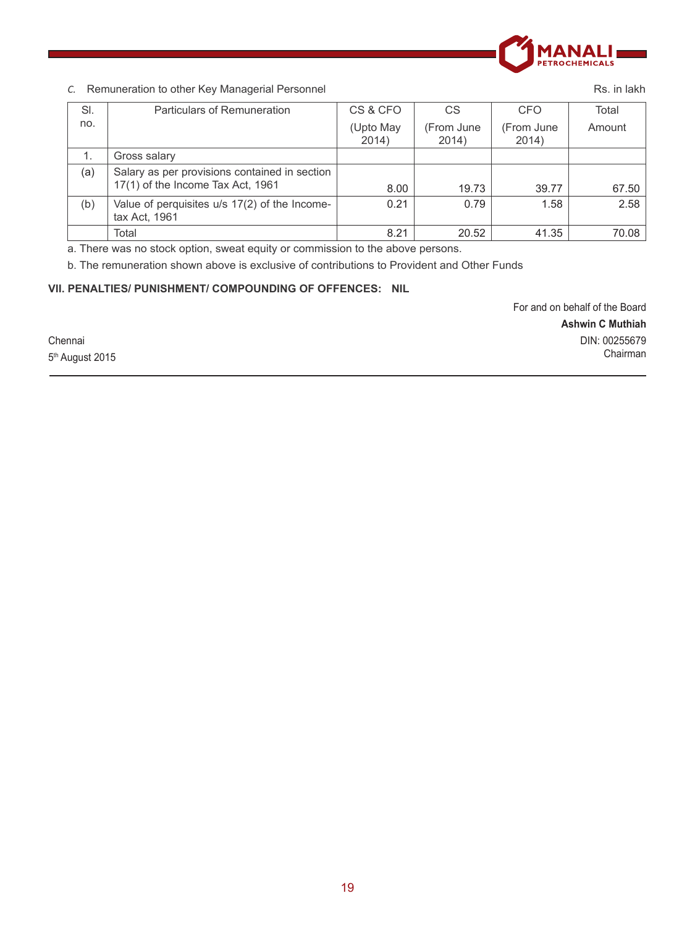

# *C.* Remuneration to other Key Managerial Personnel **Remuneration of the Contract Remuneration** Rs. in lakh

Particulars of Remuneration CS & CFO (Upto May  $2014)$ CS (From June 2014) CFO (From June 2014) Total Amount 1. Gross salary (a) Salary as per provisions contained in section 17(1) of the Income Tax Act, 1961 8.00 19.73 39.77 67.50 (b) Value of perquisites  $u/s$  17(2) of the Incometax Act, 1961  $0.21$  0.79 1.58 2.58 Total 6.1  $3.21$  20.52  $41.35$  70.08

a. There was no stock option, sweat equity or commission to the above persons.

b. The remuneration shown above is exclusive of contributions to Provident and Other Funds

# **VII. PENALTIES/ PUNISHMENT/ COMPOUNDING OF OFFENCES: NIL**

Chennai 5th August 2015 **Ashwin C Muthiah** DIN: 00255679 Chairman

Sl. no.

For and on behalf of the Board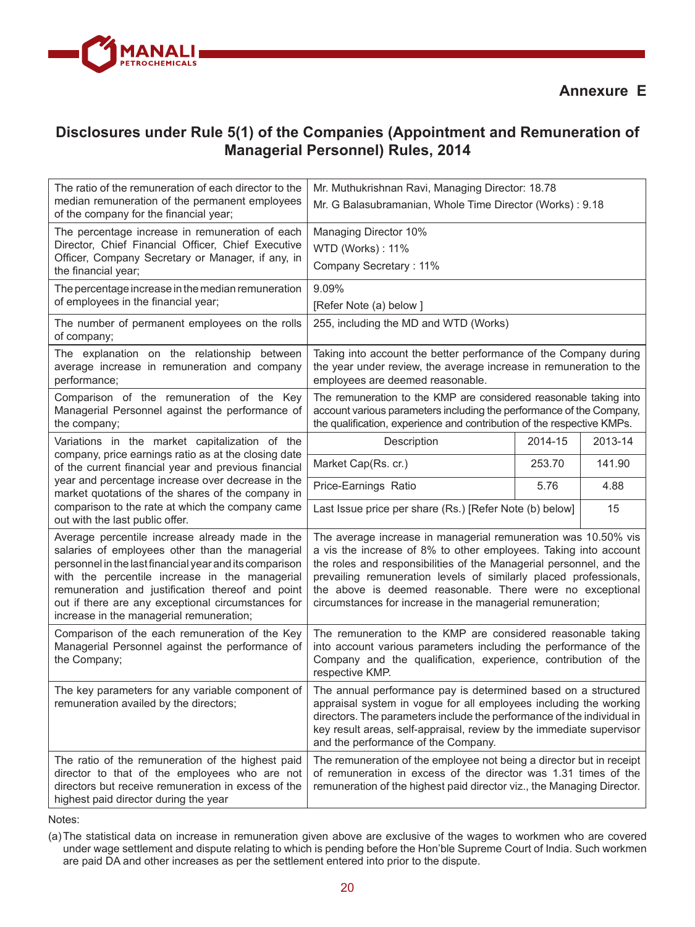

# **Disclosures under Rule 5(1) of the Companies (Appointment and Remuneration of Managerial Personnel) Rules, 2014**

| The ratio of the remuneration of each director to the                                                                                                                                                                                                                                                                                                                 | Mr. Muthukrishnan Ravi, Managing Director: 18.78                                                                                                                                                                                                                                                                                                                                                          |         |         |  |  |
|-----------------------------------------------------------------------------------------------------------------------------------------------------------------------------------------------------------------------------------------------------------------------------------------------------------------------------------------------------------------------|-----------------------------------------------------------------------------------------------------------------------------------------------------------------------------------------------------------------------------------------------------------------------------------------------------------------------------------------------------------------------------------------------------------|---------|---------|--|--|
| median remuneration of the permanent employees<br>of the company for the financial year;                                                                                                                                                                                                                                                                              | Mr. G Balasubramanian, Whole Time Director (Works): 9.18                                                                                                                                                                                                                                                                                                                                                  |         |         |  |  |
| The percentage increase in remuneration of each                                                                                                                                                                                                                                                                                                                       | Managing Director 10%                                                                                                                                                                                                                                                                                                                                                                                     |         |         |  |  |
| Director, Chief Financial Officer, Chief Executive<br>Officer, Company Secretary or Manager, if any, in                                                                                                                                                                                                                                                               | WTD (Works): 11%                                                                                                                                                                                                                                                                                                                                                                                          |         |         |  |  |
| the financial year;                                                                                                                                                                                                                                                                                                                                                   | Company Secretary: 11%                                                                                                                                                                                                                                                                                                                                                                                    |         |         |  |  |
| The percentage increase in the median remuneration<br>of employees in the financial year;                                                                                                                                                                                                                                                                             | 9.09%                                                                                                                                                                                                                                                                                                                                                                                                     |         |         |  |  |
|                                                                                                                                                                                                                                                                                                                                                                       | [Refer Note (a) below]                                                                                                                                                                                                                                                                                                                                                                                    |         |         |  |  |
| The number of permanent employees on the rolls<br>of company;                                                                                                                                                                                                                                                                                                         | 255, including the MD and WTD (Works)                                                                                                                                                                                                                                                                                                                                                                     |         |         |  |  |
| The explanation on the relationship between<br>average increase in remuneration and company<br>performance;                                                                                                                                                                                                                                                           | Taking into account the better performance of the Company during<br>the year under review, the average increase in remuneration to the<br>employees are deemed reasonable.                                                                                                                                                                                                                                |         |         |  |  |
| Comparison of the remuneration of the Key<br>Managerial Personnel against the performance of<br>the company;                                                                                                                                                                                                                                                          | The remuneration to the KMP are considered reasonable taking into<br>account various parameters including the performance of the Company,<br>the qualification, experience and contribution of the respective KMPs.                                                                                                                                                                                       |         |         |  |  |
| Variations in the market capitalization of the<br>company, price earnings ratio as at the closing date                                                                                                                                                                                                                                                                | Description                                                                                                                                                                                                                                                                                                                                                                                               | 2014-15 | 2013-14 |  |  |
| of the current financial year and previous financial                                                                                                                                                                                                                                                                                                                  | Market Cap(Rs. cr.)                                                                                                                                                                                                                                                                                                                                                                                       | 253.70  | 141.90  |  |  |
| year and percentage increase over decrease in the<br>market quotations of the shares of the company in                                                                                                                                                                                                                                                                | Price-Earnings Ratio                                                                                                                                                                                                                                                                                                                                                                                      | 5.76    | 4.88    |  |  |
| comparison to the rate at which the company came<br>out with the last public offer.                                                                                                                                                                                                                                                                                   | Last Issue price per share (Rs.) [Refer Note (b) below]<br>15                                                                                                                                                                                                                                                                                                                                             |         |         |  |  |
| Average percentile increase already made in the<br>salaries of employees other than the managerial<br>personnel in the last financial year and its comparison<br>with the percentile increase in the managerial<br>remuneration and justification thereof and point<br>out if there are any exceptional circumstances for<br>increase in the managerial remuneration; | The average increase in managerial remuneration was 10.50% vis<br>a vis the increase of 8% to other employees. Taking into account<br>the roles and responsibilities of the Managerial personnel, and the<br>prevailing remuneration levels of similarly placed professionals,<br>the above is deemed reasonable. There were no exceptional<br>circumstances for increase in the managerial remuneration; |         |         |  |  |
| Comparison of the each remuneration of the Key<br>Managerial Personnel against the performance of<br>the Company;                                                                                                                                                                                                                                                     | The remuneration to the KMP are considered reasonable taking<br>into account various parameters including the performance of the<br>Company and the qualification, experience, contribution of the<br>respective KMP.                                                                                                                                                                                     |         |         |  |  |
| The key parameters for any variable component of<br>remuneration availed by the directors;                                                                                                                                                                                                                                                                            | The annual performance pay is determined based on a structured<br>appraisal system in vogue for all employees including the working<br>directors. The parameters include the performance of the individual in<br>key result areas, self-appraisal, review by the immediate supervisor<br>and the performance of the Company.                                                                              |         |         |  |  |
| The ratio of the remuneration of the highest paid<br>director to that of the employees who are not<br>directors but receive remuneration in excess of the<br>highest paid director during the year                                                                                                                                                                    | The remuneration of the employee not being a director but in receipt<br>of remuneration in excess of the director was 1.31 times of the<br>remuneration of the highest paid director viz., the Managing Director.                                                                                                                                                                                         |         |         |  |  |

Notes:

(a)The statistical data on increase in remuneration given above are exclusive of the wages to workmen who are covered under wage settlement and dispute relating to which is pending before the Hon'ble Supreme Court of India. Such workmen are paid DA and other increases as per the settlement entered into prior to the dispute.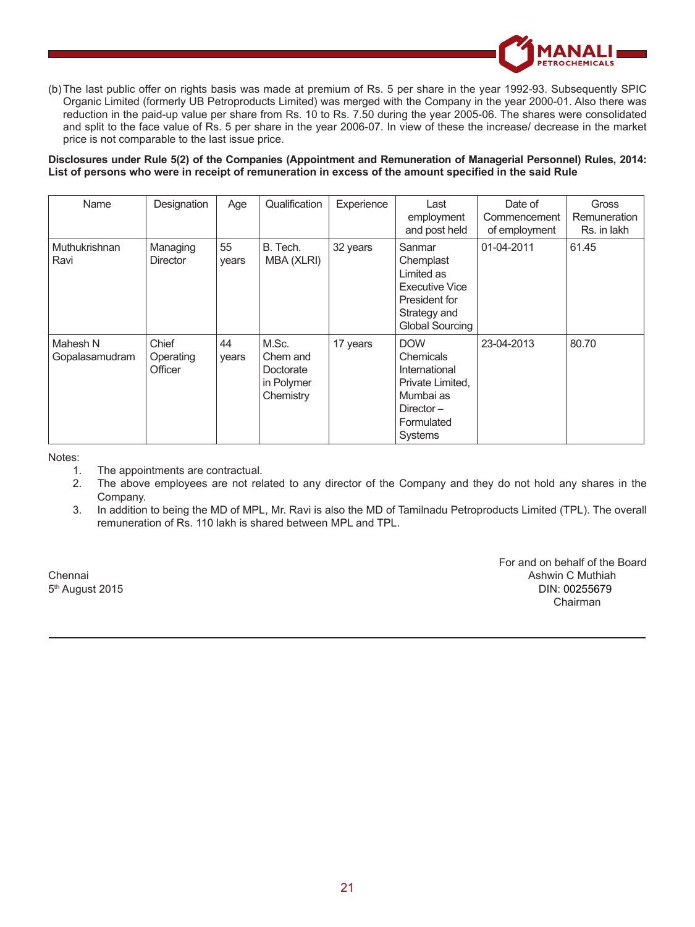

(b)The last public offer on rights basis was made at premium of Rs. 5 per share in the year 1992-93. Subsequently SPIC Organic Limited (formerly UB Petroproducts Limited) was merged with the Company in the year 2000-01. Also there was reduction in the paid-up value per share from Rs. 10 to Rs. 7.50 during the year 2005-06. The shares were consolidated and split to the face value of Rs. 5 per share in the year 2006-07. In view of these the increase/ decrease in the market price is not comparable to the last issue price.

**Disclosures under Rule 5(2) of the Companies (Appointment and Remuneration of Managerial Personnel) Rules, 2014: List of persons who were in receipt of remuneration in excess of the amount specified in the said Rule**

| Name                       | Designation                   | Age         | Qualification                                             | Experience | Last<br>employment<br>and post held                                                                                       | Date of<br>Commencement<br>of employment | Gross<br>Remuneration<br>Rs. in lakh |
|----------------------------|-------------------------------|-------------|-----------------------------------------------------------|------------|---------------------------------------------------------------------------------------------------------------------------|------------------------------------------|--------------------------------------|
| Muthukrishnan<br>Ravi      | Managing<br><b>Director</b>   | 55<br>years | B. Tech.<br>MBA (XLRI)                                    | 32 years   | Sanmar<br>Chemplast<br>Limited as<br><b>Executive Vice</b><br>President for<br>Strategy and<br>Global Sourcing            | 01-04-2011                               | 61.45                                |
| Mahesh N<br>Gopalasamudram | Chief<br>Operating<br>Officer | 44<br>years | M.Sc.<br>Chem and<br>Doctorate<br>in Polymer<br>Chemistry | 17 years   | <b>DOW</b><br>Chemicals<br>International<br>Private Limited,<br>Mumbai as<br>$Director -$<br>Formulated<br><b>Systems</b> | 23-04-2013                               | 80.70                                |

Notes:

- 1. The appointments are contractual.
- 2. The above employees are not related to any director of the Company and they do not hold any shares in the Company.
- 3. In addition to being the MD of MPL, Mr. Ravi is also the MD of Tamilnadu Petroproducts Limited (TPL). The overall remuneration of Rs. 110 lakh is shared between MPL and TPL.

5<sup>th</sup> August 2015

For and on behalf of the Board Chennai Ashwin C Muthiah Chairman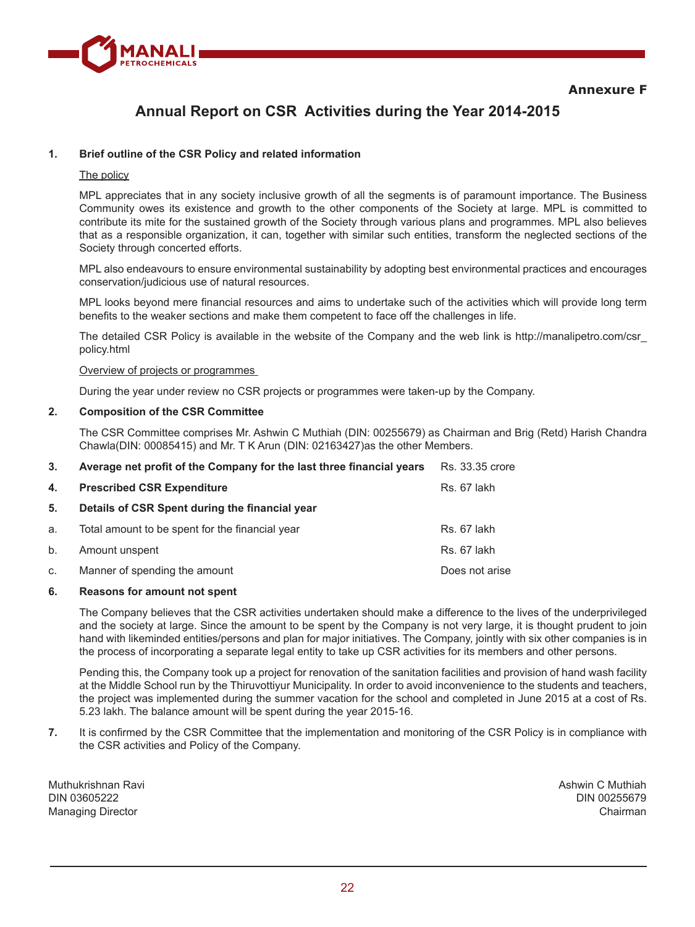



# **Annual Report on CSR Activities during the Year 2014-2015**

# **1. Brief outline of the CSR Policy and related information**

# The policy

MPL appreciates that in any society inclusive growth of all the segments is of paramount importance. The Business Community owes its existence and growth to the other components of the Society at large. MPL is committed to contribute its mite for the sustained growth of the Society through various plans and programmes. MPL also believes that as a responsible organization, it can, together with similar such entities, transform the neglected sections of the Society through concerted efforts.

MPL also endeavours to ensure environmental sustainability by adopting best environmental practices and encourages conservation/judicious use of natural resources.

MPL looks beyond mere financial resources and aims to undertake such of the activities which will provide long term benefits to the weaker sections and make them competent to face off the challenges in life.

 The detailed CSR Policy is available in the website of the Company and the web link is http://manalipetro.com/csr\_ policy.html

# Overview of projects or programmes

During the year under review no CSR projects or programmes were taken-up by the Company.

# **2. Composition of the CSR Committee**

 The CSR Committee comprises Mr. Ashwin C Muthiah (DIN: 00255679) as Chairman and Brig (Retd) Harish Chandra Chawla(DIN: 00085415) and Mr. T K Arun (DIN: 02163427)as the other Members.

| 3. | Average net profit of the Company for the last three financial years | Rs. 33.35 crore    |
|----|----------------------------------------------------------------------|--------------------|
| 4. | <b>Prescribed CSR Expenditure</b>                                    | Rs. 67 lakh        |
| 5. | Details of CSR Spent during the financial year                       |                    |
| a. | Total amount to be spent for the financial year                      | Rs. 67 lakh        |
| b. | Amount unspent                                                       | <b>Rs. 67 lakh</b> |
| C. | Manner of spending the amount                                        | Does not arise     |

# **6. Reasons for amount not spent**

 The Company believes that the CSR activities undertaken should make a difference to the lives of the underprivileged and the society at large. Since the amount to be spent by the Company is not very large, it is thought prudent to join hand with likeminded entities/persons and plan for major initiatives. The Company, jointly with six other companies is in the process of incorporating a separate legal entity to take up CSR activities for its members and other persons.

 Pending this, the Company took up a project for renovation of the sanitation facilities and provision of hand wash facility at the Middle School run by the Thiruvottiyur Municipality. In order to avoid inconvenience to the students and teachers, the project was implemented during the summer vacation for the school and completed in June 2015 at a cost of Rs. 5.23 lakh. The balance amount will be spent during the year 2015-16.

**7.** It is confirmed by the CSR Committee that the implementation and monitoring of the CSR Policy is in compliance with the CSR activities and Policy of the Company.

Muthukrishnan Ravi DIN 03605222 Managing Director

Ashwin C Muthiah DIN 00255679 Chairman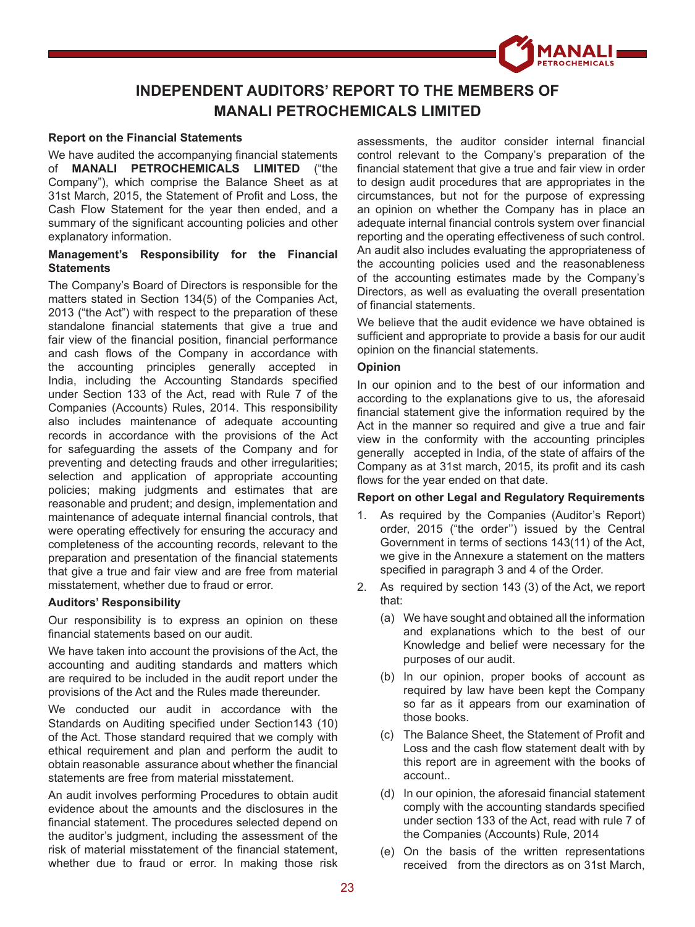

# **INDEPENDENT AUDITORS' REPORT TO THE MEMBERS OF MANALI PETROCHEMICALS LIMITED**

# **Report on the Financial Statements**

We have audited the accompanying financial statements of **MANALI PETROCHEMICALS LIMITED** ("the Company"), which comprise the Balance Sheet as at 31st March, 2015, the Statement of Profit and Loss, the Cash Flow Statement for the year then ended, and a summary of the significant accounting policies and other explanatory information.

# **Management's Responsibility for the Financial Statements**

The Company's Board of Directors is responsible for the matters stated in Section 134(5) of the Companies Act, 2013 ("the Act") with respect to the preparation of these standalone financial statements that give a true and fair view of the financial position, financial performance and cash flows of the Company in accordance with the accounting principles generally accepted in India, including the Accounting Standards specified under Section 133 of the Act, read with Rule 7 of the Companies (Accounts) Rules, 2014. This responsibility also includes maintenance of adequate accounting records in accordance with the provisions of the Act for safeguarding the assets of the Company and for preventing and detecting frauds and other irregularities; selection and application of appropriate accounting policies; making judgments and estimates that are reasonable and prudent; and design, implementation and maintenance of adequate internal financial controls, that were operating effectively for ensuring the accuracy and completeness of the accounting records, relevant to the preparation and presentation of the financial statements that give a true and fair view and are free from material misstatement, whether due to fraud or error.

# **Auditors' Responsibility**

Our responsibility is to express an opinion on these financial statements based on our audit.

We have taken into account the provisions of the Act, the accounting and auditing standards and matters which are required to be included in the audit report under the provisions of the Act and the Rules made thereunder.

We conducted our audit in accordance with the Standards on Auditing specified under Section143 (10) of the Act. Those standard required that we comply with ethical requirement and plan and perform the audit to obtain reasonable assurance about whether the financial statements are free from material misstatement.

An audit involves performing Procedures to obtain audit evidence about the amounts and the disclosures in the financial statement. The procedures selected depend on the auditor's judgment, including the assessment of the risk of material misstatement of the financial statement, whether due to fraud or error. In making those risk assessments, the auditor consider internal financial control relevant to the Company's preparation of the financial statement that give a true and fair view in order to design audit procedures that are appropriates in the circumstances, but not for the purpose of expressing an opinion on whether the Company has in place an adequate internal financial controls system over financial reporting and the operating effectiveness of such control. An audit also includes evaluating the appropriateness of the accounting policies used and the reasonableness of the accounting estimates made by the Company's Directors, as well as evaluating the overall presentation of financial statements.

We believe that the audit evidence we have obtained is sufficient and appropriate to provide a basis for our audit opinion on the financial statements.

# **Opinion**

In our opinion and to the best of our information and according to the explanations give to us, the aforesaid financial statement give the information required by the Act in the manner so required and give a true and fair view in the conformity with the accounting principles generally accepted in India, of the state of affairs of the Company as at 31st march, 2015, its profit and its cash flows for the year ended on that date.

# **Report on other Legal and Regulatory Requirements**

- 1. As required by the Companies (Auditor's Report) order, 2015 ("the order'') issued by the Central Government in terms of sections 143(11) of the Act, we give in the Annexure a statement on the matters specified in paragraph 3 and 4 of the Order.
- 2. As required by section 143 (3) of the Act, we report that:
	- (a) We have sought and obtained all the information and explanations which to the best of our Knowledge and belief were necessary for the purposes of our audit.
	- (b) In our opinion, proper books of account as required by law have been kept the Company so far as it appears from our examination of those books.
	- (c) The Balance Sheet, the Statement of Profit and Loss and the cash flow statement dealt with by this report are in agreement with the books of account..
	- (d) In our opinion, the aforesaid financial statement comply with the accounting standards specified under section 133 of the Act, read with rule 7 of the Companies (Accounts) Rule, 2014
	- (e) On the basis of the written representations received from the directors as on 31st March,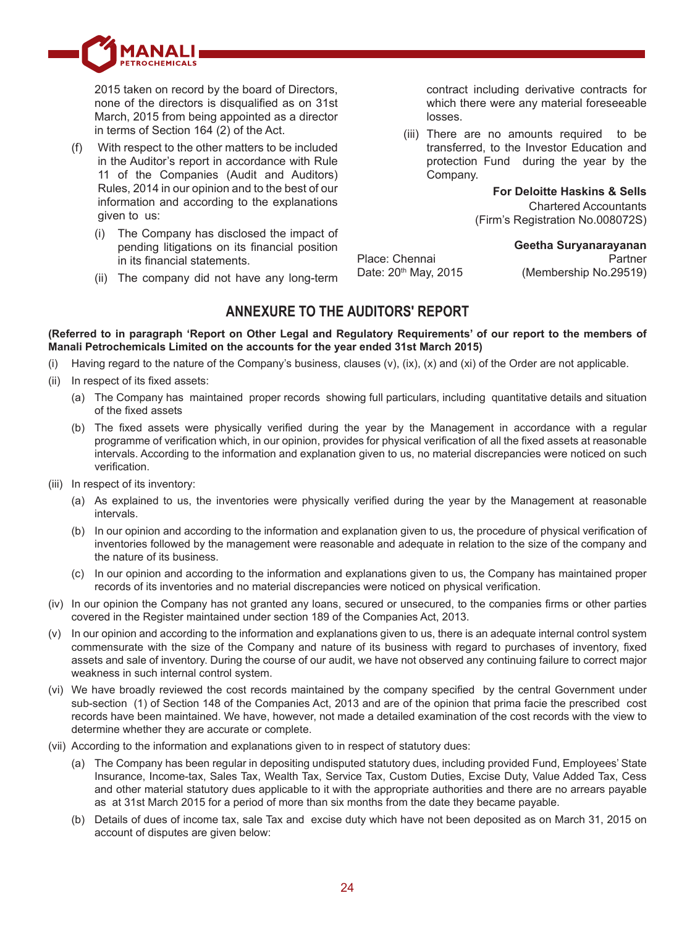

2015 taken on record by the board of Directors, none of the directors is disqualified as on 31st March, 2015 from being appointed as a director in terms of Section 164 (2) of the Act.

- (f) With respect to the other matters to be included in the Auditor's report in accordance with Rule 11 of the Companies (Audit and Auditors) Rules, 2014 in our opinion and to the best of our information and according to the explanations given to us:
	- (i) The Company has disclosed the impact of pending litigations on its financial position in its financial statements.
	- (ii) The company did not have any long-term

contract including derivative contracts for which there were any material foreseeable losses.

(iii) There are no amounts required to be transferred, to the Investor Education and protection Fund during the year by the Company.

> **For Deloitte Haskins & Sells** Chartered Accountants (Firm's Registration No.008072S)

Place: Chennai<br>Date: 20<sup>th</sup> May, 2015

**Geetha Suryanarayanan** (Membership No.29519)

# **ANNEXURE TO THE AUDITORS' REPORT**

**(Referred to in paragraph 'Report on Other Legal and Regulatory Requirements' of our report to the members of Manali Petrochemicals Limited on the accounts for the year ended 31st March 2015)**

- (i) Having regard to the nature of the Company's business, clauses (v), (ix), (x) and (xi) of the Order are not applicable.
- (ii) In respect of its fixed assets:
	- (a) The Company has maintained proper records showing full particulars, including quantitative details and situation of the fixed assets
	- (b) The fixed assets were physically verified during the year by the Management in accordance with a regular programme of verification which, in our opinion, provides for physical verification of all the fixed assets at reasonable intervals. According to the information and explanation given to us, no material discrepancies were noticed on such verification.
- (iii) In respect of its inventory:
	- (a) As explained to us, the inventories were physically verified during the year by the Management at reasonable intervals.
	- (b) In our opinion and according to the information and explanation given to us, the procedure of physical verification of inventories followed by the management were reasonable and adequate in relation to the size of the company and the nature of its business.
	- (c) In our opinion and according to the information and explanations given to us, the Company has maintained proper records of its inventories and no material discrepancies were noticed on physical verification.
- (iv) In our opinion the Company has not granted any loans, secured or unsecured, to the companies firms or other parties covered in the Register maintained under section 189 of the Companies Act, 2013.
- (v) In our opinion and according to the information and explanations given to us, there is an adequate internal control system commensurate with the size of the Company and nature of its business with regard to purchases of inventory, fixed assets and sale of inventory. During the course of our audit, we have not observed any continuing failure to correct major weakness in such internal control system.
- (vi) We have broadly reviewed the cost records maintained by the company specified by the central Government under sub-section (1) of Section 148 of the Companies Act, 2013 and are of the opinion that prima facie the prescribed cost records have been maintained. We have, however, not made a detailed examination of the cost records with the view to determine whether they are accurate or complete.
- (vii) According to the information and explanations given to in respect of statutory dues:
	- (a) The Company has been regular in depositing undisputed statutory dues, including provided Fund, Employees' State Insurance, Income-tax, Sales Tax, Wealth Tax, Service Tax, Custom Duties, Excise Duty, Value Added Tax, Cess and other material statutory dues applicable to it with the appropriate authorities and there are no arrears payable as at 31st March 2015 for a period of more than six months from the date they became payable.
	- (b) Details of dues of income tax, sale Tax and excise duty which have not been deposited as on March 31, 2015 on account of disputes are given below: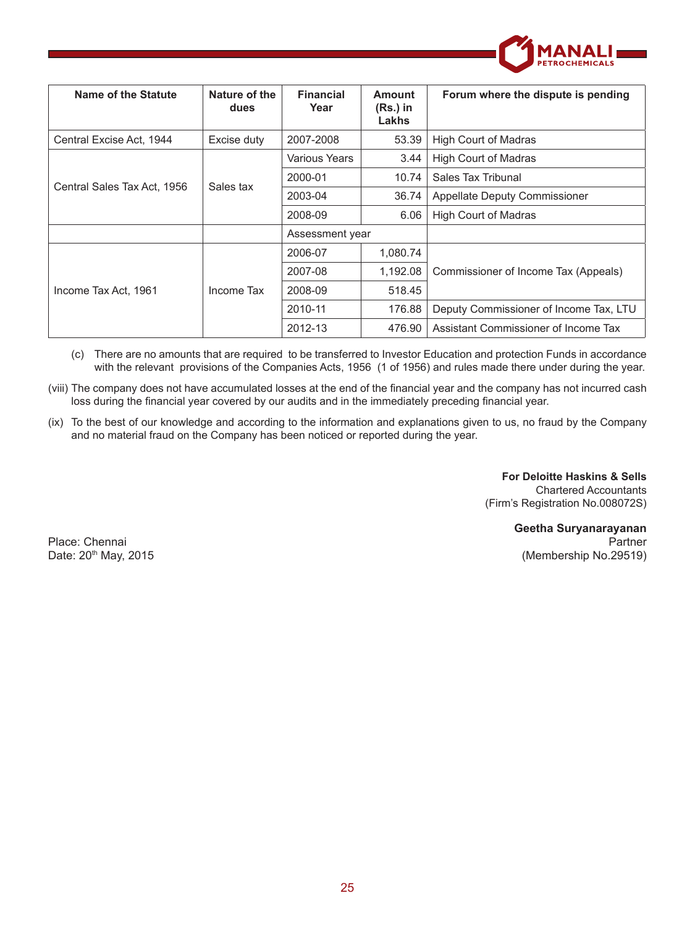| Name of the Statute         | Nature of the<br>dues | <b>Financial</b><br>Year | <b>Amount</b><br>$(Rs.)$ in<br>Lakhs | Forum where the dispute is pending     |
|-----------------------------|-----------------------|--------------------------|--------------------------------------|----------------------------------------|
| Central Excise Act, 1944    | Excise duty           | 2007-2008                | 53.39                                | <b>High Court of Madras</b>            |
|                             |                       | Various Years            | 3.44                                 | High Court of Madras                   |
|                             | Sales tax             | 2000-01                  | 10.74                                | Sales Tax Tribunal                     |
| Central Sales Tax Act, 1956 |                       | 2003-04                  | 36.74                                | Appellate Deputy Commissioner          |
|                             | 2008-09<br>6.06       |                          | <b>High Court of Madras</b>          |                                        |
|                             |                       | Assessment year          |                                      |                                        |
|                             |                       | 2006-07                  | 1,080.74                             |                                        |
|                             |                       | 2007-08                  | 1,192.08                             | Commissioner of Income Tax (Appeals)   |
| Income Tax Act, 1961        | Income Tax            | 2008-09                  | 518.45                               |                                        |
|                             |                       | 2010-11                  | 176.88                               | Deputy Commissioner of Income Tax, LTU |
|                             |                       | 2012-13                  | 476.90                               | Assistant Commissioner of Income Tax   |

(c) There are no amounts that are required to be transferred to Investor Education and protection Funds in accordance with the relevant provisions of the Companies Acts, 1956 (1 of 1956) and rules made there under during the year.

- (viii) The company does not have accumulated losses at the end of the financial year and the company has not incurred cash loss during the financial year covered by our audits and in the immediately preceding financial year.
- (ix) To the best of our knowledge and according to the information and explanations given to us, no fraud by the Company and no material fraud on the Company has been noticed or reported during the year.

**For Deloitte Haskins & Sells** Chartered Accountants (Firm's Registration No.008072S)

**Geetha Suryanarayanan** Place: Chennai Partner et al. 2009. Il est al construction de la proporcionale de la partner et al. 2009. Il es Date: 20<sup>th</sup> May, 2015 (Membership No.29519)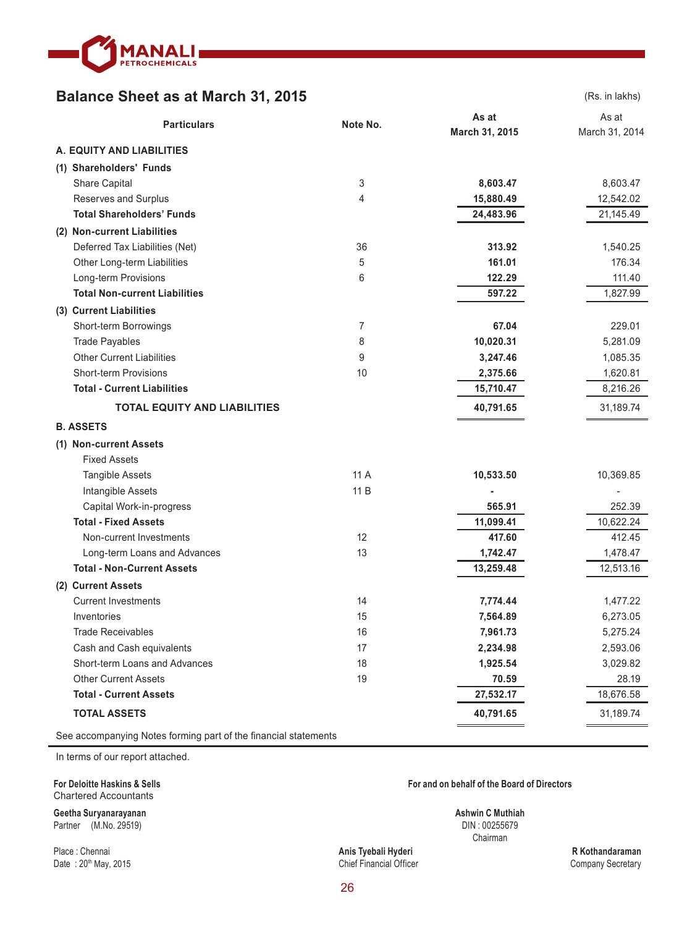

# **Balance Sheet as at March 31, 2015** (Rs. in lakhs)

| <b>Particulars</b>                   | Note No. | As at          | As at          |
|--------------------------------------|----------|----------------|----------------|
|                                      |          | March 31, 2015 | March 31, 2014 |
| A. EQUITY AND LIABILITIES            |          |                |                |
| (1) Shareholders' Funds              |          |                |                |
| <b>Share Capital</b>                 | 3<br>4   | 8,603.47       | 8,603.47       |
| Reserves and Surplus                 |          | 15,880.49      | 12,542.02      |
| <b>Total Shareholders' Funds</b>     |          | 24,483.96      | 21,145.49      |
| (2) Non-current Liabilities          |          |                |                |
| Deferred Tax Liabilities (Net)       | 36       | 313.92         | 1,540.25       |
| Other Long-term Liabilities          | 5        | 161.01         | 176.34         |
| Long-term Provisions                 | 6        | 122.29         | 111.40         |
| <b>Total Non-current Liabilities</b> |          | 597.22         | 1,827.99       |
| (3) Current Liabilities              |          |                |                |
| Short-term Borrowings                | 7        | 67.04          | 229.01         |
| <b>Trade Payables</b>                | 8        | 10,020.31      | 5,281.09       |
| <b>Other Current Liabilities</b>     | 9        | 3,247.46       | 1,085.35       |
| <b>Short-term Provisions</b>         | 10       | 2,375.66       | 1,620.81       |
| <b>Total - Current Liabilities</b>   |          | 15,710.47      | 8,216.26       |
| <b>TOTAL EQUITY AND LIABILITIES</b>  |          | 40,791.65      | 31,189.74      |
| <b>B. ASSETS</b>                     |          |                |                |
| (1) Non-current Assets               |          |                |                |
| <b>Fixed Assets</b>                  |          |                |                |
| <b>Tangible Assets</b>               | 11 A     | 10,533.50      | 10,369.85      |
| Intangible Assets                    | 11 B     |                |                |
| Capital Work-in-progress             |          | 565.91         | 252.39         |
| <b>Total - Fixed Assets</b>          |          | 11,099.41      | 10,622.24      |
| Non-current Investments              | 12       | 417.60         | 412.45         |
| Long-term Loans and Advances         | 13       | 1,742.47       | 1,478.47       |
| <b>Total - Non-Current Assets</b>    |          | 13,259.48      | 12,513.16      |
| (2) Current Assets                   |          |                |                |
| <b>Current Investments</b>           | 14       | 7,774.44       | 1,477.22       |
| Inventories                          | 15       | 7,564.89       | 6,273.05       |
| <b>Trade Receivables</b>             | 16       | 7,961.73       | 5,275.24       |
| Cash and Cash equivalents            | 17       | 2,234.98       | 2,593.06       |
| Short-term Loans and Advances        | 18       | 1,925.54       | 3,029.82       |
| <b>Other Current Assets</b>          | 19       | 70.59          | 28.19          |
| <b>Total - Current Assets</b>        |          | 27,532.17      | 18,676.58      |
| <b>TOTAL ASSETS</b>                  |          | 40,791.65      | 31,189.74      |
|                                      |          |                |                |

See accompanying Notes forming part of the financial statements

In terms of our report attached.

**For Deloitte Haskins & Sells** Chartered Accountants

**Geetha Suryanarayanan** Partner (M.No. 29519)

Place : Chennai Date: 20<sup>th</sup> May, 2015

# **For and on behalf of the Board of Directors**

**Ashwin C Muthiah** DIN : 00255679 Chairman

**Anis Tyebali Hyderi** Chief Financial Officer

**R Kothandaraman** Company Secretary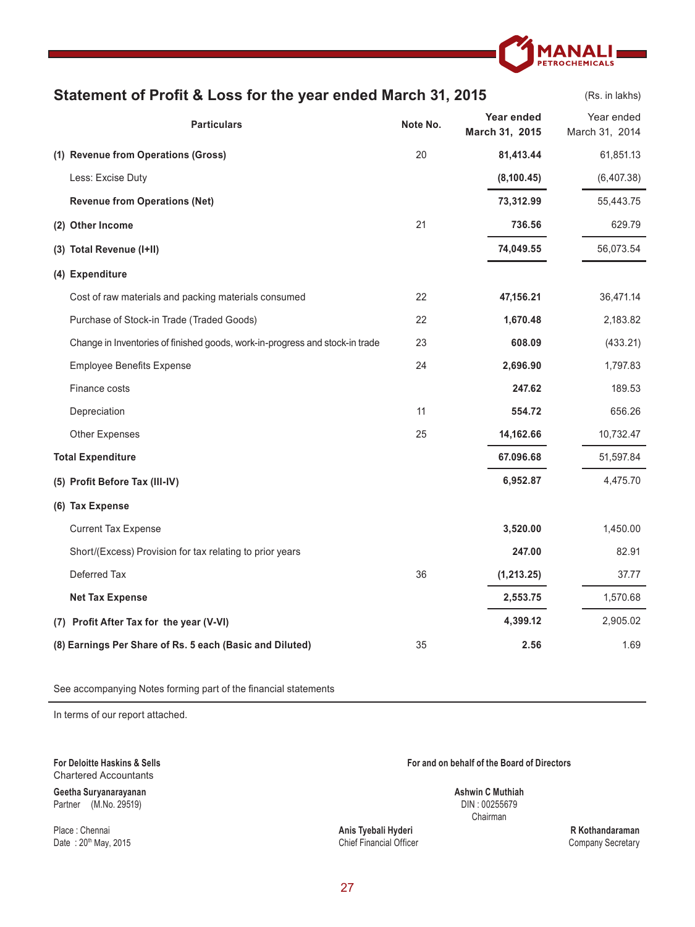

# **Statement of Profit & Loss for the year ended March 31, 2015** (Rs. in lakhs)

| <b>Particulars</b>                                                           | Note No. | Year ended<br>March 31, 2015 | Year ended<br>March 31, 2014 |
|------------------------------------------------------------------------------|----------|------------------------------|------------------------------|
| (1) Revenue from Operations (Gross)                                          | 20       | 81,413.44                    | 61,851.13                    |
| Less: Excise Duty                                                            |          | (8, 100.45)                  | (6,407.38)                   |
| <b>Revenue from Operations (Net)</b>                                         |          | 73,312.99                    | 55,443.75                    |
| (2) Other Income                                                             | 21       | 736.56                       | 629.79                       |
| (3) Total Revenue (I+II)                                                     |          | 74,049.55                    | 56,073.54                    |
| (4) Expenditure                                                              |          |                              |                              |
| Cost of raw materials and packing materials consumed                         | 22       | 47,156.21                    | 36,471.14                    |
| Purchase of Stock-in Trade (Traded Goods)                                    | 22       | 1,670.48                     | 2,183.82                     |
| Change in Inventories of finished goods, work-in-progress and stock-in trade | 23       | 608.09                       | (433.21)                     |
| <b>Employee Benefits Expense</b>                                             | 24       | 2,696.90                     | 1,797.83                     |
| Finance costs                                                                |          | 247.62                       | 189.53                       |
| Depreciation                                                                 | 11       | 554.72                       | 656.26                       |
| <b>Other Expenses</b>                                                        | 25       | 14,162.66                    | 10,732.47                    |
| <b>Total Expenditure</b>                                                     |          | 67.096.68                    | 51,597.84                    |
| (5) Profit Before Tax (III-IV)                                               |          | 6,952.87                     | 4,475.70                     |
| (6) Tax Expense                                                              |          |                              |                              |
| <b>Current Tax Expense</b>                                                   |          | 3,520.00                     | 1,450.00                     |
| Short/(Excess) Provision for tax relating to prior years                     |          | 247.00                       | 82.91                        |
| Deferred Tax                                                                 | 36       | (1, 213.25)                  | 37.77                        |
| <b>Net Tax Expense</b>                                                       |          | 2,553.75                     | 1,570.68                     |
| (7) Profit After Tax for the year (V-VI)                                     |          | 4,399.12                     | 2,905.02                     |
| (8) Earnings Per Share of Rs. 5 each (Basic and Diluted)                     | 35       | 2.56                         | 1.69                         |

See accompanying Notes forming part of the financial statements

In terms of our report attached.

**For Deloitte Haskins & Sells** Chartered Accountants

**Geetha Suryanarayanan** Partner (M.No. 29519)

Place : Chennai Date: 20<sup>th</sup> May, 2015 **For and on behalf of the Board of Directors**

**Ashwin C Muthiah** DIN : 00255679 Chairman

> **R Kothandaraman** Company Secretary

**Anis Tyebali Hyderi** Chief Financial Officer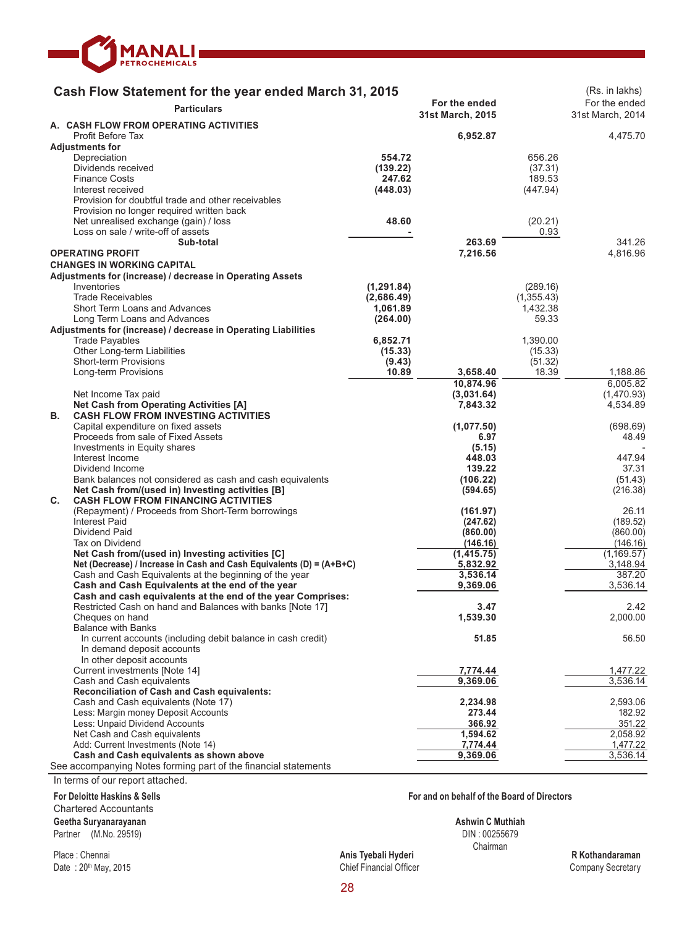

# **Cash Flow Statement for the year ended March 31, 2015** (Rs. in lakhs)

|    | <b>Particulars</b>                                                                                              |             | For the ended<br>31st March, 2015 |                 | For the ended<br>31st March, 2014 |
|----|-----------------------------------------------------------------------------------------------------------------|-------------|-----------------------------------|-----------------|-----------------------------------|
|    | A. CASH FLOW FROM OPERATING ACTIVITIES                                                                          |             |                                   |                 |                                   |
|    | Profit Before Tax                                                                                               |             | 6,952.87                          |                 | 4,475.70                          |
|    | <b>Adjustments for</b>                                                                                          |             |                                   |                 |                                   |
|    | Depreciation                                                                                                    | 554.72      |                                   | 656.26          |                                   |
|    | Dividends received                                                                                              | (139.22)    |                                   | (37.31)         |                                   |
|    | <b>Finance Costs</b>                                                                                            | 247.62      |                                   | 189.53          |                                   |
|    | Interest received                                                                                               | (448.03)    |                                   | (447.94)        |                                   |
|    | Provision for doubtful trade and other receivables                                                              |             |                                   |                 |                                   |
|    | Provision no longer required written back<br>Net unrealised exchange (gain) / loss                              | 48.60       |                                   |                 |                                   |
|    | Loss on sale / write-off of assets                                                                              |             |                                   | (20.21)<br>0.93 |                                   |
|    | Sub-total                                                                                                       |             | 263.69                            |                 | 341.26                            |
|    | <b>OPERATING PROFIT</b>                                                                                         |             | 7,216.56                          |                 | 4,816.96                          |
|    | <b>CHANGES IN WORKING CAPITAL</b>                                                                               |             |                                   |                 |                                   |
|    | Adjustments for (increase) / decrease in Operating Assets                                                       |             |                                   |                 |                                   |
|    | Inventories                                                                                                     | (1, 291.84) |                                   | (289.16)        |                                   |
|    | <b>Trade Receivables</b>                                                                                        | (2,686.49)  |                                   | (1,355.43)      |                                   |
|    | Short Term Loans and Advances                                                                                   | 1,061.89    |                                   | 1.432.38        |                                   |
|    | Long Term Loans and Advances                                                                                    | (264.00)    |                                   | 59.33           |                                   |
|    | Adjustments for (increase) / decrease in Operating Liabilities                                                  |             |                                   |                 |                                   |
|    | <b>Trade Payables</b>                                                                                           | 6,852.71    |                                   | 1,390.00        |                                   |
|    | Other Long-term Liabilities                                                                                     | (15.33)     |                                   | (15.33)         |                                   |
|    | Short-term Provisions                                                                                           | (9.43)      |                                   | (51.32)         |                                   |
|    | Long-term Provisions                                                                                            | 10.89       | 3.658.40                          | 18.39           | 1.188.86                          |
|    |                                                                                                                 |             | 10,874.96                         |                 | 6,005.82                          |
|    | Net Income Tax paid                                                                                             |             | (3,031.64)                        |                 | (1,470.93)                        |
|    | Net Cash from Operating Activities [A]                                                                          |             | 7,843.32                          |                 | 4.534.89                          |
| В. | <b>CASH FLOW FROM INVESTING ACTIVITIES</b>                                                                      |             |                                   |                 |                                   |
|    | Capital expenditure on fixed assets                                                                             |             | (1,077.50)                        |                 | (698.69)                          |
|    | Proceeds from sale of Fixed Assets                                                                              |             | 6.97                              |                 | 48.49                             |
|    | Investments in Equity shares                                                                                    |             | (5.15)                            |                 |                                   |
|    | Interest Income                                                                                                 |             | 448.03                            |                 | 447.94                            |
|    | Dividend Income                                                                                                 |             | 139.22                            |                 | 37.31                             |
|    | Bank balances not considered as cash and cash equivalents                                                       |             | (106.22)                          |                 | (51.43)                           |
|    | Net Cash from/(used in) Investing activities [B]                                                                |             | (594.65)                          |                 | (216.38)                          |
| C. | <b>CASH FLOW FROM FINANCING ACTIVITIES</b>                                                                      |             |                                   |                 |                                   |
|    | (Repayment) / Proceeds from Short-Term borrowings                                                               |             | (161.97)                          |                 | 26.11                             |
|    | <b>Interest Paid</b>                                                                                            |             | (247.62)                          |                 | (189.52)                          |
|    | <b>Dividend Paid</b>                                                                                            |             | (860.00)                          |                 | (860.00)                          |
|    | Tax on Dividend                                                                                                 |             | (146.16)                          |                 | (146.16)                          |
|    | Net Cash from/(used in) Investing activities [C]                                                                |             | (1, 415.75)                       |                 | (1,169.57)                        |
|    | Net (Decrease) / Increase in Cash and Cash Equivalents (D) = (A+B+C)                                            |             | 5,832.92                          |                 | 3,148.94                          |
|    | Cash and Cash Equivalents at the beginning of the year                                                          |             | 3,536.14                          |                 | 387.20                            |
|    | Cash and Cash Equivalents at the end of the year<br>Cash and cash equivalents at the end of the year Comprises: |             | 9,369.06                          |                 | 3,536.14                          |
|    | Restricted Cash on hand and Balances with banks [Note 17]                                                       |             | 3.47                              |                 | 2.42                              |
|    | Cheques on hand                                                                                                 |             | 1,539.30                          |                 | 2,000.00                          |
|    | <b>Balance with Banks</b>                                                                                       |             |                                   |                 |                                   |
|    | In current accounts (including debit balance in cash credit)                                                    |             | 51.85                             |                 | 56.50                             |
|    | In demand deposit accounts                                                                                      |             |                                   |                 |                                   |
|    | In other deposit accounts                                                                                       |             |                                   |                 |                                   |
|    | Current investments [Note 14]                                                                                   |             | 7,774.44                          |                 | 1,477.22                          |
|    | Cash and Cash equivalents                                                                                       |             | 9,369.06                          |                 | 3,536.14                          |
|    | Reconciliation of Cash and Cash equivalents:                                                                    |             |                                   |                 |                                   |
|    | Cash and Cash equivalents (Note 17)                                                                             |             | 2,234.98                          |                 | 2,593.06                          |
|    | Less: Margin money Deposit Accounts                                                                             |             | 273.44                            |                 | 182.92                            |
|    | Less: Unpaid Dividend Accounts                                                                                  |             | 366.92                            |                 | 351.22                            |
|    | Net Cash and Cash equivalents                                                                                   |             | 1,594.62                          |                 | 2.058.92                          |
|    | Add: Current Investments (Note 14)                                                                              |             | 7.774.44                          |                 | 1.477.22                          |
|    | Cash and Cash equivalents as shown above                                                                        |             | 9,369.06                          |                 | 3,536.14                          |
|    | See accompanying Notes forming part of the financial statements                                                 |             |                                   |                 |                                   |

In terms of our report attached.

**For Deloitte Haskins & Sells** Chartered Accountants

**Geetha Suryanarayanan** Partner (M.No. 29519)

Place : Chennai Date: 20<sup>th</sup> May, 2015

# **For and on behalf of the Board of Directors**

**Ashwin C Muthiah** DIN : 00255679 Chairman

**Anis Tyebali Hyderi** Chief Financial Officer **R Kothandaraman** Company Secretary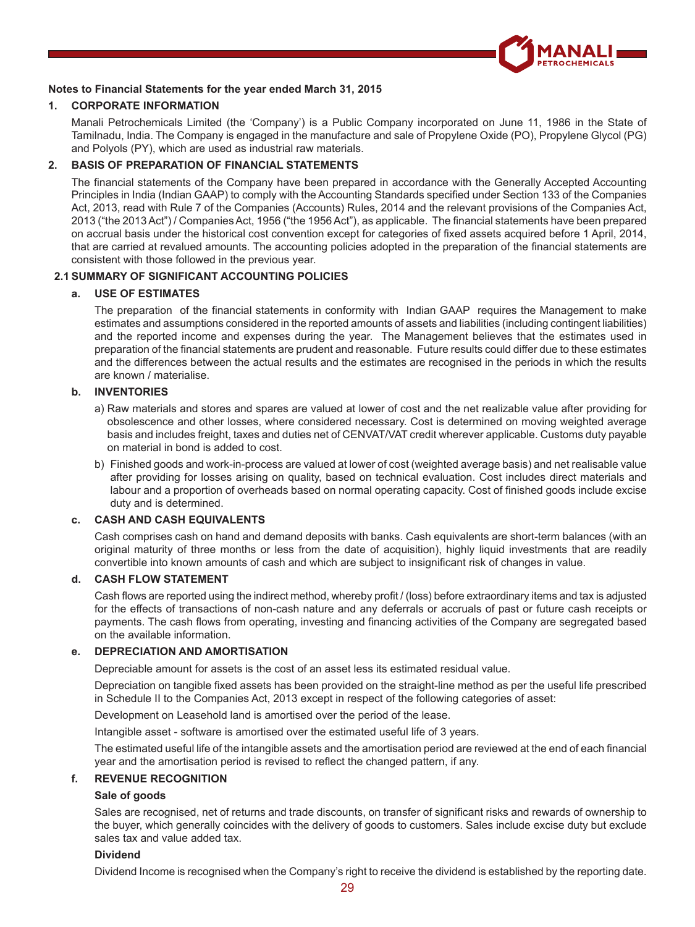

# **Notes to Financial Statements for the year ended March 31, 2015**

# **1. CORPORATE INFORMATION**

Manali Petrochemicals Limited (the 'Company') is a Public Company incorporated on June 11, 1986 in the State of Tamilnadu, India. The Company is engaged in the manufacture and sale of Propylene Oxide (PO), Propylene Glycol (PG) and Polyols (PY), which are used as industrial raw materials.

# **2. BASIS OF PREPARATION OF FINANCIAL STATEMENTS**

The financial statements of the Company have been prepared in accordance with the Generally Accepted Accounting Principles in India (Indian GAAP) to comply with the Accounting Standards specified under Section 133 of the Companies Act, 2013, read with Rule 7 of the Companies (Accounts) Rules, 2014 and the relevant provisions of the Companies Act, 2013 ("the 2013 Act") / Companies Act, 1956 ("the 1956 Act"), as applicable. The financial statements have been prepared on accrual basis under the historical cost convention except for categories of fixed assets acquired before 1 April, 2014, that are carried at revalued amounts. The accounting policies adopted in the preparation of the financial statements are consistent with those followed in the previous year.

# **2.1 SUMMARY OF SIGNIFICANT ACCOUNTING POLICIES**

# **a. USE OF ESTIMATES**

The preparation of the financial statements in conformity with Indian GAAP requires the Management to make estimates and assumptions considered in the reported amounts of assets and liabilities (including contingent liabilities) and the reported income and expenses during the year. The Management believes that the estimates used in preparation of the financial statements are prudent and reasonable. Future results could differ due to these estimates and the differences between the actual results and the estimates are recognised in the periods in which the results are known / materialise.

# **b. INVENTORIES**

- a) Raw materials and stores and spares are valued at lower of cost and the net realizable value after providing for obsolescence and other losses, where considered necessary. Cost is determined on moving weighted average basis and includes freight, taxes and duties net of CENVAT/VAT credit wherever applicable. Customs duty payable on material in bond is added to cost.
- b) Finished goods and work-in-process are valued at lower of cost (weighted average basis) and net realisable value after providing for losses arising on quality, based on technical evaluation. Cost includes direct materials and labour and a proportion of overheads based on normal operating capacity. Cost of finished goods include excise duty and is determined.

# **c. CASH AND CASH EQUIVALENTS**

 Cash comprises cash on hand and demand deposits with banks. Cash equivalents are short-term balances (with an original maturity of three months or less from the date of acquisition), highly liquid investments that are readily convertible into known amounts of cash and which are subject to insignificant risk of changes in value.

# **d. CASH FLOW STATEMENT**

Cash flows are reported using the indirect method, whereby profit / (loss) before extraordinary items and tax is adjusted for the effects of transactions of non-cash nature and any deferrals or accruals of past or future cash receipts or payments. The cash flows from operating, investing and financing activities of the Company are segregated based on the available information.

# **e. DEPRECIATION AND AMORTISATION**

Depreciable amount for assets is the cost of an asset less its estimated residual value.

Depreciation on tangible fixed assets has been provided on the straight-line method as per the useful life prescribed in Schedule II to the Companies Act, 2013 except in respect of the following categories of asset:

 Development on Leasehold land is amortised over the period of the lease.

Intangible asset - software is amortised over the estimated useful life of 3 years.

The estimated useful life of the intangible assets and the amortisation period are reviewed at the end of each financial year and the amortisation period is revised to reflect the changed pattern, if any.

# **f. REVENUE RECOGNITION**

# **Sale of goods**

Sales are recognised, net of returns and trade discounts, on transfer of significant risks and rewards of ownership to the buyer, which generally coincides with the delivery of goods to customers. Sales include excise duty but exclude sales tax and value added tax.

# **Dividend**

Dividend Income is recognised when the Company's right to receive the dividend is established by the reporting date.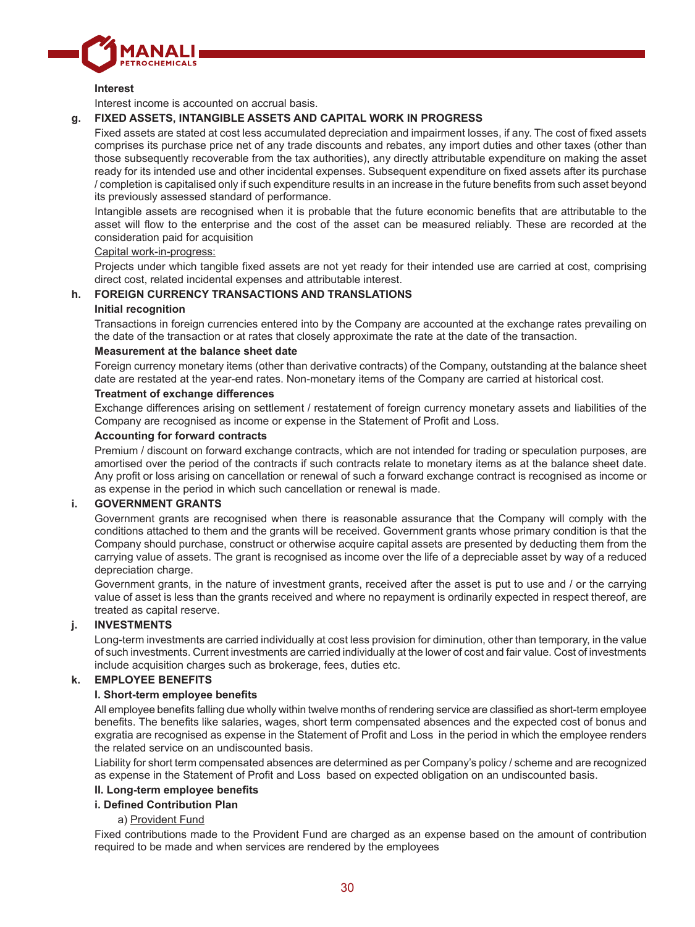

#### **Interest**

Interest income is accounted on accrual basis.

# **g. FIXED ASSETS, INTANGIBLE ASSETS AND CAPITAL WORK IN PROGRESS**

Fixed assets are stated at cost less accumulated depreciation and impairment losses, if any. The cost of fixed assets comprises its purchase price net of any trade discounts and rebates, any import duties and other taxes (other than those subsequently recoverable from the tax authorities), any directly attributable expenditure on making the asset ready for its intended use and other incidental expenses. Subsequent expenditure on fixed assets after its purchase / completion is capitalised only if such expenditure results in an increase in the future benefits from such asset beyond its previously assessed standard of performance.

Intangible assets are recognised when it is probable that the future economic benefits that are attributable to the asset will flow to the enterprise and the cost of the asset can be measured reliably. These are recorded at the consideration paid for acquisition

# Capital work-in-progress:

Projects under which tangible fixed assets are not yet ready for their intended use are carried at cost, comprising direct cost, related incidental expenses and attributable interest.

# **h. FOREIGN CURRENCY TRANSACTIONS AND TRANSLATIONS**

# **Initial recognition**

 Transactions in foreign currencies entered into by the Company are accounted at the exchange rates prevailing on the date of the transaction or at rates that closely approximate the rate at the date of the transaction.

# **Measurement at the balance sheet date**

 Foreign currency monetary items (other than derivative contracts) of the Company, outstanding at the balance sheet date are restated at the year-end rates. Non-monetary items of the Company are carried at historical cost.

# **Treatment of exchange differences**

Exchange differences arising on settlement / restatement of foreign currency monetary assets and liabilities of the Company are recognised as income or expense in the Statement of Profit and Loss.

#### **Accounting for forward contracts**

Premium / discount on forward exchange contracts, which are not intended for trading or speculation purposes, are amortised over the period of the contracts if such contracts relate to monetary items as at the balance sheet date. Any profit or loss arising on cancellation or renewal of such a forward exchange contract is recognised as income or as expense in the period in which such cancellation or renewal is made.

# **i. GOVERNMENT GRANTS**

 Government grants are recognised when there is reasonable assurance that the Company will comply with the conditions attached to them and the grants will be received. Government grants whose primary condition is that the Company should purchase, construct or otherwise acquire capital assets are presented by deducting them from the carrying value of assets. The grant is recognised as income over the life of a depreciable asset by way of a reduced depreciation charge.

Government grants, in the nature of investment grants, received after the asset is put to use and / or the carrying value of asset is less than the grants received and where no repayment is ordinarily expected in respect thereof, are treated as capital reserve.

# **j. INVESTMENTS**

Long-term investments are carried individually at cost less provision for diminution, other than temporary, in the value of such investments. Current investments are carried individually at the lower of cost and fair value. Cost of investments include acquisition charges such as brokerage, fees, duties etc.

# **k. EMPLOYEE BENEFITS**

#### **I. Short-term employee benefits**

All employee benefits falling due wholly within twelve months of rendering service are classified as short-term employee benefits. The benefits like salaries, wages, short term compensated absences and the expected cost of bonus and exgratia are recognised as expense in the Statement of Profit and Loss in the period in which the employee renders the related service on an undiscounted basis.

Liability for short term compensated absences are determined as per Company's policy / scheme and are recognized as expense in the Statement of Profit and Loss based on expected obligation on an undiscounted basis.

# **II. Long-term employee benefits**

# **i. Defined Contribution Plan**

#### a) Provident Fund

 Fixed contributions made to the Provident Fund are charged as an expense based on the amount of contribution required to be made and when services are rendered by the employees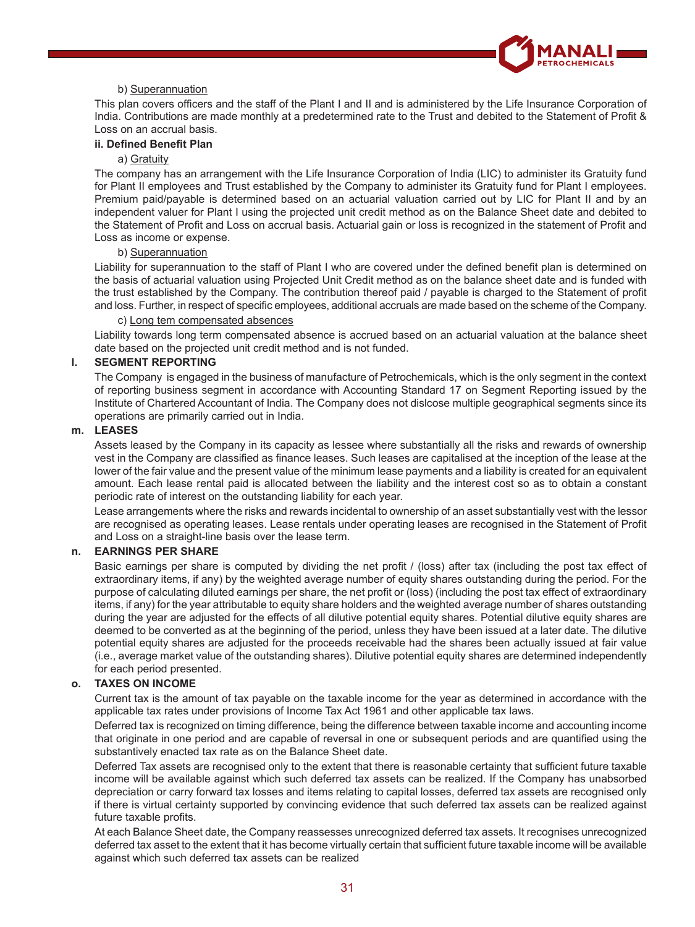

# b) Superannuation

This plan covers officers and the staff of the Plant I and II and is administered by the Life Insurance Corporation of India. Contributions are made monthly at a predetermined rate to the Trust and debited to the Statement of Profit & Loss on an accrual basis.

# **ii. Defined Benefit Plan**

# a) Gratuity

The company has an arrangement with the Life Insurance Corporation of India (LIC) to administer its Gratuity fund for Plant II employees and Trust established by the Company to administer its Gratuity fund for Plant I employees. Premium paid/payable is determined based on an actuarial valuation carried out by LIC for Plant II and by an independent valuer for Plant I using the projected unit credit method as on the Balance Sheet date and debited to the Statement of Profit and Loss on accrual basis. Actuarial gain or loss is recognized in the statement of Profit and Loss as income or expense.

# b) Superannuation

Liability for superannuation to the staff of Plant I who are covered under the defined benefit plan is determined on the basis of actuarial valuation using Projected Unit Credit method as on the balance sheet date and is funded with the trust established by the Company. The contribution thereof paid / payable is charged to the Statement of profit and loss. Further, in respect of specific employees, additional accruals are made based on the scheme of the Company.

#### c) Long tem compensated absences

Liability towards long term compensated absence is accrued based on an actuarial valuation at the balance sheet date based on the projected unit credit method and is not funded.

# **l. SEGMENT REPORTING**

 The Company is engaged in the business of manufacture of Petrochemicals, which is the only segment in the context of reporting business segment in accordance with Accounting Standard 17 on Segment Reporting issued by the Institute of Chartered Accountant of India. The Company does not dislcose multiple geographical segments since its operations are primarily carried out in India.

# **m. LEASES**

 Assets leased by the Company in its capacity as lessee where substantially all the risks and rewards of ownership vest in the Company are classified as finance leases. Such leases are capitalised at the inception of the lease at the lower of the fair value and the present value of the minimum lease payments and a liability is created for an equivalent amount. Each lease rental paid is allocated between the liability and the interest cost so as to obtain a constant periodic rate of interest on the outstanding liability for each year.

Lease arrangements where the risks and rewards incidental to ownership of an asset substantially vest with the lessor are recognised as operating leases. Lease rentals under operating leases are recognised in the Statement of Profit and Loss on a straight-line basis over the lease term.

# **n. EARNINGS PER SHARE**

Basic earnings per share is computed by dividing the net profit / (loss) after tax (including the post tax effect of extraordinary items, if any) by the weighted average number of equity shares outstanding during the period. For the purpose of calculating diluted earnings per share, the net profit or (loss) (including the post tax effect of extraordinary items, if any) for the year attributable to equity share holders and the weighted average number of shares outstanding during the year are adjusted for the effects of all dilutive potential equity shares. Potential dilutive equity shares are deemed to be converted as at the beginning of the period, unless they have been issued at a later date. The dilutive potential equity shares are adjusted for the proceeds receivable had the shares been actually issued at fair value (i.e., average market value of the outstanding shares). Dilutive potential equity shares are determined independently for each period presented.

# **o. TAXES ON INCOME**

 Current tax is the amount of tax payable on the taxable income for the year as determined in accordance with the applicable tax rates under provisions of Income Tax Act 1961 and other applicable tax laws.

 Deferred tax is recognized on timing difference, being the difference between taxable income and accounting income that originate in one period and are capable of reversal in one or subsequent periods and are quantified using the substantively enacted tax rate as on the Balance Sheet date.

Deferred Tax assets are recognised only to the extent that there is reasonable certainty that sufficient future taxable income will be available against which such deferred tax assets can be realized. If the Company has unabsorbed depreciation or carry forward tax losses and items relating to capital losses, deferred tax assets are recognised only if there is virtual certainty supported by convincing evidence that such deferred tax assets can be realized against future taxable profits.

 At each Balance Sheet date, the Company reassesses unrecognized deferred tax assets. It recognises unrecognized deferred tax asset to the extent that it has become virtually certain that sufficient future taxable income will be available against which such deferred tax assets can be realized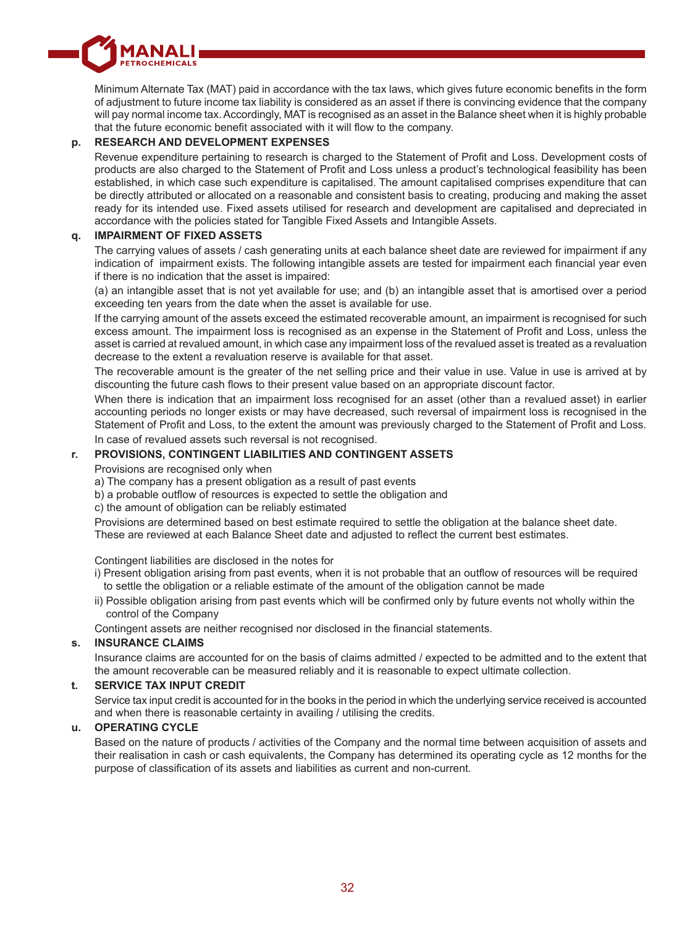

Minimum Alternate Tax (MAT) paid in accordance with the tax laws, which gives future economic benefits in the form of adjustment to future income tax liability is considered as an asset if there is convincing evidence that the company will pay normal income tax. Accordingly, MAT is recognised as an asset in the Balance sheet when it is highly probable that the future economic benefit associated with it will flow to the company.

# **p. RESEARCH AND DEVELOPMENT EXPENSES**

Revenue expenditure pertaining to research is charged to the Statement of Profit and Loss. Development costs of products are also charged to the Statement of Profit and Loss unless a product's technological feasibility has been established, in which case such expenditure is capitalised. The amount capitalised comprises expenditure that can be directly attributed or allocated on a reasonable and consistent basis to creating, producing and making the asset ready for its intended use. Fixed assets utilised for research and development are capitalised and depreciated in accordance with the policies stated for Tangible Fixed Assets and Intangible Assets.

# **q. IMPAIRMENT OF FIXED ASSETS**

The carrying values of assets / cash generating units at each balance sheet date are reviewed for impairment if any indication of impairment exists. The following intangible assets are tested for impairment each financial year even if there is no indication that the asset is impaired:

 (a) an intangible asset that is not yet available for use; and (b) an intangible asset that is amortised over a period exceeding ten years from the date when the asset is available for use.

 If the carrying amount of the assets exceed the estimated recoverable amount, an impairment is recognised for such excess amount. The impairment loss is recognised as an expense in the Statement of Profit and Loss, unless the asset is carried at revalued amount, in which case any impairment loss of the revalued asset is treated as a revaluation decrease to the extent a revaluation reserve is available for that asset.

 The recoverable amount is the greater of the net selling price and their value in use. Value in use is arrived at by discounting the future cash flows to their present value based on an appropriate discount factor.

When there is indication that an impairment loss recognised for an asset (other than a revalued asset) in earlier accounting periods no longer exists or may have decreased, such reversal of impairment loss is recognised in the Statement of Profit and Loss, to the extent the amount was previously charged to the Statement of Profit and Loss. In case of revalued assets such reversal is not recognised.

# **r. PROVISIONS, CONTINGENT LIABILITIES AND CONTINGENT ASSETS**

Provisions are recognised only when

a) The company has a present obligation as a result of past events

b) a probable outflow of resources is expected to settle the obligation and

c) the amount of obligation can be reliably estimated

 Provisions are determined based on best estimate required to settle the obligation at the balance sheet date. These are reviewed at each Balance Sheet date and adjusted to reflect the current best estimates.

Contingent liabilities are disclosed in the notes for

- i) Present obligation arising from past events, when it is not probable that an outflow of resources will be required to settle the obligation or a reliable estimate of the amount of the obligation cannot be made
- ii) Possible obligation arising from past events which will be confirmed only by future events not wholly within the control of the Company

 Contingent assets are neither recognised nor disclosed in the financial statements.

# **s. INSURANCE CLAIMS**

Insurance claims are accounted for on the basis of claims admitted / expected to be admitted and to the extent that the amount recoverable can be measured reliably and it is reasonable to expect ultimate collection.

# **t. SERVICE TAX INPUT CREDIT**

 Service tax input credit is accounted for in the books in the period in which the underlying service received is accounted and when there is reasonable certainty in availing / utilising the credits.

# **u. OPERATING CYCLE**

Based on the nature of products / activities of the Company and the normal time between acquisition of assets and their realisation in cash or cash equivalents, the Company has determined its operating cycle as 12 months for the purpose of classification of its assets and liabilities as current and non-current.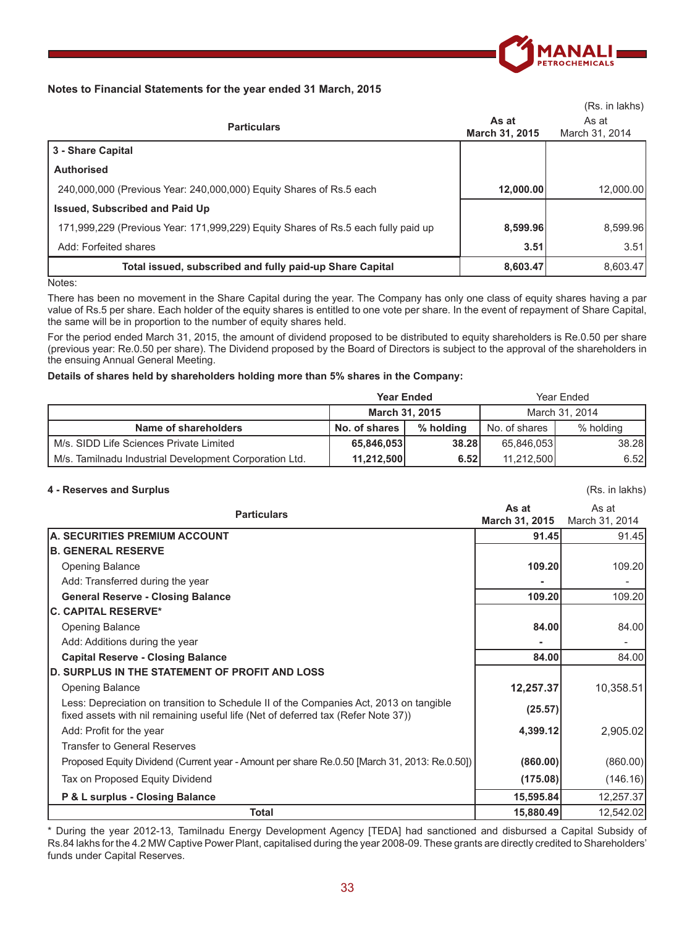

 $(D<sub>1</sub> - 1<sub>2</sub> + 1<sub>3</sub>)$ 

# **Notes to Financial Statements for the year ended 31 March, 2015**

|                                                                                   |                         | (RS. III IAKIIS)        |
|-----------------------------------------------------------------------------------|-------------------------|-------------------------|
| <b>Particulars</b>                                                                | As at<br>March 31, 2015 | As at<br>March 31, 2014 |
| 3 - Share Capital                                                                 |                         |                         |
| Authorised                                                                        |                         |                         |
| 240,000,000 (Previous Year: 240,000,000) Equity Shares of Rs.5 each               | 12,000.00               | 12,000.00               |
| Issued, Subscribed and Paid Up                                                    |                         |                         |
| 171,999,229 (Previous Year: 171,999,229) Equity Shares of Rs.5 each fully paid up | 8,599.96                | 8,599.96                |
| Add: Forfeited shares                                                             | 3.51                    | 3.51                    |
| Total issued, subscribed and fully paid-up Share Capital                          | 8,603.47                | 8,603.47                |

Notes:

There has been no movement in the Share Capital during the year. The Company has only one class of equity shares having a par value of Rs.5 per share. Each holder of the equity shares is entitled to one vote per share. In the event of repayment of Share Capital, the same will be in proportion to the number of equity shares held.

For the period ended March 31, 2015, the amount of dividend proposed to be distributed to equity shareholders is Re.0.50 per share (previous year: Re.0.50 per share). The Dividend proposed by the Board of Directors is subject to the approval of the shareholders in the ensuing Annual General Meeting.

# **Details of shares held by shareholders holding more than 5% shares in the Company:**

|                                                        | <b>Year Ended</b> |           | Year Ended     |           |
|--------------------------------------------------------|-------------------|-----------|----------------|-----------|
|                                                        | March 31, 2015    |           | March 31, 2014 |           |
| Name of shareholders                                   | No. of shares     | % holding | No. of shares  | % holding |
| M/s. SIDD Life Sciences Private Limited                | 65,846,053        | 38.28     | 65.846.053     | 38.28     |
| M/s. Tamilnadu Industrial Development Corporation Ltd. | 11,212,500        | 6.52      | 11.212.500     | 6.521     |

# **4 - Reserves and Surplus** (Rs. in lakhs)

| <b>Particulars</b>                                                                                                                                                          | As at          | As at          |
|-----------------------------------------------------------------------------------------------------------------------------------------------------------------------------|----------------|----------------|
|                                                                                                                                                                             | March 31, 2015 | March 31, 2014 |
| <b>A. SECURITIES PREMIUM ACCOUNT</b>                                                                                                                                        | 91.45          | 91.45          |
| <b>B. GENERAL RESERVE</b>                                                                                                                                                   |                |                |
| <b>Opening Balance</b>                                                                                                                                                      | 109.20         | 109.20         |
| Add: Transferred during the year                                                                                                                                            |                |                |
| <b>General Reserve - Closing Balance</b>                                                                                                                                    | 109.20         | 109.20         |
| <b>C. CAPITAL RESERVE*</b>                                                                                                                                                  |                |                |
| <b>Opening Balance</b>                                                                                                                                                      | 84.00          | 84.00          |
| Add: Additions during the year                                                                                                                                              |                |                |
| <b>Capital Reserve - Closing Balance</b>                                                                                                                                    | 84.00          | 84.00          |
| <b>D. SURPLUS IN THE STATEMENT OF PROFIT AND LOSS</b>                                                                                                                       |                |                |
| <b>Opening Balance</b>                                                                                                                                                      | 12,257.37      | 10,358.51      |
| Less: Depreciation on transition to Schedule II of the Companies Act, 2013 on tangible<br>fixed assets with nil remaining useful life (Net of deferred tax (Refer Note 37)) | (25.57)        |                |
| Add: Profit for the year                                                                                                                                                    | 4,399.12       | 2,905.02       |
| <b>Transfer to General Reserves</b>                                                                                                                                         |                |                |
| Proposed Equity Dividend (Current year - Amount per share Re.0.50 [March 31, 2013: Re.0.50])                                                                                | (860.00)       | (860.00)       |
| Tax on Proposed Equity Dividend                                                                                                                                             | (175.08)       | (146.16)       |
| P & L surplus - Closing Balance                                                                                                                                             | 15,595.84      | 12,257.37      |
| Total                                                                                                                                                                       | 15,880.49      | 12,542.02      |

\* During the year 2012-13, Tamilnadu Energy Development Agency [TEDA] had sanctioned and disbursed a Capital Subsidy of Rs.84 lakhs for the 4.2 MW Captive Power Plant, capitalised during the year 2008-09. These grants are directly credited to Shareholders' funds under Capital Reserves.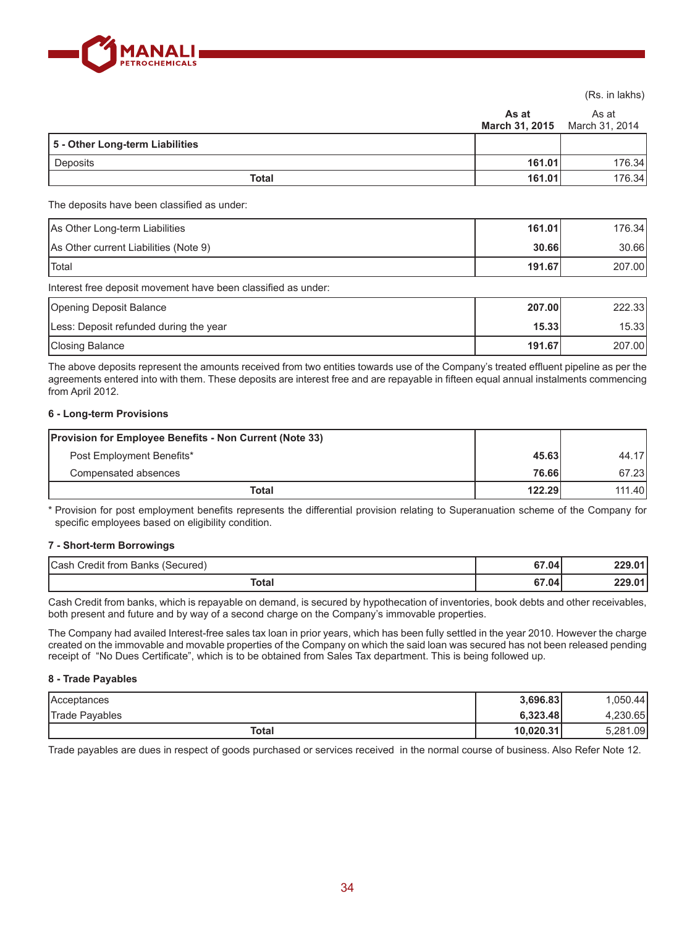

(Rs. in lakhs)

|                                                               | As at<br>March 31, 2015 | As at<br>March 31, 2014 |
|---------------------------------------------------------------|-------------------------|-------------------------|
| 5 - Other Long-term Liabilities                               |                         |                         |
| Deposits                                                      | 161.01                  | 176.34                  |
| Total                                                         | 161.01                  | 176.34                  |
| The deposits have been classified as under:                   |                         |                         |
| As Other Long-term Liabilities                                | 161.01                  | 176.34                  |
| As Other current Liabilities (Note 9)                         | 30.66                   | 30.66                   |
| Total                                                         | 191.67                  | 207.00                  |
| Interest free deposit movement have been classified as under: |                         |                         |
| Opening Deposit Balance                                       | 207.00                  | 222.33                  |
| Less: Deposit refunded during the year                        | 15.33                   | 15.33                   |
| Closing Balance                                               | 191.67                  | 207.00                  |

The above deposits represent the amounts received from two entities towards use of the Company's treated effluent pipeline as per the agreements entered into with them. These deposits are interest free and are repayable in fifteen equal annual instalments commencing from April 2012.

#### **6 - Long-term Provisions**

| <b>Provision for Employee Benefits - Non Current (Note 33)</b> |        |        |
|----------------------------------------------------------------|--------|--------|
| Post Employment Benefits*                                      | 45.63  | 44.17  |
| Compensated absences                                           | 76.66  | 67.23  |
| Total                                                          | 122.29 | 111.40 |

\* Provision for post employment benefits represents the differential provision relating to Superanuation scheme of the Company for specific employees based on eligibility condition.

#### **7 - Short-term Borrowings**

| Cash Credit from Banks (Secured) | 67.04 | 229.01 |
|----------------------------------|-------|--------|
| Total                            | 67.04 | 229.01 |

Cash Credit from banks, which is repayable on demand, is secured by hypothecation of inventories, book debts and other receivables, both present and future and by way of a second charge on the Company's immovable properties.

The Company had availed Interest-free sales tax loan in prior years, which has been fully settled in the year 2010. However the charge created on the immovable and movable properties of the Company on which the said loan was secured has not been released pending receipt of "No Dues Certificate", which is to be obtained from Sales Tax department. This is being followed up.

# **8 - Trade Payables**

| <b>Acceptances</b> | 3.696.83  | .050.44  |
|--------------------|-----------|----------|
| Trade Payables     | 6.323.48  | 4.230.65 |
| <b>Total</b>       | 10.020.31 | 5.281.09 |

Trade payables are dues in respect of goods purchased or services received in the normal course of business. Also Refer Note 12.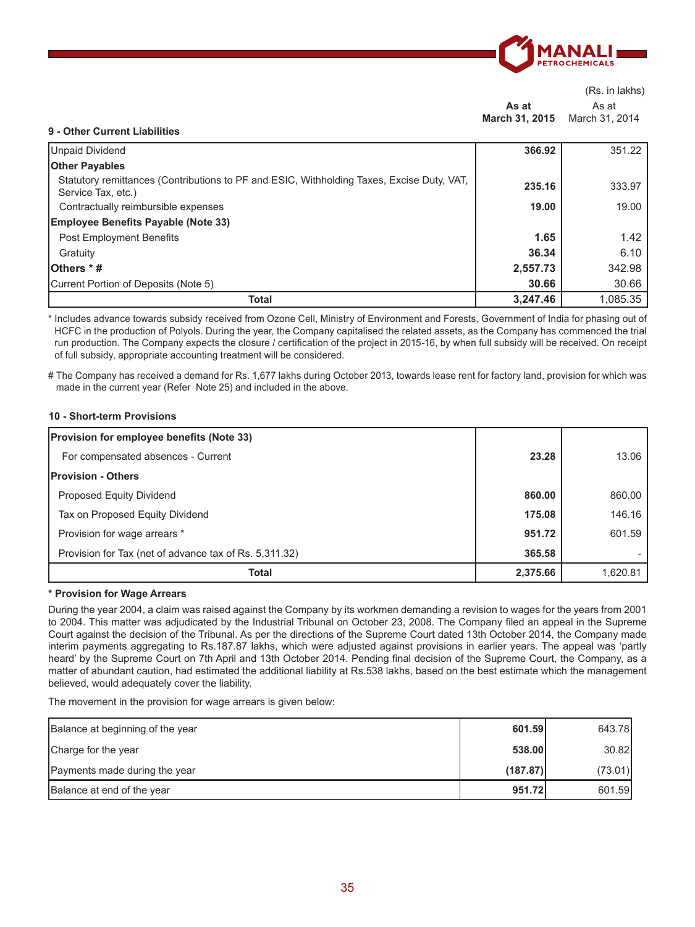

(Rs. in lakhs) **As at March 31, 2015** March 31, 2014 As at

# **9 - Other Current Liabilities**

| Unpaid Dividend                                                                                                 | 366.92   | 351.22   |
|-----------------------------------------------------------------------------------------------------------------|----------|----------|
| <b>Other Payables</b>                                                                                           |          |          |
| Statutory remittances (Contributions to PF and ESIC, Withholding Taxes, Excise Duty, VAT,<br>Service Tax, etc.) | 235.16   | 333.97   |
| Contractually reimbursible expenses                                                                             | 19.00    | 19.00    |
| <b>Employee Benefits Payable (Note 33)</b>                                                                      |          |          |
| <b>Post Employment Benefits</b>                                                                                 | 1.65     | 1.42     |
| Gratuity                                                                                                        | 36.34    | 6.10     |
| <b>Others</b> * #                                                                                               | 2,557.73 | 342.98   |
| Current Portion of Deposits (Note 5)                                                                            | 30.66    | 30.66    |
| Total                                                                                                           | 3.247.46 | 1.085.35 |

\* Includes advance towards subsidy received from Ozone Cell, Ministry of Environment and Forests, Government of India for phasing out of HCFC in the production of Polyols. During the year, the Company capitalised the related assets, as the Company has commenced the trial run production. The Company expects the closure / certification of the project in 2015-16, by when full subsidy will be received. On receipt of full subsidy, appropriate accounting treatment will be considered.

# The Company has received a demand for Rs. 1,677 lakhs during October 2013, towards lease rent for factory land, provision for which was made in the current year (Refer Note 25) and included in the above.

#### **10 - Short-term Provisions**

| <b>Provision for employee benefits (Note 33)</b>       |          |          |
|--------------------------------------------------------|----------|----------|
| For compensated absences - Current                     | 23.28    | 13.06    |
| <b>Provision - Others</b>                              |          |          |
| Proposed Equity Dividend                               | 860.00   | 860.00   |
| Tax on Proposed Equity Dividend                        | 175.08   | 146.16   |
| Provision for wage arrears *                           | 951.72   | 601.59   |
| Provision for Tax (net of advance tax of Rs. 5,311.32) | 365.58   |          |
| <b>Total</b>                                           | 2,375.66 | 1.620.81 |

# **\* Provision for Wage Arrears**

During the year 2004, a claim was raised against the Company by its workmen demanding a revision to wages for the years from 2001 to 2004. This matter was adjudicated by the Industrial Tribunal on October 23, 2008. The Company filed an appeal in the Supreme Court against the decision of the Tribunal. As per the directions of the Supreme Court dated 13th October 2014, the Company made interim payments aggregating to Rs.187.87 lakhs, which were adjusted against provisions in earlier years. The appeal was 'partly heard' by the Supreme Court on 7th April and 13th October 2014. Pending final decision of the Supreme Court, the Company, as a matter of abundant caution, had estimated the additional liability at Rs.538 lakhs, based on the best estimate which the management believed, would adequately cover the liability.

The movement in the provision for wage arrears is given below:

| Balance at beginning of the year | 601.59   | 643.78  |
|----------------------------------|----------|---------|
| Charge for the year              | 538.00   | 30.82   |
| Payments made during the year    | (187.87) | (73.01) |
| Balance at end of the year       | 951.72   | 601.59  |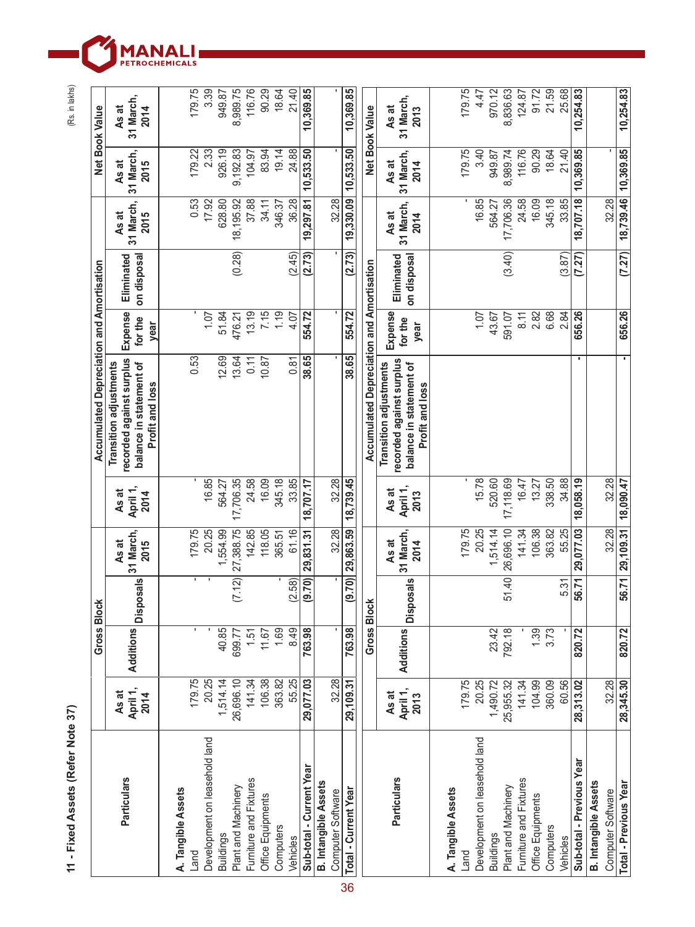**11 - Fixed Assets (Refer Note 37)** (Rs. in lakhs) 11 - Fixed Assets (Refer Note 37)

|                               |                           | Gross Block                |                  |                            |                           | <b>Accumulated Depreciation and Amortisation</b>                                                 |                            |                           |                            |                            | Net Book Value             |
|-------------------------------|---------------------------|----------------------------|------------------|----------------------------|---------------------------|--------------------------------------------------------------------------------------------------|----------------------------|---------------------------|----------------------------|----------------------------|----------------------------|
| Particulars                   | As at<br>2014<br>April    | <b>Additions Disposals</b> |                  | 31 March,<br>As at<br>2015 | April 1,<br>As at<br>2014 | recorded against surplus<br>balance in statement of<br>Transition adjustments<br>Profit and loss | Expense<br>for the<br>vear | Eliminated<br>on disposal | 31 March,<br>As at<br>2015 | 31 March,<br>2015<br>As at | 31 March,<br>As at<br>2014 |
| A. Tangible Assets            |                           |                            |                  |                            |                           |                                                                                                  |                            |                           |                            |                            |                            |
| Land                          | 179.75                    |                            | T,               | 179.75                     |                           | 0.53                                                                                             |                            |                           | 0.53                       | 179.22                     | 179.75                     |
| Development on leasehold land | 20.25                     |                            |                  | 20.25                      | 16.85                     |                                                                                                  | 1.07                       |                           | 17.92                      | 2.33                       | 3.39                       |
| <b>Buildings</b>              | 1,514.14                  | 40.85                      |                  | 1,554.99                   | 564.27                    | 12.69                                                                                            | 51.84                      |                           | 628.80                     | 926.19                     | 949.87                     |
| Plant and Machinery           | 26,696.10                 | 699.77                     | (7.12)           | 27,388.75                  | 7,706.35                  | 13.64                                                                                            | 476.21                     | (0.28)                    | 18,195.92                  | 9,192.83                   | 8,989.75                   |
| Furniture and Fixtures        | 141.34                    | 1.51                       |                  | 142.85                     | 24.58                     | 0.11                                                                                             | 13.19                      |                           | 37.88                      | 104.97                     | 116.76                     |
| Office Equipments             | 106.38                    | 11.67                      |                  | 118.05                     | 16.09                     | 10.87                                                                                            | 7.15                       |                           | 34.11                      | 83.94                      | 90.29                      |
| Computers                     | 363.82                    | 1.69                       |                  | 365.51                     | 345.18                    |                                                                                                  | 1.19                       |                           | 346.37                     | 19.14                      | 18.64                      |
| Vehicles                      | 55.25                     | 8.49                       | (2.58)           | 61.16                      | 33.85                     | 0.81                                                                                             | 4.07                       | (2.45)                    | 36.28                      | 24.88                      | 21.40                      |
| Sub-total - Current Year      | 29,077.03                 | 763.98                     | (9.70)           | 29,831.31                  | 18,707.17                 | 38.65                                                                                            | 554.72                     | (2.73)                    | 19,297.81                  | 10,533.50                  | 10,369.85                  |
| <b>B.</b> Intangible Assets   |                           |                            |                  |                            |                           |                                                                                                  |                            |                           |                            |                            |                            |
| Computer Software             | 32.28                     |                            |                  | 32.28                      | 32.28                     |                                                                                                  |                            |                           | 32.28                      |                            |                            |
| Total - Current Year          | 29,109.31                 | 763.98                     |                  | $(9.70)$ $29.863.59$       | 18.739.45                 | 38.65                                                                                            | 554.72                     | (2.73)                    | 19,330.09                  | 10,533.50                  | 10,369.85                  |
|                               |                           | Gross Block                |                  |                            |                           | <b>Accumulated Depreciation and Amortisation</b>                                                 |                            |                           |                            |                            | Net Book Value             |
| Particulars                   | As at<br>April 1,<br>2013 | <b>Additions</b>           | <b>Disposals</b> | 31 March,<br>As at<br>2014 | April 1,<br>As at<br>2013 | recorded against surplus<br>Transition adjustments<br>balance in statement of<br>Profit and loss | Expense<br>for the<br>year | Eliminated<br>on disposal | 31 March,<br>As at<br>2014 | 31 March,<br>As at<br>2014 | 31 March,<br>As at<br>2013 |
| A. Tangible Assets            |                           |                            |                  |                            |                           |                                                                                                  |                            |                           |                            |                            |                            |
| Land                          |                           |                            |                  | 179.75                     |                           |                                                                                                  |                            |                           |                            | 179.75                     | 179.75                     |
| Development on leasehold land | $\frac{179.75}{20.25}$    |                            |                  | 20.25                      | 15.78                     |                                                                                                  | 1.07                       |                           | 16.85                      | 3.40                       | 4.47                       |
| <b>Buildings</b>              | 1,490.72                  | 23.42                      |                  | 1,514.14                   | 520.60                    |                                                                                                  | 43.67                      |                           | 564.27                     | 949.87                     | 970.12                     |
| Plant and Machinery           | 25,955.32                 | 792.18                     | 51.40            | 26,696.10                  | 7,118.69                  |                                                                                                  | 591.07                     | (3.40)                    | 17,706.36                  | 8,989.74                   | 8,836.63                   |
| Furniture and Fixtures        | 1.34<br>$\frac{4}{1}$     |                            |                  | 141.34                     | 16.47                     |                                                                                                  | 8.11                       |                           | 24.58                      | 116.76                     | 124.87                     |
| Office Equipments             | 104.99                    | 1.39                       |                  | 106.38                     | 13.27                     |                                                                                                  | 2.82                       |                           | 16.09                      | 90.29                      | 91.72                      |
| Computers                     | 360.09                    | 3.73                       |                  | 363.82                     | 338.50                    |                                                                                                  | 6.68                       |                           | 345.18                     | 18.64                      | 21.59                      |
| Vehicles                      | 60.56                     |                            | 5.31             | 55.25                      | 34.88                     |                                                                                                  | 2.84                       | (3.87)                    | 33.85                      | 21.40                      | 25.68                      |
| Sub-total - Previous Year     | 28,313.02                 | 820.72                     | 56.71            | 29,077.03                  | 18,058.19                 |                                                                                                  | 656.26                     | (7.27)                    | 18,707.18                  | 10,369.85                  | 10,254.83                  |
| <b>B.</b> Intangible Assets   |                           |                            |                  |                            |                           |                                                                                                  |                            |                           |                            |                            |                            |
| Computer Software             | 2.28<br>3                 |                            |                  | 32.28                      | 32.28                     |                                                                                                  |                            |                           | 32.28                      |                            |                            |
| <b>Total - Previous Year</b>  | 28,345.30                 | 820.72                     |                  | 56.71 29,109.31            | 18,090.47                 |                                                                                                  | 656.26                     | (7.27)                    |                            | 18,739.46 10,369.85        | 10,254.83                  |

(Rs. in lakhs)

**MANALI**<br>PETROCHEMICALS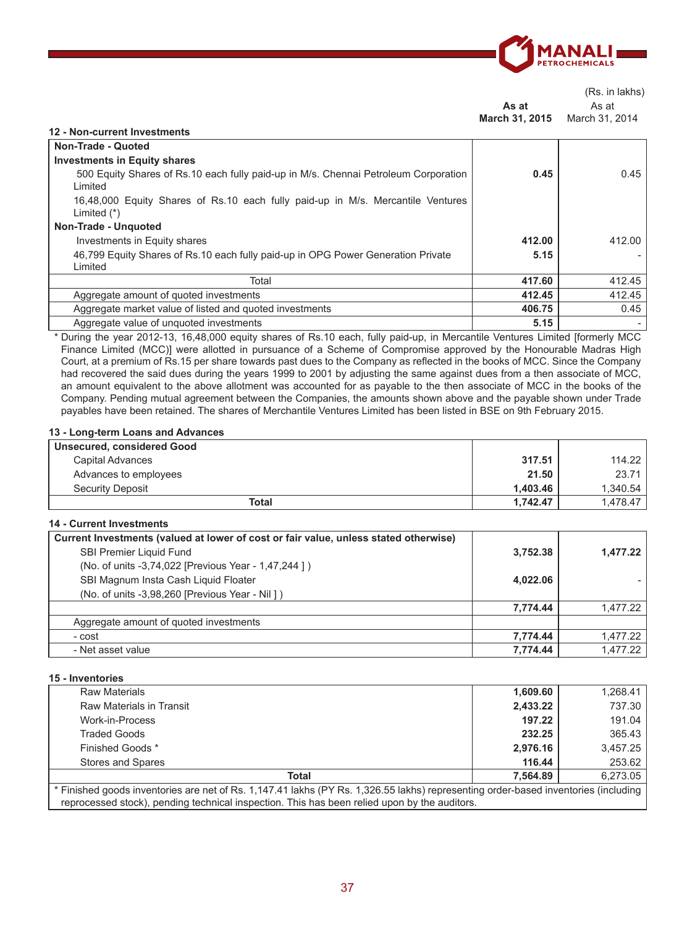

(Rs. in lakhs) **As at March 31, 2015** As at March 31, 2014

#### **12 - Non-current Investments**

| Non-Trade - Quoted                                                                               |        |        |
|--------------------------------------------------------------------------------------------------|--------|--------|
| <b>Investments in Equity shares</b>                                                              |        |        |
| 500 Equity Shares of Rs.10 each fully paid-up in M/s. Chennai Petroleum Corporation<br>Limited   | 0.45   | 0.45   |
| 16,48,000 Equity Shares of Rs.10 each fully paid-up in M/s. Mercantile Ventures<br>Limited $(*)$ |        |        |
| Non-Trade - Unquoted                                                                             |        |        |
| Investments in Equity shares                                                                     | 412.00 | 412.00 |
| 46,799 Equity Shares of Rs.10 each fully paid-up in OPG Power Generation Private<br>Limited      | 5.15   |        |
| Total                                                                                            | 417.60 | 412.45 |
| Aggregate amount of guoted investments                                                           | 412.45 | 412.45 |
| Aggregate market value of listed and guoted investments                                          | 406.75 | 0.45   |
| Aggregate value of unguoted investments                                                          | 5.15   |        |

\* During the year 2012-13, 16,48,000 equity shares of Rs.10 each, fully paid-up, in Mercantile Ventures Limited [formerly MCC Finance Limited (MCC)] were allotted in pursuance of a Scheme of Compromise approved by the Honourable Madras High Court, at a premium of Rs.15 per share towards past dues to the Company as reflected in the books of MCC. Since the Company had recovered the said dues during the years 1999 to 2001 by adjusting the same against dues from a then associate of MCC, an amount equivalent to the above allotment was accounted for as payable to the then associate of MCC in the books of the Company. Pending mutual agreement between the Companies, the amounts shown above and the payable shown under Trade payables have been retained. The shares of Merchantile Ventures Limited has been listed in BSE on 9th February 2015.

#### **13 - Long-term Loans and Advances**

| <b>Unsecured, considered Good</b> |          |          |
|-----------------------------------|----------|----------|
| Capital Advances                  | 317.51   | 114.22   |
| Advances to employees             | 21.50    | 23.71    |
| Security Deposit                  | 1.403.46 | 1,340.54 |
| Total                             | 1.742.47 | 1.478.47 |

# **14 - Current Investments**

| Current Investments (valued at lower of cost or fair value, unless stated otherwise) |          |          |
|--------------------------------------------------------------------------------------|----------|----------|
| SBI Premier Liquid Fund                                                              | 3,752.38 | 1,477.22 |
| (No. of units -3,74,022 [Previous Year - 1,47,244 ])                                 |          |          |
| SBI Magnum Insta Cash Liquid Floater                                                 | 4.022.06 |          |
| (No. of units -3,98,260 [Previous Year - Nil ])                                      |          |          |
|                                                                                      | 7.774.44 | 1,477.22 |
| Aggregate amount of guoted investments                                               |          |          |
| - cost                                                                               | 7.774.44 | 1,477.22 |
| - Net asset value                                                                    | 7.774.44 | 1,477.22 |

# **15 - Inventories**

| <b>Raw Materials</b>                                                                                                               | 1,609.60 | 1,268.41 |
|------------------------------------------------------------------------------------------------------------------------------------|----------|----------|
| Raw Materials in Transit                                                                                                           | 2.433.22 | 737.30   |
| Work-in-Process                                                                                                                    | 197.22   | 191.04   |
| <b>Traded Goods</b>                                                                                                                | 232.25   | 365.43   |
| Finished Goods *                                                                                                                   | 2.976.16 | 3,457.25 |
| Stores and Spares                                                                                                                  | 116.44   | 253.62   |
| <b>Total</b>                                                                                                                       | 7.564.89 | 6.273.05 |
| * Finished goods inventories are net of Rs. 1,147.41 lakhs (PY Rs. 1,326.55 lakhs) representing order-based inventories (including |          |          |
| reprocessed stock), pending technical inspection. This has been relied upon by the auditors.                                       |          |          |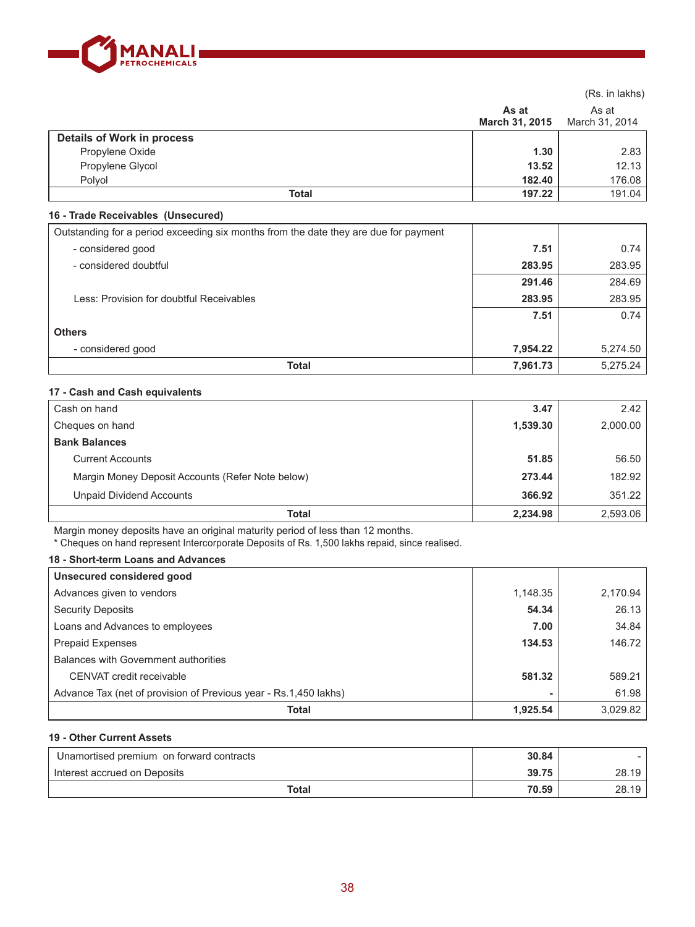

|                                                                                                                                                                                  |                 | (Rs. in lakhs)  |
|----------------------------------------------------------------------------------------------------------------------------------------------------------------------------------|-----------------|-----------------|
|                                                                                                                                                                                  | As at           | As at           |
|                                                                                                                                                                                  | March 31, 2015  | March 31, 2014  |
| Details of Work in process                                                                                                                                                       |                 |                 |
| Propylene Oxide                                                                                                                                                                  | 1.30            | 2.83            |
| Propylene Glycol                                                                                                                                                                 | 13.52<br>182.40 | 12.13<br>176.08 |
| Polyol<br><b>Total</b>                                                                                                                                                           | 197.22          | 191.04          |
| 16 - Trade Receivables (Unsecured)                                                                                                                                               |                 |                 |
| Outstanding for a period exceeding six months from the date they are due for payment                                                                                             |                 |                 |
| - considered good                                                                                                                                                                | 7.51            | 0.74            |
| - considered doubtful                                                                                                                                                            | 283.95          | 283.95          |
|                                                                                                                                                                                  | 291.46          | 284.69          |
| Less: Provision for doubtful Receivables                                                                                                                                         | 283.95          | 283.95          |
|                                                                                                                                                                                  | 7.51            | 0.74            |
| <b>Others</b>                                                                                                                                                                    |                 |                 |
| - considered good                                                                                                                                                                | 7,954.22        | 5,274.50        |
| Total                                                                                                                                                                            | 7,961.73        | 5,275.24        |
| 17 - Cash and Cash equivalents                                                                                                                                                   |                 |                 |
| Cash on hand                                                                                                                                                                     | 3.47            | 2.42            |
| Cheques on hand                                                                                                                                                                  | 1,539.30        | 2,000.00        |
| <b>Bank Balances</b>                                                                                                                                                             |                 |                 |
| <b>Current Accounts</b>                                                                                                                                                          | 51.85           | 56.50           |
| Margin Money Deposit Accounts (Refer Note below)                                                                                                                                 | 273.44          | 182.92          |
| <b>Unpaid Dividend Accounts</b>                                                                                                                                                  | 366.92          | 351.22          |
| <b>Total</b>                                                                                                                                                                     | 2,234.98        | 2,593.06        |
| Margin money deposits have an original maturity period of less than 12 months.<br>* Cheques on hand represent Intercorporate Deposits of Rs. 1,500 lakhs repaid, since realised. |                 |                 |
| 18 - Short-term Loans and Advances                                                                                                                                               |                 |                 |
| Unsecured considered good                                                                                                                                                        |                 |                 |
| Advances given to vendors                                                                                                                                                        | 1,148.35        | 2.170.94        |
| <b>Security Deposits</b>                                                                                                                                                         | 54.34           | 26.13           |
| Loans and Advances to employees                                                                                                                                                  | 7.00            | 34.84           |
| <b>Prepaid Expenses</b>                                                                                                                                                          | 134.53          | 146.72          |
| Balances with Government authorities                                                                                                                                             |                 |                 |
| CENVAT credit receivable                                                                                                                                                         | 58132           | 589 21          |

| Total                                                            | 1.925.54 | 3.029.82 |
|------------------------------------------------------------------|----------|----------|
| Advance Tax (net of provision of Previous year - Rs.1,450 lakhs) |          | 61.98    |
| CENVAT credit receivable                                         | 581.32   | 589.21   |

# **19 - Other Current Assets**

| Unamortised premium on forward contracts | 30.84 | -     |
|------------------------------------------|-------|-------|
| Interest accrued on Deposits             | 39.75 | 28.19 |
| Total                                    | 70.59 | 28.19 |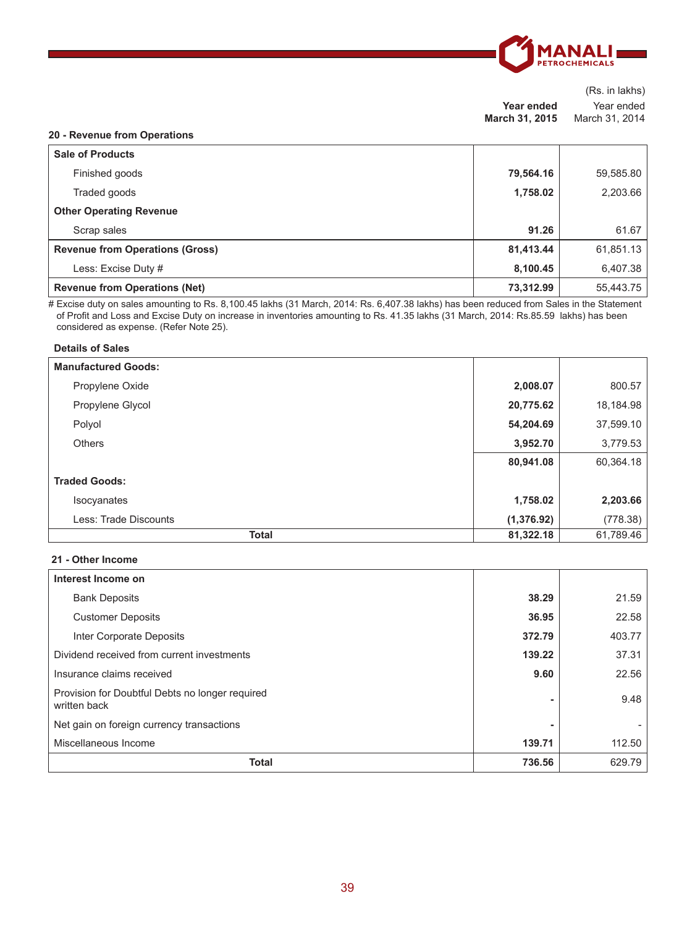

(Rs. in lakhs) **Year ended March 31, 2015** Year ended March 31, 2014

# **20 - Revenue from Operations**

| <b>Sale of Products</b>                |           |           |
|----------------------------------------|-----------|-----------|
| Finished goods                         | 79,564.16 | 59,585.80 |
| Traded goods                           | 1,758.02  | 2,203.66  |
| <b>Other Operating Revenue</b>         |           |           |
| Scrap sales                            | 91.26     | 61.67     |
| <b>Revenue from Operations (Gross)</b> | 81,413.44 | 61,851.13 |
| Less: Excise Duty #                    | 8,100.45  | 6.407.38  |
| <b>Revenue from Operations (Net)</b>   | 73,312.99 | 55.443.75 |

# Excise duty on sales amounting to Rs. 8,100.45 lakhs (31 March, 2014: Rs. 6,407.38 lakhs) has been reduced from Sales in the Statement of Profit and Loss and Excise Duty on increase in inventories amounting to Rs. 41.35 lakhs (31 March, 2014: Rs.85.59 lakhs) has been considered as expense. (Refer Note 25).

#### **Details of Sales**

| <b>Manufactured Goods:</b> |            |           |
|----------------------------|------------|-----------|
| Propylene Oxide            | 2,008.07   | 800.57    |
| Propylene Glycol           | 20,775.62  | 18,184.98 |
| Polyol                     | 54,204.69  | 37,599.10 |
| <b>Others</b>              | 3,952.70   | 3,779.53  |
|                            | 80,941.08  | 60,364.18 |
| <b>Traded Goods:</b>       |            |           |
| Isocyanates                | 1,758.02   | 2,203.66  |
| Less: Trade Discounts      | (1,376.92) | (778.38)  |
| <b>Total</b>               | 81,322.18  | 61,789.46 |

#### **21 - Other Income**

| Interest Income on                                              |        |        |
|-----------------------------------------------------------------|--------|--------|
| <b>Bank Deposits</b>                                            | 38.29  | 21.59  |
| <b>Customer Deposits</b>                                        | 36.95  | 22.58  |
| Inter Corporate Deposits                                        | 372.79 | 403.77 |
| Dividend received from current investments                      | 139.22 | 37.31  |
| Insurance claims received                                       | 9.60   | 22.56  |
| Provision for Doubtful Debts no longer required<br>written back |        | 9.48   |
| Net gain on foreign currency transactions                       |        |        |
| Miscellaneous Income                                            | 139.71 | 112.50 |
| <b>Total</b>                                                    | 736.56 | 629.79 |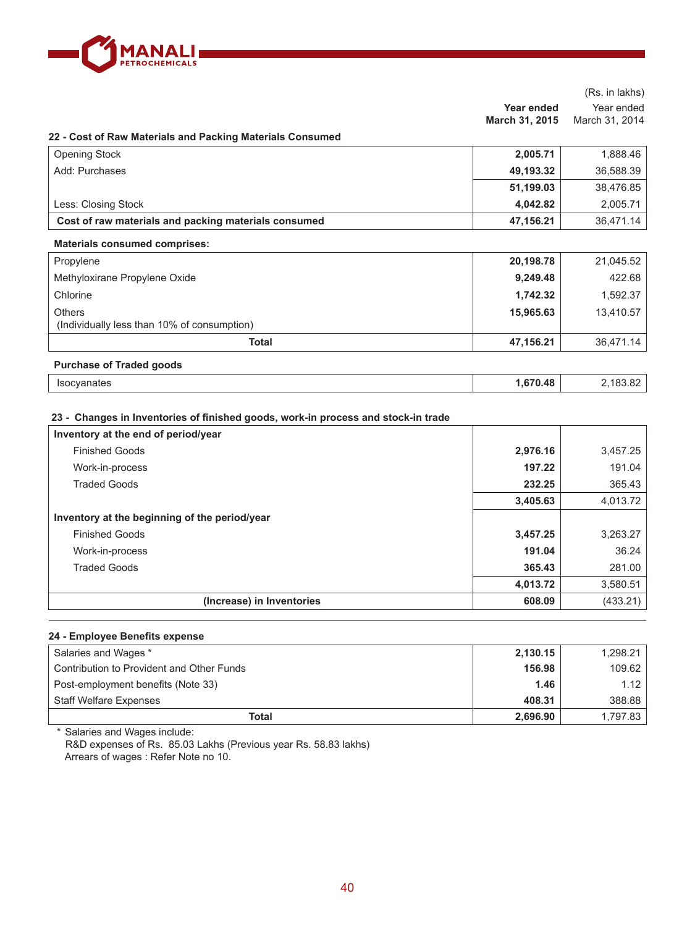

|                                                              | Year ended<br>March 31, 2015 | (Rs. in lakhs)<br>Year ended<br>March 31, 2014 |
|--------------------------------------------------------------|------------------------------|------------------------------------------------|
| 22 - Cost of Raw Materials and Packing Materials Consumed    |                              |                                                |
| <b>Opening Stock</b>                                         | 2,005.71                     | 1,888.46                                       |
| Add: Purchases                                               | 49,193.32                    | 36,588.39                                      |
|                                                              | 51,199.03                    | 38,476.85                                      |
| Less: Closing Stock                                          | 4,042.82                     | 2,005.71                                       |
| Cost of raw materials and packing materials consumed         | 47,156.21                    | 36,471.14                                      |
| <b>Materials consumed comprises:</b>                         |                              |                                                |
| Propylene                                                    | 20,198.78                    | 21,045.52                                      |
| Methyloxirane Propylene Oxide                                | 9,249.48                     | 422.68                                         |
| Chlorine                                                     | 1,742.32                     | 1,592.37                                       |
| <b>Others</b><br>(Individually less than 10% of consumption) | 15,965.63                    | 13,410.57                                      |
| <b>Total</b>                                                 | 47,156.21                    | 36,471.14                                      |
| <b>Purchase of Traded goods</b>                              |                              |                                                |
| Isocyanates                                                  | 1,670.48                     | 2,183.82                                       |

# **23 - Changes in Inventories of finished goods, work-in process and stock-in trade**

| Inventory at the end of period/year           |          |          |
|-----------------------------------------------|----------|----------|
| <b>Finished Goods</b>                         | 2,976.16 | 3,457.25 |
| Work-in-process                               | 197.22   | 191.04   |
| <b>Traded Goods</b>                           | 232.25   | 365.43   |
|                                               | 3,405.63 | 4,013.72 |
| Inventory at the beginning of the period/year |          |          |
| <b>Finished Goods</b>                         | 3,457.25 | 3,263.27 |
| Work-in-process                               | 191.04   | 36.24    |
| <b>Traded Goods</b>                           | 365.43   | 281.00   |
|                                               | 4.013.72 | 3,580.51 |
| (Increase) in Inventories                     | 608.09   | (433.21) |

# **24 - Employee Benefits expense**

| Salaries and Wages *                      | 2.130.15 | 1,298.21 |
|-------------------------------------------|----------|----------|
| Contribution to Provident and Other Funds | 156.98   | 109.62   |
| Post-employment benefits (Note 33)        | 1.46     | 1.12     |
| <b>Staff Welfare Expenses</b>             | 408.31   | 388.88   |
| Total                                     | 2.696.90 | 1,797.83 |

 \* Salaries and Wages include: R&D expenses of Rs. 85.03 Lakhs (Previous year Rs. 58.83 lakhs) Arrears of wages : Refer Note no 10.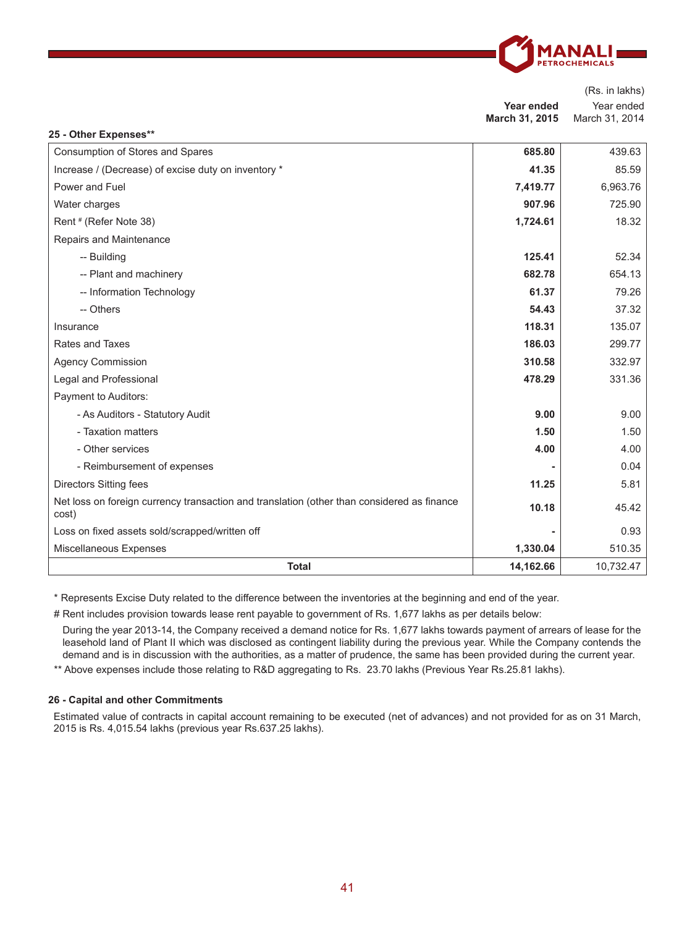

(Rs. in lakhs) **Year ended March 31, 2015** Year ended March 31, 2014

| 25 - Other Expenses**                                                                               |           |           |
|-----------------------------------------------------------------------------------------------------|-----------|-----------|
| Consumption of Stores and Spares                                                                    | 685.80    | 439.63    |
| Increase / (Decrease) of excise duty on inventory *                                                 | 41.35     | 85.59     |
| Power and Fuel                                                                                      | 7,419.77  | 6,963.76  |
| Water charges                                                                                       | 907.96    | 725.90    |
| Rent # (Refer Note 38)                                                                              | 1,724.61  | 18.32     |
| Repairs and Maintenance                                                                             |           |           |
| -- Building                                                                                         | 125.41    | 52.34     |
| -- Plant and machinery                                                                              | 682.78    | 654.13    |
| -- Information Technology                                                                           | 61.37     | 79.26     |
| -- Others                                                                                           | 54.43     | 37.32     |
| Insurance                                                                                           | 118.31    | 135.07    |
| Rates and Taxes                                                                                     | 186.03    | 299.77    |
| <b>Agency Commission</b>                                                                            | 310.58    | 332.97    |
| Legal and Professional                                                                              | 478.29    | 331.36    |
| <b>Payment to Auditors:</b>                                                                         |           |           |
| - As Auditors - Statutory Audit                                                                     | 9.00      | 9.00      |
| - Taxation matters                                                                                  | 1.50      | 1.50      |
| - Other services                                                                                    | 4.00      | 4.00      |
| - Reimbursement of expenses                                                                         |           | 0.04      |
| <b>Directors Sitting fees</b>                                                                       | 11.25     | 5.81      |
| Net loss on foreign currency transaction and translation (other than considered as finance<br>cost) | 10.18     | 45.42     |
| Loss on fixed assets sold/scrapped/written off                                                      |           | 0.93      |
| Miscellaneous Expenses                                                                              | 1,330.04  | 510.35    |
| <b>Total</b>                                                                                        | 14,162.66 | 10,732.47 |

\* Represents Excise Duty related to the difference between the inventories at the beginning and end of the year.

# Rent includes provision towards lease rent payable to government of Rs. 1,677 lakhs as per details below:

 During the year 2013-14, the Company received a demand notice for Rs. 1,677 lakhs towards payment of arrears of lease for the leasehold land of Plant II which was disclosed as contingent liability during the previous year. While the Company contends the demand and is in discussion with the authorities, as a matter of prudence, the same has been provided during the current year.

\*\* Above expenses include those relating to R&D aggregating to Rs. 23.70 lakhs (Previous Year Rs.25.81 lakhs).

# **26 - Capital and other Commitments**

Estimated value of contracts in capital account remaining to be executed (net of advances) and not provided for as on 31 March, 2015 is Rs. 4,015.54 lakhs (previous year Rs.637.25 lakhs).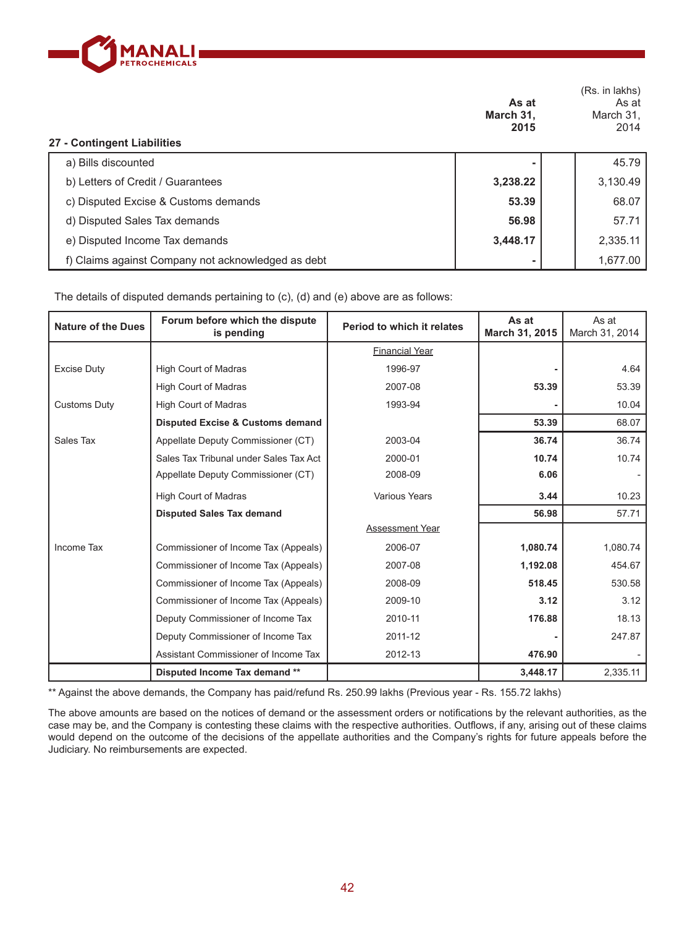

| 27 - Contingent Liabilities                        | As at<br>March 31,<br>2015 | (Rs. in lakhs)<br>As at<br>March 31,<br>2014 |
|----------------------------------------------------|----------------------------|----------------------------------------------|
| a) Bills discounted                                |                            | 45.79                                        |
| b) Letters of Credit / Guarantees                  | 3,238.22                   | 3,130.49                                     |
| c) Disputed Excise & Customs demands               | 53.39                      | 68.07                                        |
| d) Disputed Sales Tax demands                      | 56.98                      | 57.71                                        |
| e) Disputed Income Tax demands                     | 3,448.17                   | 2,335.11                                     |
| f) Claims against Company not acknowledged as debt |                            | 1,677.00                                     |

The details of disputed demands pertaining to (c), (d) and (e) above are as follows:

| <b>Nature of the Dues</b> | Forum before which the dispute<br>is pending | Period to which it relates | As at<br>March 31, 2015 | As at<br>March 31, 2014 |
|---------------------------|----------------------------------------------|----------------------------|-------------------------|-------------------------|
|                           |                                              | <b>Financial Year</b>      |                         |                         |
| <b>Excise Duty</b>        | <b>High Court of Madras</b>                  | 1996-97                    |                         | 4.64                    |
|                           | <b>High Court of Madras</b>                  | 2007-08                    | 53.39                   | 53.39                   |
| <b>Customs Duty</b>       | <b>High Court of Madras</b>                  | 1993-94                    |                         | 10.04                   |
|                           | <b>Disputed Excise &amp; Customs demand</b>  |                            | 53.39                   | 68.07                   |
| Sales Tax                 | Appellate Deputy Commissioner (CT)           | 2003-04                    | 36.74                   | 36.74                   |
|                           | Sales Tax Tribunal under Sales Tax Act       | 2000-01                    | 10.74                   | 10.74                   |
|                           | Appellate Deputy Commissioner (CT)           | 2008-09                    | 6.06                    |                         |
|                           | <b>High Court of Madras</b>                  | Various Years              | 3.44                    | 10.23                   |
|                           | <b>Disputed Sales Tax demand</b>             |                            | 56.98                   | 57.71                   |
|                           |                                              | Assessment Year            |                         |                         |
| Income Tax                | Commissioner of Income Tax (Appeals)         | 2006-07                    | 1,080.74                | 1.080.74                |
|                           | Commissioner of Income Tax (Appeals)         | 2007-08                    | 1,192.08                | 454.67                  |
|                           | Commissioner of Income Tax (Appeals)         | 2008-09                    | 518.45                  | 530.58                  |
|                           | Commissioner of Income Tax (Appeals)         | 2009-10                    | 3.12                    | 3.12                    |
|                           | Deputy Commissioner of Income Tax            | 2010-11                    | 176.88                  | 18.13                   |
|                           | Deputy Commissioner of Income Tax            | 2011-12                    |                         | 247.87                  |
|                           | Assistant Commissioner of Income Tax         | 2012-13                    | 476.90                  |                         |
|                           | Disputed Income Tax demand **                |                            | 3.448.17                | 2.335.11                |

\*\* Against the above demands, the Company has paid/refund Rs. 250.99 lakhs (Previous year - Rs. 155.72 lakhs)

The above amounts are based on the notices of demand or the assessment orders or notifications by the relevant authorities, as the case may be, and the Company is contesting these claims with the respective authorities. Outflows, if any, arising out of these claims would depend on the outcome of the decisions of the appellate authorities and the Company's rights for future appeals before the Judiciary. No reimbursements are expected.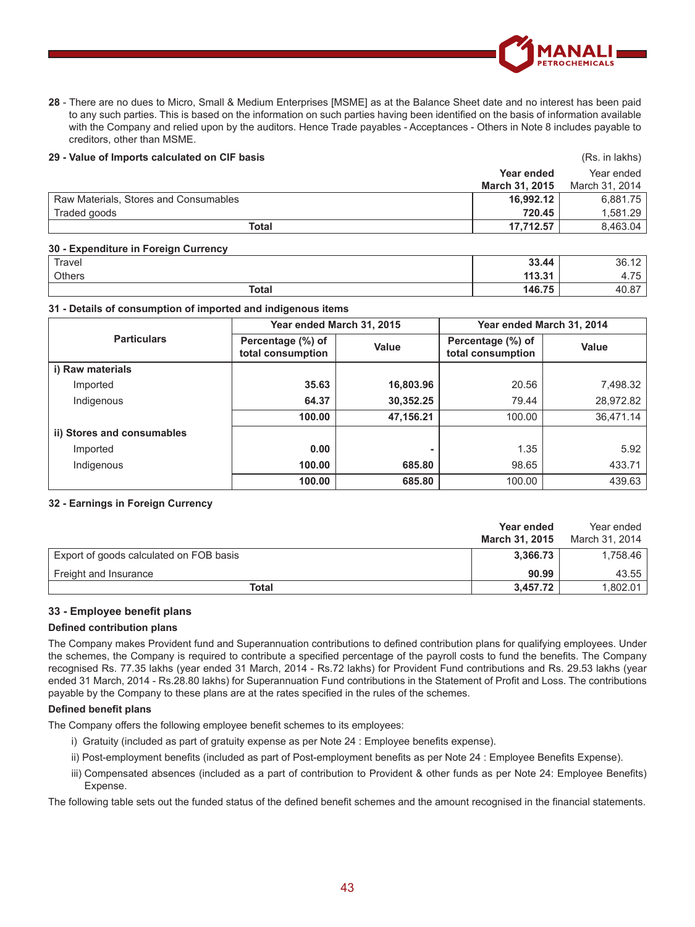

**28** - There are no dues to Micro, Small & Medium Enterprises [MSME] as at the Balance Sheet date and no interest has been paid to any such parties. This is based on the information on such parties having been identified on the basis of information available with the Company and relied upon by the auditors. Hence Trade payables - Acceptances - Others in Note 8 includes payable to creditors, other than MSME.

| 29 - Value of Imports calculated on CIF basis |                | (Rs. in lakhs) |
|-----------------------------------------------|----------------|----------------|
|                                               | Year ended     | Year ended     |
|                                               | March 31, 2015 | March 31, 2014 |
| Raw Materials, Stores and Consumables         | 16.992.12      | 6.881.75       |
| Traded goods                                  | 720.45         | 1.581.29       |
| Total                                         | 17.712.57      | 8,463.04       |

# **30 - Expenditure in Foreign Currency**

| Travel        | 33.44  | 36.12               |
|---------------|--------|---------------------|
| <b>Others</b> | 113.31 | $- -$<br>ט י<br>4.7 |
| <b>Total</b>  | 146.75 | 40.87               |

# **31 - Details of consumption of imported and indigenous items**

|                            |                                        | Year ended March 31, 2015 |                                        | Year ended March 31, 2014 |
|----------------------------|----------------------------------------|---------------------------|----------------------------------------|---------------------------|
| <b>Particulars</b>         | Percentage (%) of<br>total consumption | Value                     | Percentage (%) of<br>total consumption | Value                     |
| i) Raw materials           |                                        |                           |                                        |                           |
| Imported                   | 35.63                                  | 16,803.96                 | 20.56                                  | 7,498.32                  |
| Indigenous                 | 64.37                                  | 30,352.25                 | 79.44                                  | 28,972.82                 |
|                            | 100.00                                 | 47,156.21                 | 100.00                                 | 36,471.14                 |
| ii) Stores and consumables |                                        |                           |                                        |                           |
| Imported                   | 0.00                                   |                           | 1.35                                   | 5.92                      |
| Indigenous                 | 100.00                                 | 685.80                    | 98.65                                  | 433.71                    |
|                            | 100.00                                 | 685.80                    | 100.00                                 | 439.63                    |

# **32 - Earnings in Foreign Currency**

|                                         | Year ended<br><b>March 31, 2015</b> | Year ended<br>March 31, 2014 |
|-----------------------------------------|-------------------------------------|------------------------------|
| Export of goods calculated on FOB basis | 3.366.73                            | 1.758.46                     |
| Freight and Insurance                   | 90.99                               | 43.55                        |
| <b>Total</b>                            | 3.457.72                            | 1.802.01                     |

# **33 - Employee benefit plans**

# **Defined contribution plans**

The Company makes Provident fund and Superannuation contributions to defined contribution plans for qualifying employees. Under the schemes, the Company is required to contribute a specified percentage of the payroll costs to fund the benefits. The Company recognised Rs. 77.35 lakhs (year ended 31 March, 2014 - Rs.72 lakhs) for Provident Fund contributions and Rs. 29.53 lakhs (year ended 31 March, 2014 - Rs.28.80 lakhs) for Superannuation Fund contributions in the Statement of Profit and Loss. The contributions payable by the Company to these plans are at the rates specified in the rules of the schemes.

# **Defined benefit plans**

The Company offers the following employee benefit schemes to its employees:

- i) Gratuity (included as part of gratuity expense as per Note 24 : Employee benefits expense).
- ii) Post-employment benefits (included as part of Post-employment benefits as per Note 24 : Employee Benefits Expense).
- iii) Compensated absences (included as a part of contribution to Provident & other funds as per Note 24: Employee Benefits) Expense.

The following table sets out the funded status of the defined benefit schemes and the amount recognised in the financial statements.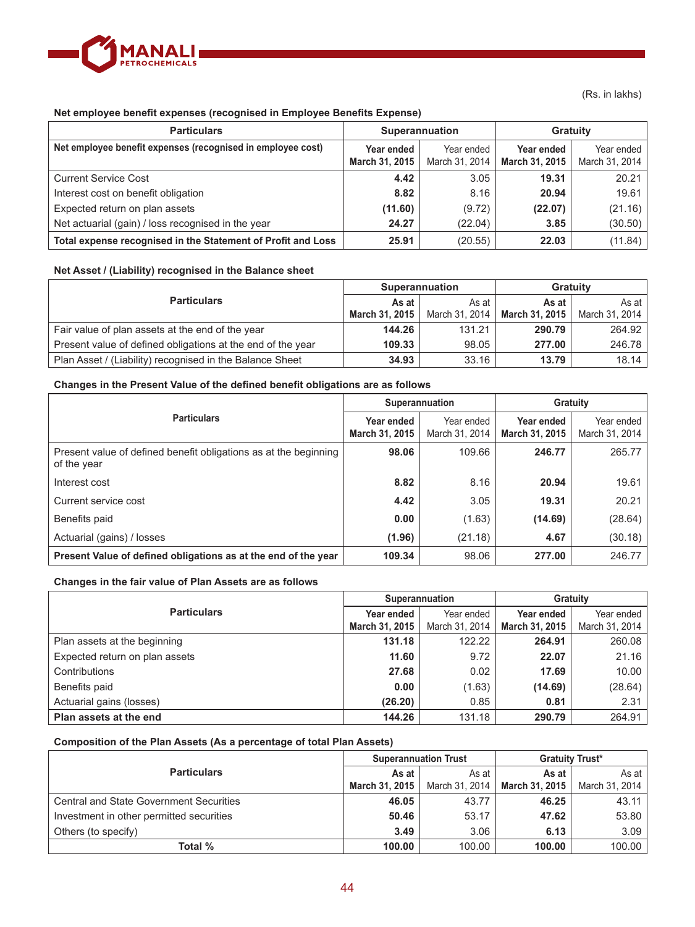

(Rs. in lakhs)

# **Net employee benefit expenses (recognised in Employee Benefits Expense)**

| <b>Particulars</b>                                           | Superannuation               |                              | <b>Gratuity</b>              |                              |
|--------------------------------------------------------------|------------------------------|------------------------------|------------------------------|------------------------------|
| Net employee benefit expenses (recognised in employee cost)  | Year ended<br>March 31, 2015 | Year ended<br>March 31, 2014 | Year ended<br>March 31, 2015 | Year ended<br>March 31, 2014 |
| <b>Current Service Cost</b>                                  | 4.42                         | 3.05                         | 19.31                        | 20.21                        |
| Interest cost on benefit obligation                          | 8.82                         | 8.16                         | 20.94                        | 19.61                        |
| Expected return on plan assets                               | (11.60)                      | (9.72)                       | (22.07)                      | (21.16)                      |
| Net actuarial (gain) / loss recognised in the year           | 24.27                        | (22.04)                      | 3.85                         | (30.50)                      |
| Total expense recognised in the Statement of Profit and Loss | 25.91                        | (20.55)                      | 22.03                        | (11.84)                      |

# **Net Asset / (Liability) recognised in the Balance sheet**

|                                                             | <b>Superannuation</b> |                | <b>Gratuity</b> |                |
|-------------------------------------------------------------|-----------------------|----------------|-----------------|----------------|
| <b>Particulars</b>                                          | As at                 | As at          | As at           | As at 1        |
|                                                             | March 31, 2015        | March 31, 2014 | March 31, 2015  | March 31, 2014 |
| Fair value of plan assets at the end of the year            | 144.26                | 131.21         | 290.79          | 264.92         |
| Present value of defined obligations at the end of the year | 109.33                | 98.05          | 277.00          | 246.78         |
| Plan Asset / (Liability) recognised in the Balance Sheet    | 34.93                 | 33.16          | 13.79           | 18.14          |

# **Changes in the Present Value of the defined benefit obligations are as follows**

|                                                                                 | Superannuation               |                              | Gratuity                     |                              |
|---------------------------------------------------------------------------------|------------------------------|------------------------------|------------------------------|------------------------------|
| <b>Particulars</b>                                                              | Year ended<br>March 31, 2015 | Year ended<br>March 31, 2014 | Year ended<br>March 31, 2015 | Year ended<br>March 31, 2014 |
| Present value of defined benefit obligations as at the beginning<br>of the year | 98.06                        | 109.66                       | 246.77                       | 265.77                       |
| Interest cost                                                                   | 8.82                         | 8.16                         | 20.94                        | 19.61                        |
| Current service cost                                                            | 4.42                         | 3.05                         | 19.31                        | 20.21                        |
| Benefits paid                                                                   | 0.00                         | (1.63)                       | (14.69)                      | (28.64)                      |
| Actuarial (gains) / losses                                                      | (1.96)                       | (21.18)                      | 4.67                         | (30.18)                      |
| Present Value of defined obligations as at the end of the year                  | 109.34                       | 98.06                        | 277.00                       | 246.77                       |

# **Changes in the fair value of Plan Assets are as follows**

|                                |                | Superannuation | Gratuity       |                |
|--------------------------------|----------------|----------------|----------------|----------------|
| <b>Particulars</b>             | Year ended     | Year ended     | Year ended     | Year ended     |
|                                | March 31, 2015 | March 31, 2014 | March 31, 2015 | March 31, 2014 |
| Plan assets at the beginning   | 131.18         | 122.22         | 264.91         | 260.08         |
| Expected return on plan assets | 11.60          | 9.72           | 22.07          | 21.16          |
| Contributions                  | 27.68          | 0.02           | 17.69          | 10.00          |
| Benefits paid                  | 0.00           | (1.63)         | (14.69)        | (28.64)        |
| Actuarial gains (losses)       | (26.20)        | 0.85           | 0.81           | 2.31           |
| Plan assets at the end         | 144.26         | 131.18         | 290.79         | 264.91         |

# **Composition of the Plan Assets (As a percentage of total Plan Assets)**

|                                                | <b>Superannuation Trust</b> |                | <b>Gratuity Trust*</b> |                |
|------------------------------------------------|-----------------------------|----------------|------------------------|----------------|
| <b>Particulars</b>                             | As at                       | As at          | As at                  | As at 1        |
|                                                | March 31, 2015              | March 31, 2014 | March 31, 2015         | March 31, 2014 |
| <b>Central and State Government Securities</b> | 46.05                       | 43.77          | 46.25                  | 43.11          |
| Investment in other permitted securities       | 50.46                       | 53.17          | 47.62                  | 53.80          |
| Others (to specify)                            | 3.49                        | 3.06           | 6.13                   | 3.09           |
| Total %                                        | 100.00                      | 100.00         | 100.00                 | 100.00         |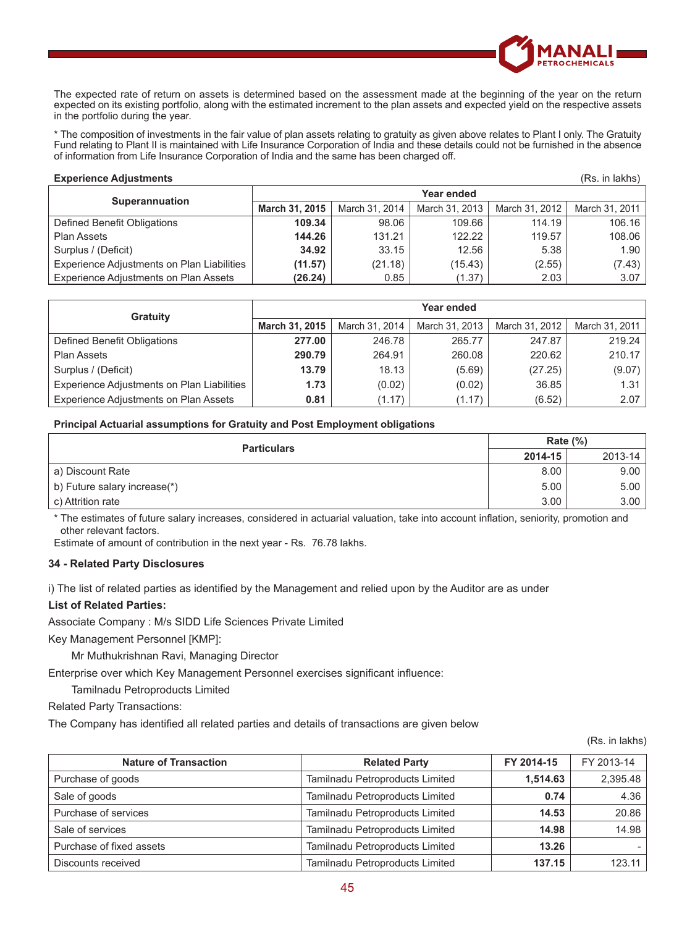

The expected rate of return on assets is determined based on the assessment made at the beginning of the year on the return expected on its existing portfolio, along with the estimated increment to the plan assets and expected yield on the respective assets in the portfolio during the year.

\* The composition of investments in the fair value of plan assets relating to gratuity as given above relates to Plant I only. The Gratuity Fund relating to Plant II is maintained with Life Insurance Corporation of India and these details could not be furnished in the absence of information from Life Insurance Corporation of India and the same has been charged off.

#### **Experience Adjustments** (Rs. in lakhs)

|                                              | Year ended     |                |                |                |                |  |
|----------------------------------------------|----------------|----------------|----------------|----------------|----------------|--|
| Superannuation                               | March 31, 2015 | March 31, 2014 | March 31, 2013 | March 31, 2012 | March 31, 2011 |  |
| Defined Benefit Obligations                  | 109.34         | 98.06          | 109.66         | 114.19         | 106.16         |  |
| <b>Plan Assets</b>                           | 144.26         | 131.21         | 122.22         | 119.57         | 108.06         |  |
| Surplus / (Deficit)                          | 34.92          | 33.15          | 12.56          | 5.38           | 1.90           |  |
| Experience Adjustments on Plan Liabilities   | (11.57)        | (21.18)        | (15.43)        | (2.55)         | (7.43)         |  |
| <b>Experience Adjustments on Plan Assets</b> | (26.24)        | 0.85           | (1.37)         | 2.03           | 3.07           |  |

| Gratuity                                   | Year ended     |                |                |                |                |  |
|--------------------------------------------|----------------|----------------|----------------|----------------|----------------|--|
|                                            | March 31, 2015 | March 31, 2014 | March 31, 2013 | March 31, 2012 | March 31, 2011 |  |
| Defined Benefit Obligations                | 277.00         | 246.78         | 265.77         | 247.87         | 219.24         |  |
| Plan Assets                                | 290.79         | 264.91         | 260.08         | 220.62         | 210.17         |  |
| Surplus / (Deficit)                        | 13.79          | 18.13          | (5.69)         | (27.25)        | (9.07)         |  |
| Experience Adjustments on Plan Liabilities | 1.73           | (0.02)         | (0.02)         | 36.85          | 1.31           |  |
| Experience Adjustments on Plan Assets      | 0.81           | (1.17)         | (1.17)         | (6.52)         | 2.07           |  |

**Principal Actuarial assumptions for Gratuity and Post Employment obligations**

| <b>Particulars</b>           | Rate $(\%)$ |             |  |
|------------------------------|-------------|-------------|--|
|                              | 2014-15     | $2013 - 14$ |  |
| a) Discount Rate             | 8.00        | 9.00        |  |
| b) Future salary increase(*) | 5.00        | 5.00        |  |
| c) Attrition rate            | 3.00        | 3.00        |  |

\* The estimates of future salary increases, considered in actuarial valuation, take into account inflation, seniority, promotion and other relevant factors.

Estimate of amount of contribution in the next year - Rs. 76.78 lakhs.

# **34 - Related Party Disclosures**

i) The list of related parties as identified by the Management and relied upon by the Auditor are as under

#### **List of Related Parties:**

Associate Company : M/s SIDD Life Sciences Private Limited

Key Management Personnel [KMP]:

Mr Muthukrishnan Ravi, Managing Director

Enterprise over which Key Management Personnel exercises significant influence:

 Tamilnadu Petroproducts Limited

Related Party Transactions:

The Company has identified all related parties and details of transactions are given below

(Rs. in lakhs)

| <b>Nature of Transaction</b> | <b>Related Party</b>            | FY 2014-15 | FY 2013-14 |
|------------------------------|---------------------------------|------------|------------|
| Purchase of goods            | Tamilnadu Petroproducts Limited | 1.514.63   | 2,395.48   |
| Sale of goods                | Tamilnadu Petroproducts Limited | 0.74       | 4.36       |
| Purchase of services         | Tamilnadu Petroproducts Limited | 14.53      | 20.86      |
| Sale of services             | Tamilnadu Petroproducts Limited | 14.98      | 14.98      |
| Purchase of fixed assets     | Tamilnadu Petroproducts Limited | 13.26      |            |
| Discounts received           | Tamilnadu Petroproducts Limited | 137.15     | 123.11     |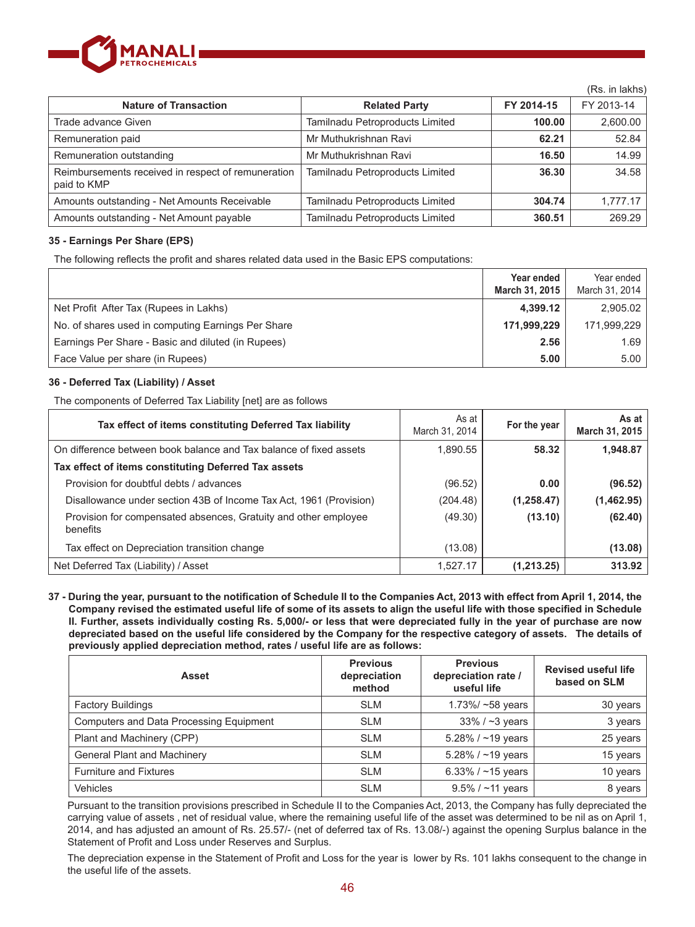

(Rs. in lakhs)

| <b>Nature of Transaction</b>                                      | <b>Related Party</b>            | FY 2014-15 | FY 2013-14 |
|-------------------------------------------------------------------|---------------------------------|------------|------------|
| Trade advance Given                                               | Tamilnadu Petroproducts Limited | 100.00     | 2,600.00   |
| Remuneration paid                                                 | Mr Muthukrishnan Ravi           | 62.21      | 52.84      |
| Remuneration outstanding                                          | Mr Muthukrishnan Ravi           | 16.50      | 14.99      |
| Reimbursements received in respect of remuneration<br>paid to KMP | Tamilnadu Petroproducts Limited | 36.30      | 34.58      |
| Amounts outstanding - Net Amounts Receivable                      | Tamilnadu Petroproducts Limited | 304.74     | 1.777.17   |
| Amounts outstanding - Net Amount payable                          | Tamilnadu Petroproducts Limited | 360.51     | 269.29     |

# **35 - Earnings Per Share (EPS)**

The following reflects the profit and shares related data used in the Basic EPS computations:

|                                                    | Year ended<br>March 31, 2015 | Year ended<br>March 31, 2014 |
|----------------------------------------------------|------------------------------|------------------------------|
| Net Profit After Tax (Rupees in Lakhs)             | 4.399.12                     | 2,905.02                     |
| No. of shares used in computing Earnings Per Share | 171.999.229                  | 171.999.229                  |
| Earnings Per Share - Basic and diluted (in Rupees) | 2.56                         | 1.69                         |
| Face Value per share (in Rupees)                   | 5.00                         | 5.00                         |

# **36 - Deferred Tax (Liability) / Asset**

The components of Deferred Tax Liability [net] are as follows

| Tax effect of items constituting Deferred Tax liability                     | As at<br>March 31, 2014 | For the year | As at 1<br>March 31, 2015 |
|-----------------------------------------------------------------------------|-------------------------|--------------|---------------------------|
| On difference between book balance and Tax balance of fixed assets          | 1.890.55                | 58.32        | 1,948.87                  |
| Tax effect of items constituting Deferred Tax assets                        |                         |              |                           |
| Provision for doubtful debts / advances                                     | (96.52)                 | 0.00         | (96.52)                   |
| Disallowance under section 43B of Income Tax Act, 1961 (Provision)          | (204.48)                | (1,258.47)   | (1,462.95)                |
| Provision for compensated absences, Gratuity and other employee<br>benefits | (49.30)                 | (13.10)      | (62.40)                   |
| Tax effect on Depreciation transition change                                | (13.08)                 |              | (13.08)                   |
| Net Deferred Tax (Liability) / Asset                                        | 1.527.17                | (1,213.25)   | 313.92                    |

**37 - During the year, pursuant to the notification of Schedule II to the Companies Act, 2013 with effect from April 1, 2014, the Company revised the estimated useful life of some of its assets to align the useful life with those specified in Schedule II. Further, assets individually costing Rs. 5,000/- or less that were depreciated fully in the year of purchase are now depreciated based on the useful life considered by the Company for the respective category of assets. The details of previously applied depreciation method, rates / useful life are as follows:**

| Asset                                   | <b>Previous</b><br>depreciation<br>method | <b>Previous</b><br>depreciation rate /<br>useful life | <b>Revised useful life</b><br>based on SLM |
|-----------------------------------------|-------------------------------------------|-------------------------------------------------------|--------------------------------------------|
| <b>Factory Buildings</b>                | <b>SLM</b>                                | 1.73%/ $~58$ years                                    | 30 years                                   |
| Computers and Data Processing Equipment | <b>SLM</b>                                | 33% / $~3$ years                                      | 3 years                                    |
| Plant and Machinery (CPP)               | <b>SLM</b>                                | 5.28% / ~19 years                                     | 25 years                                   |
| General Plant and Machinery             | <b>SLM</b>                                | 5.28% / $~19$ years                                   | 15 years                                   |
| <b>Furniture and Fixtures</b>           | <b>SLM</b>                                | 6.33% / $~15$ years                                   | 10 years                                   |
| Vehicles                                | <b>SLM</b>                                | $9.5\% / \sim 11$ years                               | 8 years                                    |

Pursuant to the transition provisions prescribed in Schedule II to the Companies Act, 2013, the Company has fully depreciated the carrying value of assets , net of residual value, where the remaining useful life of the asset was determined to be nil as on April 1, 2014, and has adjusted an amount of Rs. 25.57/- (net of deferred tax of Rs. 13.08/-) against the opening Surplus balance in the Statement of Profit and Loss under Reserves and Surplus.

The depreciation expense in the Statement of Profit and Loss for the year is lower by Rs. 101 lakhs consequent to the change in the useful life of the assets.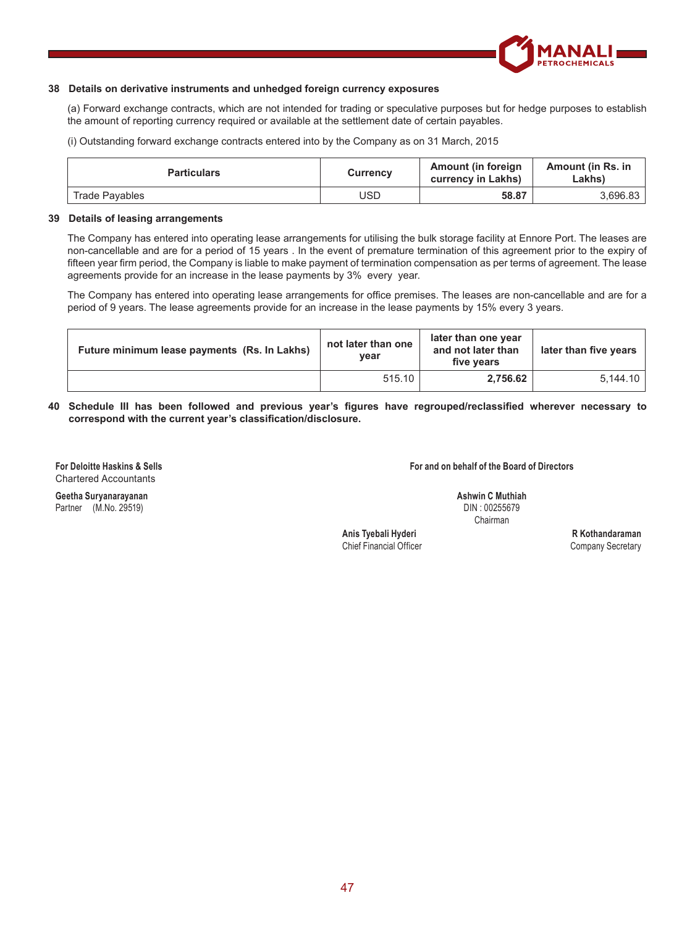

#### **38 Details on derivative instruments and unhedged foreign currency exposures**

(a) Forward exchange contracts, which are not intended for trading or speculative purposes but for hedge purposes to establish the amount of reporting currency required or available at the settlement date of certain payables.

(i) Outstanding forward exchange contracts entered into by the Company as on 31 March, 2015

| <b>Particulars</b> | <b>Currency</b> | Amount (in foreign<br>currency in Lakhs) | Amount (in Rs. in<br>Lakhs) |
|--------------------|-----------------|------------------------------------------|-----------------------------|
| Trade Pavables     | JSD             | 58.87                                    | 3.696.83                    |

#### **39 Details of leasing arrangements**

The Company has entered into operating lease arrangements for utilising the bulk storage facility at Ennore Port. The leases are non-cancellable and are for a period of 15 years . In the event of premature termination of this agreement prior to the expiry of fifteen year firm period, the Company is liable to make payment of termination compensation as per terms of agreement. The lease agreements provide for an increase in the lease payments by 3% every year.

The Company has entered into operating lease arrangements for office premises. The leases are non-cancellable and are for a period of 9 years. The lease agreements provide for an increase in the lease payments by 15% every 3 years.

| Future minimum lease payments (Rs. In Lakhs) | not later than one<br>vear | later than one year<br>and not later than<br>five vears | later than five years |
|----------------------------------------------|----------------------------|---------------------------------------------------------|-----------------------|
|                                              | 515.10                     | 2.756.62                                                | 5.144.10              |

**40 Schedule III has been followed and previous year's figures have regrouped/reclassified wherever necessary to correspond with the current year's classification/disclosure.**

**For Deloitte Haskins & Sells** Chartered Accountants

**Geetha Suryanarayanan** Partner (M.No. 29519)

**For and on behalf of the Board of Directors**

**Ashwin C Muthiah** DIN : 00255679 Chairman

**Anis Tyebali Hyderi** Chief Financial Officer

**R Kothandaraman** Company Secretary